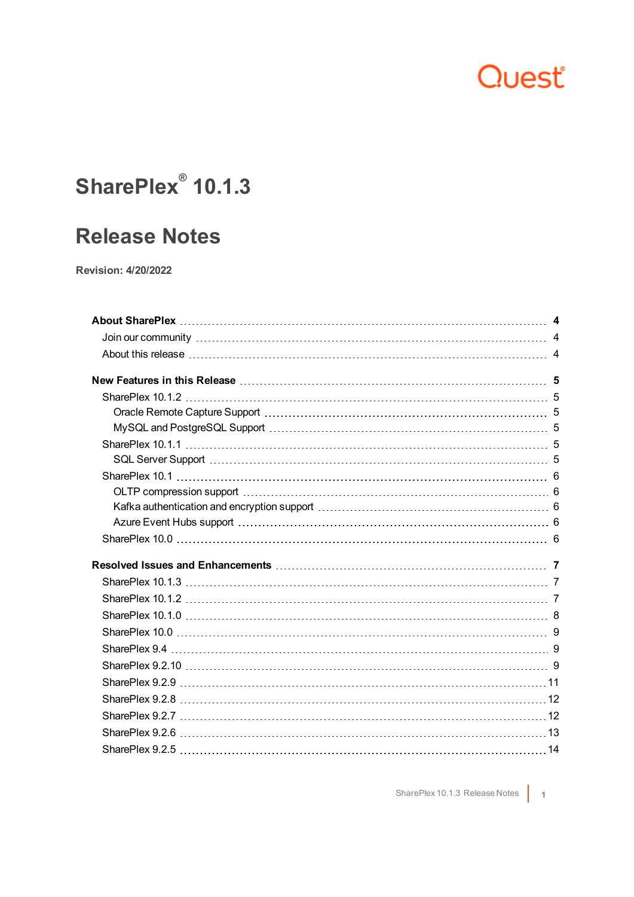## Quest

### **SharePlex® 10.1.3**

### **Release Notes**

**Revision: 4/20/2022**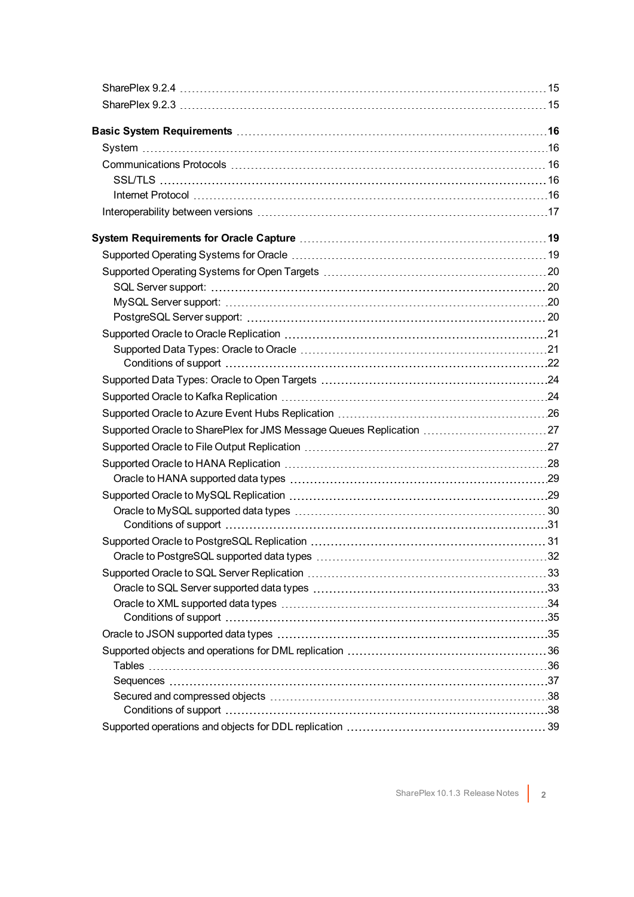| Basic System Requirements …………………………………………………………………………16            |  |
|---------------------------------------------------------------------|--|
|                                                                     |  |
|                                                                     |  |
|                                                                     |  |
|                                                                     |  |
|                                                                     |  |
|                                                                     |  |
|                                                                     |  |
|                                                                     |  |
|                                                                     |  |
|                                                                     |  |
|                                                                     |  |
|                                                                     |  |
|                                                                     |  |
|                                                                     |  |
|                                                                     |  |
|                                                                     |  |
|                                                                     |  |
| Supported Oracle to SharePlex for JMS Message Queues Replication 27 |  |
|                                                                     |  |
|                                                                     |  |
|                                                                     |  |
|                                                                     |  |
|                                                                     |  |
|                                                                     |  |
|                                                                     |  |
|                                                                     |  |
|                                                                     |  |
|                                                                     |  |
|                                                                     |  |
|                                                                     |  |
|                                                                     |  |
|                                                                     |  |
|                                                                     |  |
|                                                                     |  |
|                                                                     |  |
|                                                                     |  |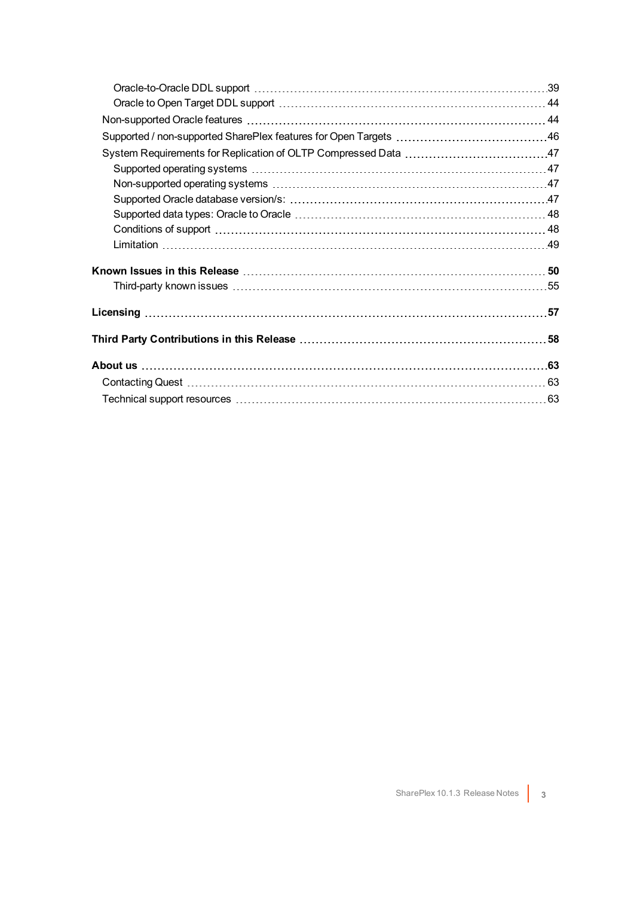| Known Issues in this Release ………………………………………………………………………50         |  |
|--------------------------------------------------------------------|--|
|                                                                    |  |
| Licensing …………………………………………………………………………………………57                     |  |
| Third Party Contributions in this Release …………………………………………………………58 |  |
|                                                                    |  |
|                                                                    |  |
|                                                                    |  |
|                                                                    |  |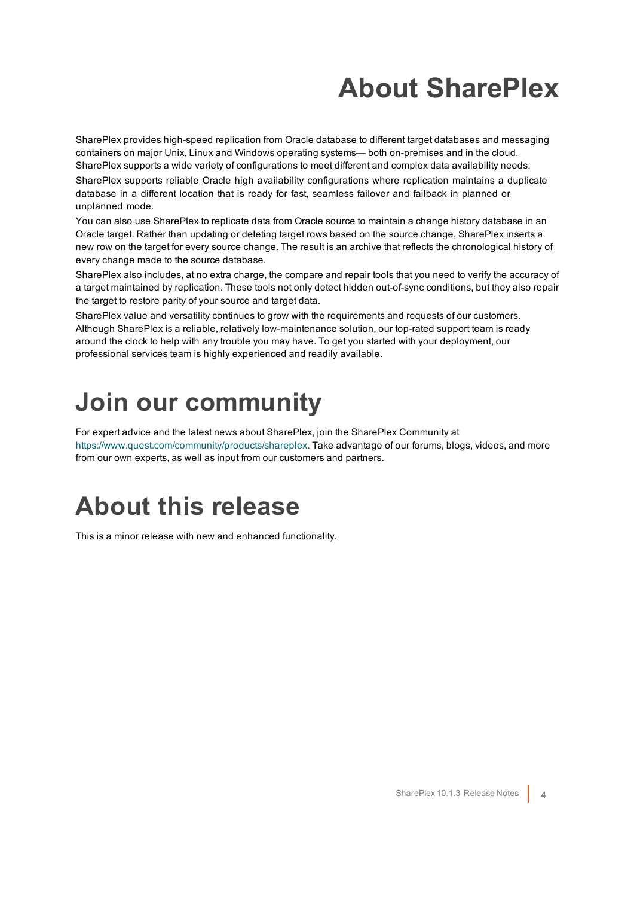# **About SharePlex**

<span id="page-3-0"></span>SharePlex provides high-speed replication from Oracle database to different target databases and messaging containers on major Unix, Linux and Windows operating systems— both on-premises and in the cloud. SharePlex supports a wide variety of configurations to meet different and complex data availability needs.

SharePlex supports reliable Oracle high availability configurations where replication maintains a duplicate database in a different location that is ready for fast, seamless failover and failback in planned or unplanned mode.

You can also use SharePlex to replicate data from Oracle source to maintain a change history database in an Oracle target. Rather than updating or deleting target rows based on the source change, SharePlex inserts a new row on the target for every source change. The result is an archive that reflects the chronological history of every change made to the source database.

SharePlex also includes, at no extra charge, the compare and repair tools that you need to verify the accuracy of a target maintained by replication. These tools not only detect hidden out-of-sync conditions, but they also repair the target to restore parity of your source and target data.

SharePlex value and versatility continues to grow with the requirements and requests of our customers. Although SharePlex is a reliable, relatively low-maintenance solution, our top-rated support team is ready around the clock to help with any trouble you may have. To get you started with your deployment, our professional services team is highly experienced and readily available.

## <span id="page-3-1"></span>**Join our community**

For expert advice and the latest news about SharePlex, join the SharePlex Community at [https://www.quest.com/community/products/shareplex.](https://www.quest.com/community/products/shareplex) Take advantage of our forums, blogs, videos, and more from our own experts, as well as input from our customers and partners.

## <span id="page-3-2"></span>**About this release**

This is a minor release with new and enhanced functionality.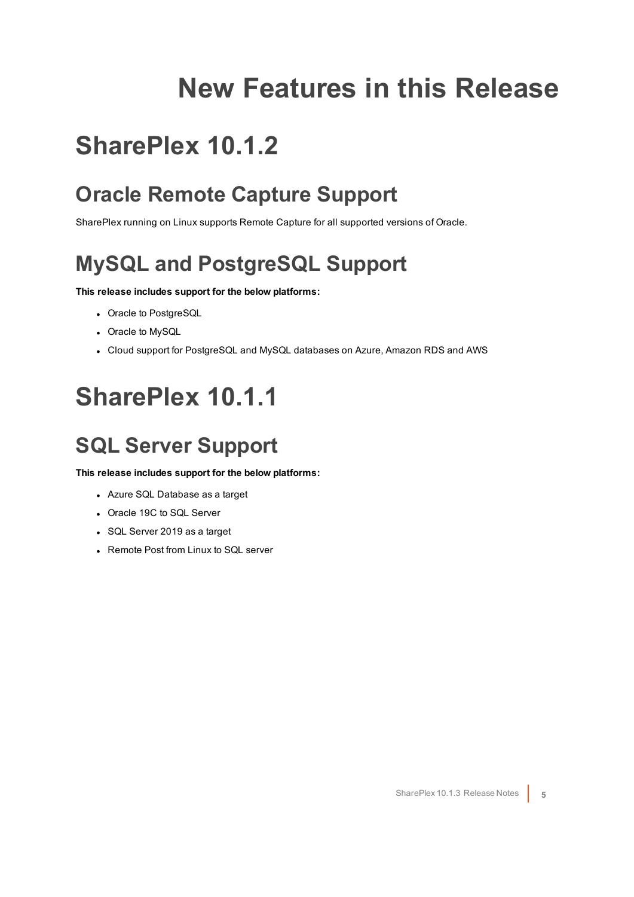## **New Features in this Release**

## <span id="page-4-1"></span><span id="page-4-0"></span>**SharePlex 10.1.2**

### <span id="page-4-2"></span>**Oracle Remote Capture Support**

<span id="page-4-3"></span>SharePlex running on Linux supports Remote Capture for all supported versions of Oracle.

### **MySQL and PostgreSQL Support**

#### **This release includes support for the below platforms:**

- Oracle to PostgreSQL
- Oracle to MySQL
- <span id="page-4-4"></span>• Cloud support for PostgreSQL and MySQL databases on Azure, Amazon RDS and AWS

## **SharePlex 10.1.1**

### <span id="page-4-5"></span>**SQL Server Support**

**This release includes support for the below platforms:**

- Azure SQL Database as a target
- Oracle 19C to SQL Server
- SQL Server 2019 as a target
- Remote Post from Linux to SQL server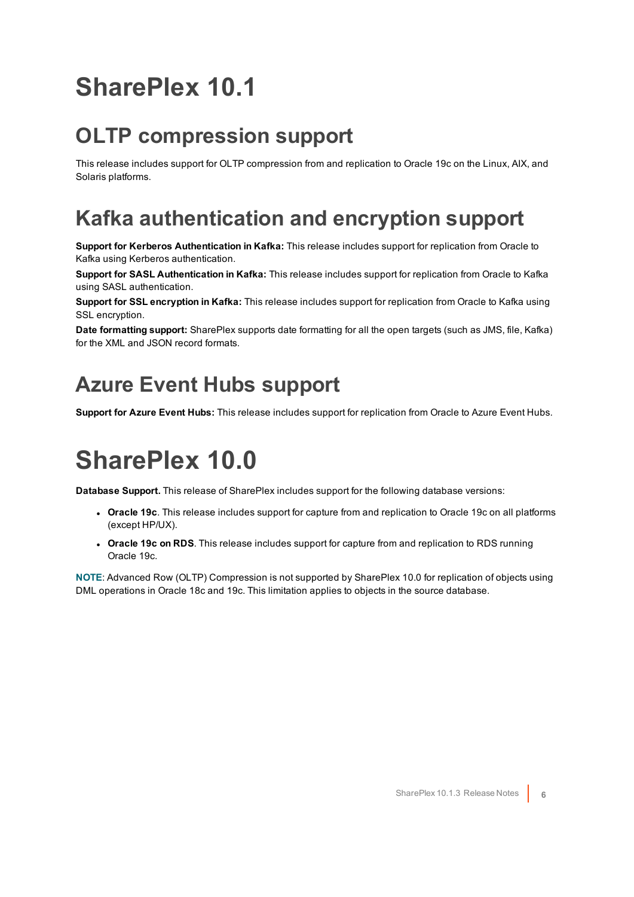## <span id="page-5-0"></span>**SharePlex 10.1**

### <span id="page-5-1"></span>**OLTP compression support**

This release includes support for OLTP compression from and replication to Oracle 19c on the Linux, AIX, and Solaris platforms.

### <span id="page-5-2"></span>**Kafka authentication and encryption support**

**Support for Kerberos Authentication in Kafka:** This release includes support for replication from Oracle to Kafka using Kerberos authentication.

**Support for SASL Authentication in Kafka:** This release includes support for replication from Oracle to Kafka using SASL authentication.

**Support for SSL encryption in Kafka:** This release includes support for replication from Oracle to Kafka using SSL encryption.

**Date formatting support:** SharePlex supports date formatting for all the open targets (such as JMS, file, Kafka) for the XML and JSON record formats.

### <span id="page-5-3"></span>**Azure Event Hubs support**

<span id="page-5-4"></span>**Support for Azure Event Hubs:** This release includes support for replication from Oracle to Azure Event Hubs.

## **SharePlex 10.0**

**Database Support.** This release of SharePlex includes support for the following database versions:

- **Oracle 19c**. This release includes support for capture from and replication to Oracle 19c on all platforms (except HP/UX).
- <sup>l</sup> **Oracle 19c on RDS**. This release includes support for capture from and replication to RDS running Oracle 19c.

**NOTE**: Advanced Row (OLTP) Compression is not supported by SharePlex 10.0 for replication of objects using DML operations in Oracle 18c and 19c. This limitation applies to objects in the source database.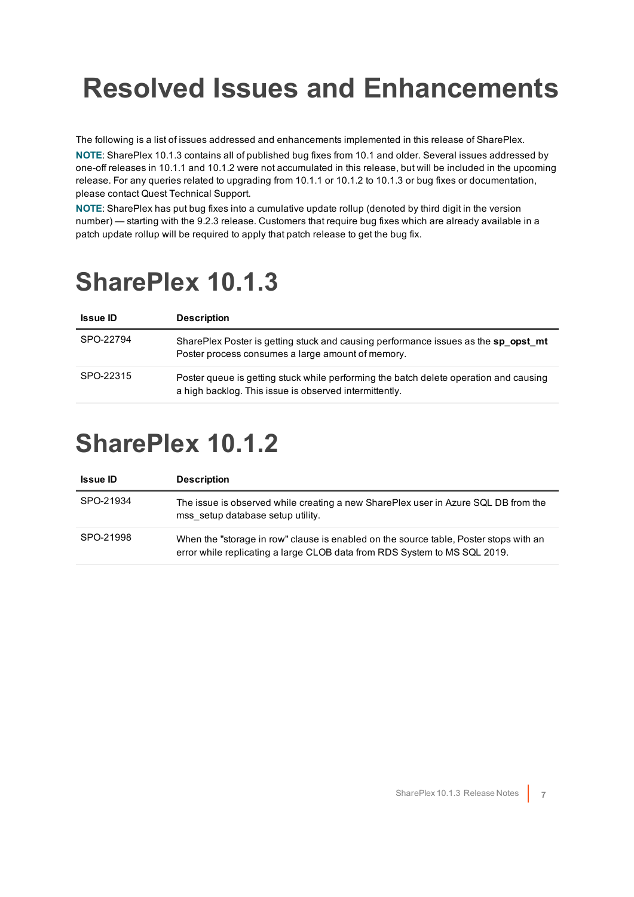# <span id="page-6-0"></span>**Resolved Issues and Enhancements**

The following is a list of issues addressed and enhancements implemented in this release of SharePlex.

**NOTE**: SharePlex 10.1.3 contains all of published bug fixes from 10.1 and older. Several issues addressed by one-off releases in 10.1.1 and 10.1.2 were not accumulated in this release, but will be included in the upcoming release. For any queries related to upgrading from 10.1.1 or 10.1.2 to 10.1.3 or bug fixes or documentation, please contact Quest Technical Support.

**NOTE**: SharePlex has put bug fixes into a cumulative update rollup (denoted by third digit in the version number) — starting with the 9.2.3 release. Customers that require bug fixes which are already available in a patch update rollup will be required to apply that patch release to get the bug fix.

### <span id="page-6-1"></span>**SharePlex 10.1.3**

| <b>Issue ID</b> | <b>Description</b>                                                                                                                              |
|-----------------|-------------------------------------------------------------------------------------------------------------------------------------------------|
| SPO-22794       | SharePlex Poster is getting stuck and causing performance issues as the sp opst mt<br>Poster process consumes a large amount of memory.         |
| SPO-22315       | Poster queue is getting stuck while performing the batch delete operation and causing<br>a high backlog. This issue is observed intermittently. |

## <span id="page-6-2"></span>**SharePlex 10.1.2**

| <b>Issue ID</b> | <b>Description</b>                                                                                                                                                 |
|-----------------|--------------------------------------------------------------------------------------------------------------------------------------------------------------------|
| SPO-21934       | The issue is observed while creating a new SharePlex user in Azure SQL DB from the<br>mss setup database setup utility.                                            |
| SPO-21998       | When the "storage in row" clause is enabled on the source table, Poster stops with an<br>error while replicating a large CLOB data from RDS System to MS SQL 2019. |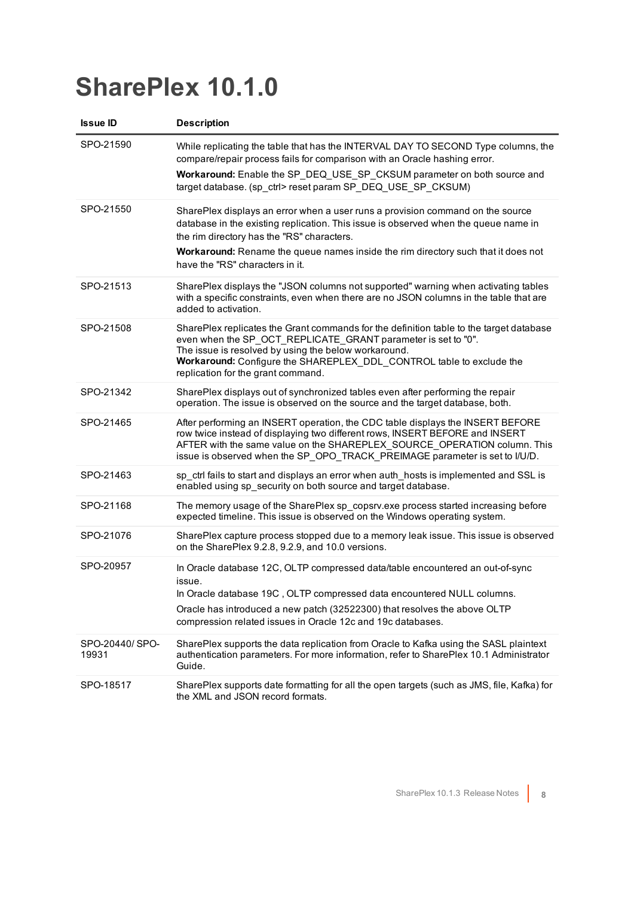## <span id="page-7-0"></span>**SharePlex 10.1.0**

| <b>Issue ID</b>         | <b>Description</b>                                                                                                                                                                                                                                                                                                                          |
|-------------------------|---------------------------------------------------------------------------------------------------------------------------------------------------------------------------------------------------------------------------------------------------------------------------------------------------------------------------------------------|
| SPO-21590               | While replicating the table that has the INTERVAL DAY TO SECOND Type columns, the<br>compare/repair process fails for comparison with an Oracle hashing error.<br>Workaround: Enable the SP_DEQ_USE_SP_CKSUM parameter on both source and<br>target database. (sp_ctrl> reset param SP_DEQ_USE_SP_CKSUM)                                    |
| SPO-21550               | SharePlex displays an error when a user runs a provision command on the source<br>database in the existing replication. This issue is observed when the queue name in<br>the rim directory has the "RS" characters.<br>Workaround: Rename the queue names inside the rim directory such that it does not<br>have the "RS" characters in it. |
| SPO-21513               | SharePlex displays the "JSON columns not supported" warning when activating tables<br>with a specific constraints, even when there are no JSON columns in the table that are<br>added to activation.                                                                                                                                        |
| SPO-21508               | SharePlex replicates the Grant commands for the definition table to the target database<br>even when the SP_OCT_REPLICATE_GRANT parameter is set to "0".<br>The issue is resolved by using the below workaround.<br>Workaround: Configure the SHAREPLEX_DDL_CONTROL table to exclude the<br>replication for the grant command.              |
| SPO-21342               | SharePlex displays out of synchronized tables even after performing the repair<br>operation. The issue is observed on the source and the target database, both.                                                                                                                                                                             |
| SPO-21465               | After performing an INSERT operation, the CDC table displays the INSERT BEFORE<br>row twice instead of displaying two different rows, INSERT BEFORE and INSERT<br>AFTER with the same value on the SHAREPLEX SOURCE OPERATION column. This<br>issue is observed when the SP_OPO_TRACK_PREIMAGE parameter is set to I/U/D.                   |
| SPO-21463               | sp_ctrl fails to start and displays an error when auth_hosts is implemented and SSL is<br>enabled using sp security on both source and target database.                                                                                                                                                                                     |
| SPO-21168               | The memory usage of the SharePlex sp_copsrv.exe process started increasing before<br>expected timeline. This issue is observed on the Windows operating system.                                                                                                                                                                             |
| SPO-21076               | SharePlex capture process stopped due to a memory leak issue. This issue is observed<br>on the SharePlex 9.2.8, 9.2.9, and 10.0 versions.                                                                                                                                                                                                   |
| SPO-20957               | In Oracle database 12C, OLTP compressed data/table encountered an out-of-sync<br>issue.<br>In Oracle database 19C, OLTP compressed data encountered NULL columns.<br>Oracle has introduced a new patch (32522300) that resolves the above OLTP<br>compression related issues in Oracle 12c and 19c databases.                               |
| SPO-20440/SPO-<br>19931 | SharePlex supports the data replication from Oracle to Kafka using the SASL plaintext<br>authentication parameters. For more information, refer to SharePlex 10.1 Administrator<br>Guide.                                                                                                                                                   |
| SPO-18517               | SharePlex supports date formatting for all the open targets (such as JMS, file, Kafka) for<br>the XML and JSON record formats.                                                                                                                                                                                                              |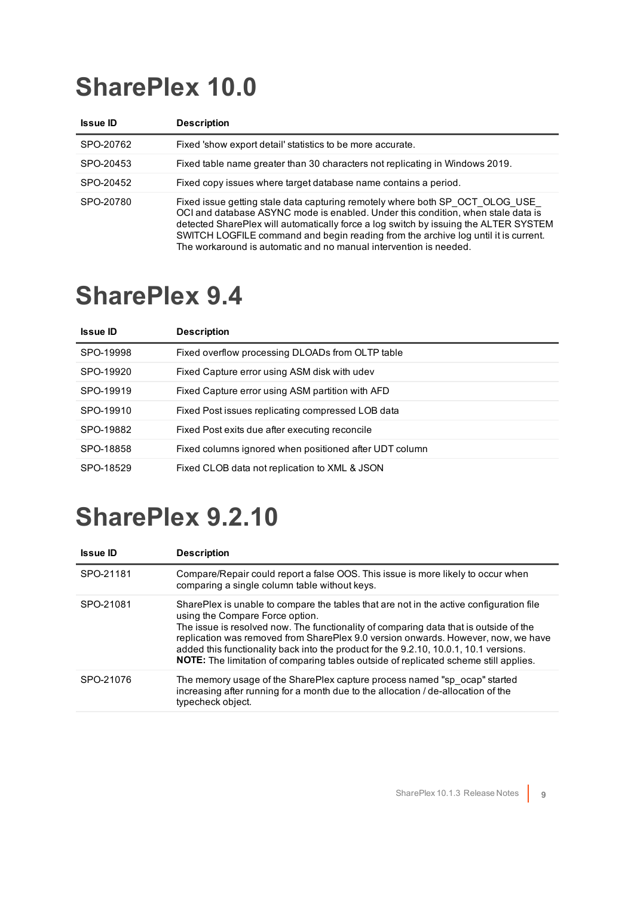## <span id="page-8-0"></span>**SharePlex 10.0**

| <b>Issue ID</b> | <b>Description</b>                                                                                                                                                                                                                                                                                                                                                                                                  |
|-----------------|---------------------------------------------------------------------------------------------------------------------------------------------------------------------------------------------------------------------------------------------------------------------------------------------------------------------------------------------------------------------------------------------------------------------|
| SPO-20762       | Fixed 'show export detail' statistics to be more accurate.                                                                                                                                                                                                                                                                                                                                                          |
| SPO-20453       | Fixed table name greater than 30 characters not replicating in Windows 2019.                                                                                                                                                                                                                                                                                                                                        |
| SPO-20452       | Fixed copy issues where target database name contains a period.                                                                                                                                                                                                                                                                                                                                                     |
| SPO-20780       | Fixed issue getting stale data capturing remotely where both SP OCT OLOG USE<br>OCI and database ASYNC mode is enabled. Under this condition, when stale data is<br>detected SharePlex will automatically force a log switch by issuing the ALTER SYSTEM<br>SWITCH LOGFILE command and begin reading from the archive log until it is current.<br>The workaround is automatic and no manual intervention is needed. |

## <span id="page-8-1"></span>**SharePlex 9.4**

| <b>Issue ID</b> | <b>Description</b>                                     |
|-----------------|--------------------------------------------------------|
| SPO-19998       | Fixed overflow processing DLOADs from OLTP table       |
| SPO-19920       | Fixed Capture error using ASM disk with udev           |
| SPO-19919       | Fixed Capture error using ASM partition with AFD       |
| SPO-19910       | Fixed Post issues replicating compressed LOB data      |
| SPO-19882       | Fixed Post exits due after executing reconcile         |
| SPO-18858       | Fixed columns ignored when positioned after UDT column |
| SPO-18529       | Fixed CLOB data not replication to XML & JSON          |

<span id="page-8-2"></span>

| <b>Issue ID</b> | <b>Description</b>                                                                                                                                                                                                                                                                                                                                                                                                                                                                               |
|-----------------|--------------------------------------------------------------------------------------------------------------------------------------------------------------------------------------------------------------------------------------------------------------------------------------------------------------------------------------------------------------------------------------------------------------------------------------------------------------------------------------------------|
| SPO-21181       | Compare/Repair could report a false OOS. This issue is more likely to occur when<br>comparing a single column table without keys.                                                                                                                                                                                                                                                                                                                                                                |
| SPO-21081       | SharePlex is unable to compare the tables that are not in the active configuration file<br>using the Compare Force option.<br>The issue is resolved now. The functionality of comparing data that is outside of the<br>replication was removed from SharePlex 9.0 version onwards. However, now, we have<br>added this functionality back into the product for the 9.2.10, 10.0.1, 10.1 versions.<br><b>NOTE:</b> The limitation of comparing tables outside of replicated scheme still applies. |
| SPO-21076       | The memory usage of the SharePlex capture process named "sp ocap" started<br>increasing after running for a month due to the allocation / de-allocation of the<br>typecheck object.                                                                                                                                                                                                                                                                                                              |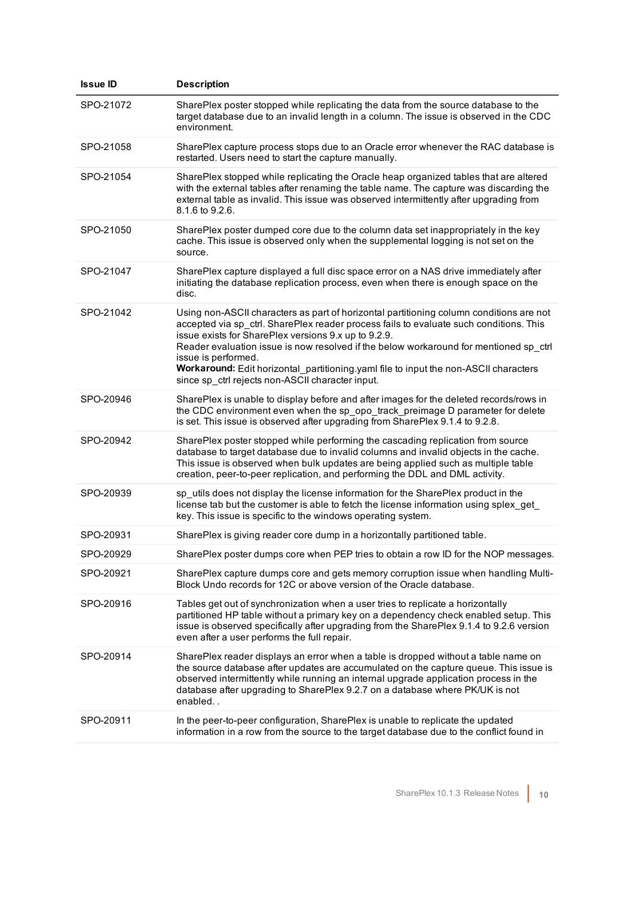| <b>Issue ID</b> | <b>Description</b>                                                                                                                                                                                                                                                                                                                                                                                                                                                                                    |
|-----------------|-------------------------------------------------------------------------------------------------------------------------------------------------------------------------------------------------------------------------------------------------------------------------------------------------------------------------------------------------------------------------------------------------------------------------------------------------------------------------------------------------------|
| SPO-21072       | SharePlex poster stopped while replicating the data from the source database to the<br>target database due to an invalid length in a column. The issue is observed in the CDC<br>environment.                                                                                                                                                                                                                                                                                                         |
| SPO-21058       | SharePlex capture process stops due to an Oracle error whenever the RAC database is<br>restarted. Users need to start the capture manually.                                                                                                                                                                                                                                                                                                                                                           |
| SPO-21054       | SharePlex stopped while replicating the Oracle heap organized tables that are altered<br>with the external tables after renaming the table name. The capture was discarding the<br>external table as invalid. This issue was observed intermittently after upgrading from<br>8.1.6 to 9.2.6.                                                                                                                                                                                                          |
| SPO-21050       | SharePlex poster dumped core due to the column data set inappropriately in the key<br>cache. This issue is observed only when the supplemental logging is not set on the<br>source.                                                                                                                                                                                                                                                                                                                   |
| SPO-21047       | SharePlex capture displayed a full disc space error on a NAS drive immediately after<br>initiating the database replication process, even when there is enough space on the<br>disc.                                                                                                                                                                                                                                                                                                                  |
| SPO-21042       | Using non-ASCII characters as part of horizontal partitioning column conditions are not<br>accepted via sp_ctrl. SharePlex reader process fails to evaluate such conditions. This<br>issue exists for SharePlex versions 9.x up to 9.2.9.<br>Reader evaluation issue is now resolved if the below workaround for mentioned sp_ctrl<br>issue is performed.<br>Workaround: Edit horizontal_partitioning.yaml file to input the non-ASCII characters<br>since sp_ctrl rejects non-ASCII character input. |
| SPO-20946       | SharePlex is unable to display before and after images for the deleted records/rows in<br>the CDC environment even when the sp_opo_track_preimage D parameter for delete<br>is set. This issue is observed after upgrading from SharePlex 9.1.4 to 9.2.8.                                                                                                                                                                                                                                             |
| SPO-20942       | SharePlex poster stopped while performing the cascading replication from source<br>database to target database due to invalid columns and invalid objects in the cache.<br>This issue is observed when bulk updates are being applied such as multiple table<br>creation, peer-to-peer replication, and performing the DDL and DML activity.                                                                                                                                                          |
| SPO-20939       | sp_utils does not display the license information for the SharePlex product in the<br>license tab but the customer is able to fetch the license information using splex_get_<br>key. This issue is specific to the windows operating system.                                                                                                                                                                                                                                                          |
| SPO-20931       | SharePlex is giving reader core dump in a horizontally partitioned table.                                                                                                                                                                                                                                                                                                                                                                                                                             |
| SPO-20929       | SharePlex poster dumps core when PEP tries to obtain a row ID for the NOP messages.                                                                                                                                                                                                                                                                                                                                                                                                                   |
| SPO-20921       | SharePlex capture dumps core and gets memory corruption issue when handling Multi-<br>Block Undo records for 12C or above version of the Oracle database.                                                                                                                                                                                                                                                                                                                                             |
| SPO-20916       | Tables get out of synchronization when a user tries to replicate a horizontally<br>partitioned HP table without a primary key on a dependency check enabled setup. This<br>issue is observed specifically after upgrading from the SharePlex 9.1.4 to 9.2.6 version<br>even after a user performs the full repair.                                                                                                                                                                                    |
| SPO-20914       | SharePlex reader displays an error when a table is dropped without a table name on<br>the source database after updates are accumulated on the capture queue. This issue is<br>observed intermittently while running an internal upgrade application process in the<br>database after upgrading to SharePlex 9.2.7 on a database where PK/UK is not<br>enabled                                                                                                                                        |
| SPO-20911       | In the peer-to-peer configuration, SharePlex is unable to replicate the updated<br>information in a row from the source to the target database due to the conflict found in                                                                                                                                                                                                                                                                                                                           |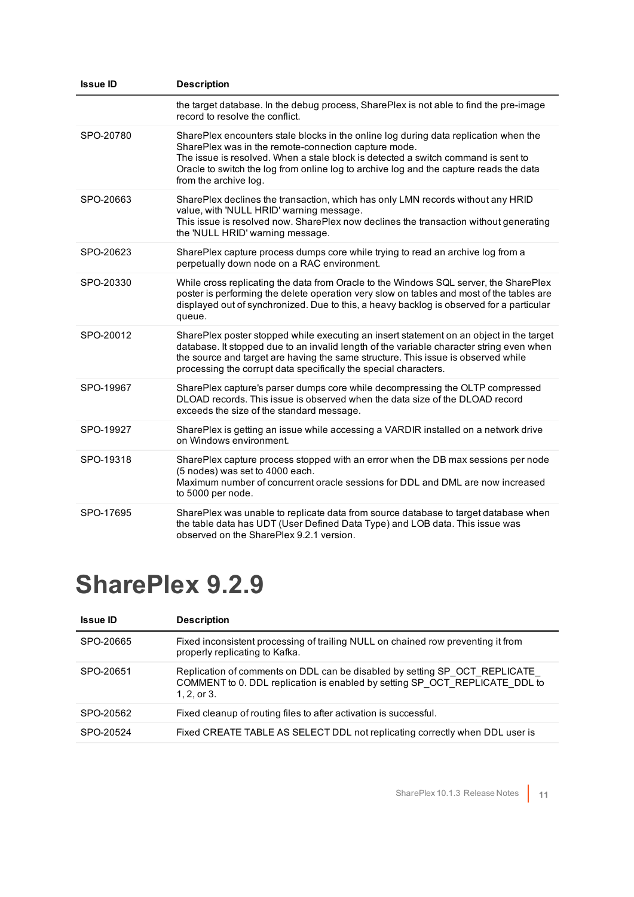| <b>Issue ID</b> | <b>Description</b>                                                                                                                                                                                                                                                                                                                                   |
|-----------------|------------------------------------------------------------------------------------------------------------------------------------------------------------------------------------------------------------------------------------------------------------------------------------------------------------------------------------------------------|
|                 | the target database. In the debug process, SharePlex is not able to find the pre-image<br>record to resolve the conflict.                                                                                                                                                                                                                            |
| SPO-20780       | SharePlex encounters stale blocks in the online log during data replication when the<br>SharePlex was in the remote-connection capture mode.<br>The issue is resolved. When a stale block is detected a switch command is sent to<br>Oracle to switch the log from online log to archive log and the capture reads the data<br>from the archive log. |
| SPO-20663       | SharePlex declines the transaction, which has only LMN records without any HRID<br>value, with 'NULL HRID' warning message.<br>This issue is resolved now. SharePlex now declines the transaction without generating<br>the 'NULL HRID' warning message.                                                                                             |
| SPO-20623       | SharePlex capture process dumps core while trying to read an archive log from a<br>perpetually down node on a RAC environment.                                                                                                                                                                                                                       |
| SPO-20330       | While cross replicating the data from Oracle to the Windows SQL server, the SharePlex<br>poster is performing the delete operation very slow on tables and most of the tables are<br>displayed out of synchronized. Due to this, a heavy backlog is observed for a particular<br>queue.                                                              |
| SPO-20012       | SharePlex poster stopped while executing an insert statement on an object in the target<br>database. It stopped due to an invalid length of the variable character string even when<br>the source and target are having the same structure. This issue is observed while<br>processing the corrupt data specifically the special characters.         |
| SPO-19967       | SharePlex capture's parser dumps core while decompressing the OLTP compressed<br>DLOAD records. This issue is observed when the data size of the DLOAD record<br>exceeds the size of the standard message.                                                                                                                                           |
| SPO-19927       | SharePlex is getting an issue while accessing a VARDIR installed on a network drive<br>on Windows environment.                                                                                                                                                                                                                                       |
| SPO-19318       | SharePlex capture process stopped with an error when the DB max sessions per node<br>(5 nodes) was set to 4000 each.<br>Maximum number of concurrent oracle sessions for DDL and DML are now increased<br>to 5000 per node.                                                                                                                          |
| SPO-17695       | SharePlex was unable to replicate data from source database to target database when<br>the table data has UDT (User Defined Data Type) and LOB data. This issue was<br>observed on the SharePlex 9.2.1 version.                                                                                                                                      |

<span id="page-10-0"></span>

| Issue ID  | <b>Description</b>                                                                                                                                                          |
|-----------|-----------------------------------------------------------------------------------------------------------------------------------------------------------------------------|
| SPO-20665 | Fixed inconsistent processing of trailing NULL on chained row preventing it from<br>properly replicating to Kafka.                                                          |
| SPO-20651 | Replication of comments on DDL can be disabled by setting SP OCT REPLICATE<br>COMMENT to 0. DDL replication is enabled by setting SP OCT REPLICATE DDL to<br>$1.2.$ or $3.$ |
| SPO-20562 | Fixed cleanup of routing files to after activation is successful.                                                                                                           |
| SPO-20524 | Fixed CREATE TABLE AS SELECT DDL not replicating correctly when DDL user is                                                                                                 |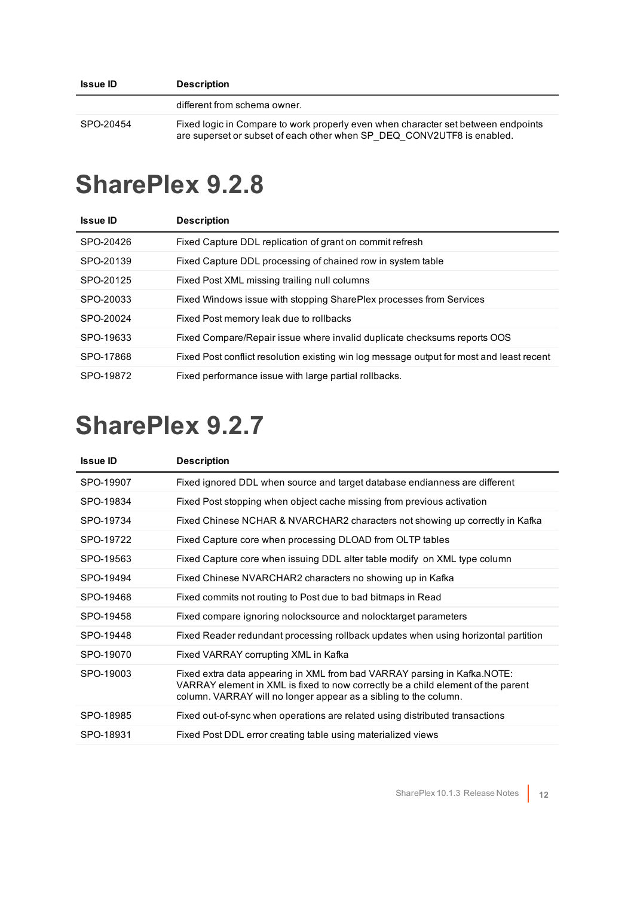<span id="page-11-0"></span>

| <b>Issue ID</b> | <b>Description</b>                                                                                                                                          |
|-----------------|-------------------------------------------------------------------------------------------------------------------------------------------------------------|
|                 | different from schema owner.                                                                                                                                |
| SPO-20454       | Fixed logic in Compare to work properly even when character set between endpoints<br>are superset or subset of each other when SP DEQ CONV2UTF8 is enabled. |

| <b>Issue ID</b> | <b>Description</b>                                                                       |
|-----------------|------------------------------------------------------------------------------------------|
| SPO-20426       | Fixed Capture DDL replication of grant on commit refresh                                 |
| SPO-20139       | Fixed Capture DDL processing of chained row in system table                              |
| SPO-20125       | Fixed Post XML missing trailing null columns                                             |
| SPO-20033       | Fixed Windows issue with stopping SharePlex processes from Services                      |
| SPO-20024       | Fixed Post memory leak due to rollbacks                                                  |
| SPO-19633       | Fixed Compare/Repair issue where invalid duplicate checksums reports OOS                 |
| SPO-17868       | Fixed Post conflict resolution existing win log message output for most and least recent |
| SPO-19872       | Fixed performance issue with large partial rollbacks.                                    |

<span id="page-11-1"></span>

| <b>Issue ID</b> | <b>Description</b>                                                                                                                                                                                                                |
|-----------------|-----------------------------------------------------------------------------------------------------------------------------------------------------------------------------------------------------------------------------------|
| SPO-19907       | Fixed ignored DDL when source and target database endianness are different                                                                                                                                                        |
| SPO-19834       | Fixed Post stopping when object cache missing from previous activation                                                                                                                                                            |
| SPO-19734       | Fixed Chinese NCHAR & NVARCHAR2 characters not showing up correctly in Kafka                                                                                                                                                      |
| SPO-19722       | Fixed Capture core when processing DLOAD from OLTP tables                                                                                                                                                                         |
| SPO-19563       | Fixed Capture core when issuing DDL alter table modify on XML type column                                                                                                                                                         |
| SPO-19494       | Fixed Chinese NVARCHAR2 characters no showing up in Kafka                                                                                                                                                                         |
| SPO-19468       | Fixed commits not routing to Post due to bad bitmaps in Read                                                                                                                                                                      |
| SPO-19458       | Fixed compare ignoring nolocksource and nolocktarget parameters                                                                                                                                                                   |
| SPO-19448       | Fixed Reader redundant processing rollback updates when using horizontal partition                                                                                                                                                |
| SPO-19070       | Fixed VARRAY corrupting XML in Kafka                                                                                                                                                                                              |
| SPO-19003       | Fixed extra data appearing in XML from bad VARRAY parsing in Kafka. NOTE:<br>VARRAY element in XML is fixed to now correctly be a child element of the parent<br>column. VARRAY will no longer appear as a sibling to the column. |
| SPO-18985       | Fixed out-of-sync when operations are related using distributed transactions                                                                                                                                                      |
| SPO-18931       | Fixed Post DDL error creating table using materialized views                                                                                                                                                                      |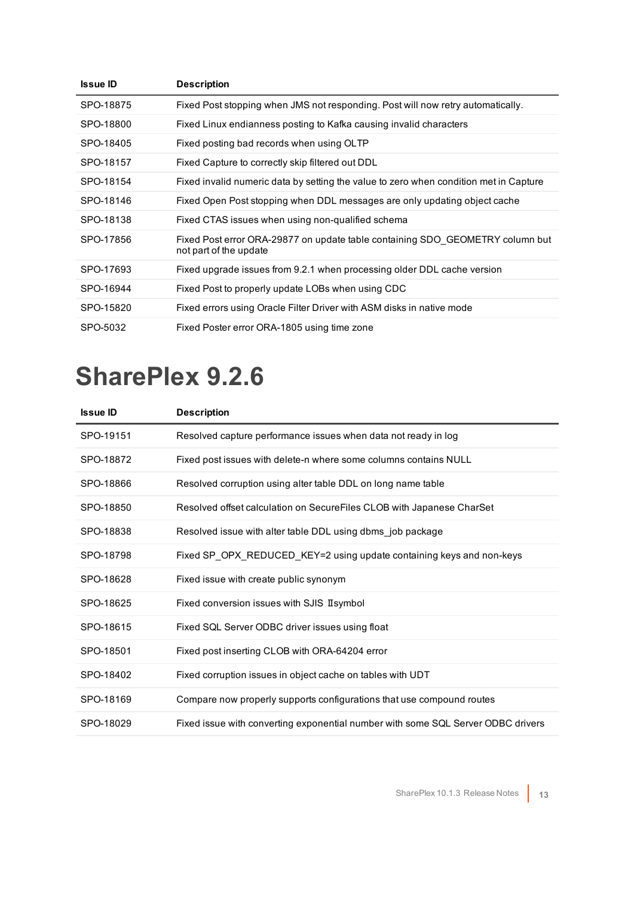| <b>Issue ID</b> | <b>Description</b>                                                                                      |
|-----------------|---------------------------------------------------------------------------------------------------------|
| SPO-18875       | Fixed Post stopping when JMS not responding. Post will now retry automatically.                         |
| SPO-18800       | Fixed Linux endianness posting to Kafka causing invalid characters                                      |
| SPO-18405       | Fixed posting bad records when using OLTP                                                               |
| SPO-18157       | Fixed Capture to correctly skip filtered out DDL                                                        |
| SPO-18154       | Fixed invalid numeric data by setting the value to zero when condition met in Capture                   |
| SPO-18146       | Fixed Open Post stopping when DDL messages are only updating object cache                               |
| SPO-18138       | Fixed CTAS issues when using non-qualified schema                                                       |
| SPO-17856       | Fixed Post error ORA-29877 on update table containing SDO GEOMETRY column but<br>not part of the update |
| SPO-17693       | Fixed upgrade issues from 9.2.1 when processing older DDL cache version                                 |
| SPO-16944       | Fixed Post to properly update LOBs when using CDC                                                       |
| SPO-15820       | Fixed errors using Oracle Filter Driver with ASM disks in native mode                                   |
| SPO-5032        | Fixed Poster error ORA-1805 using time zone                                                             |

<span id="page-12-0"></span>

| <b>Issue ID</b> | <b>Description</b>                                                               |
|-----------------|----------------------------------------------------------------------------------|
| SPO-19151       | Resolved capture performance issues when data not ready in log                   |
| SPO-18872       | Fixed post issues with delete-n where some columns contains NULL                 |
| SPO-18866       | Resolved corruption using alter table DDL on long name table                     |
| SPO-18850       | Resolved offset calculation on SecureFiles CLOB with Japanese CharSet            |
| SPO-18838       | Resolved issue with alter table DDL using dbms_job package                       |
| SPO-18798       | Fixed SP OPX REDUCED KEY=2 using update containing keys and non-keys             |
| SPO-18628       | Fixed issue with create public synonym                                           |
| SPO-18625       | Fixed conversion issues with SJIS II symbol                                      |
| SPO-18615       | Fixed SQL Server ODBC driver issues using float                                  |
| SPO-18501       | Fixed post inserting CLOB with ORA-64204 error                                   |
| SPO-18402       | Fixed corruption issues in object cache on tables with UDT                       |
| SPO-18169       | Compare now properly supports configurations that use compound routes            |
| SPO-18029       | Fixed issue with converting exponential number with some SQL Server ODBC drivers |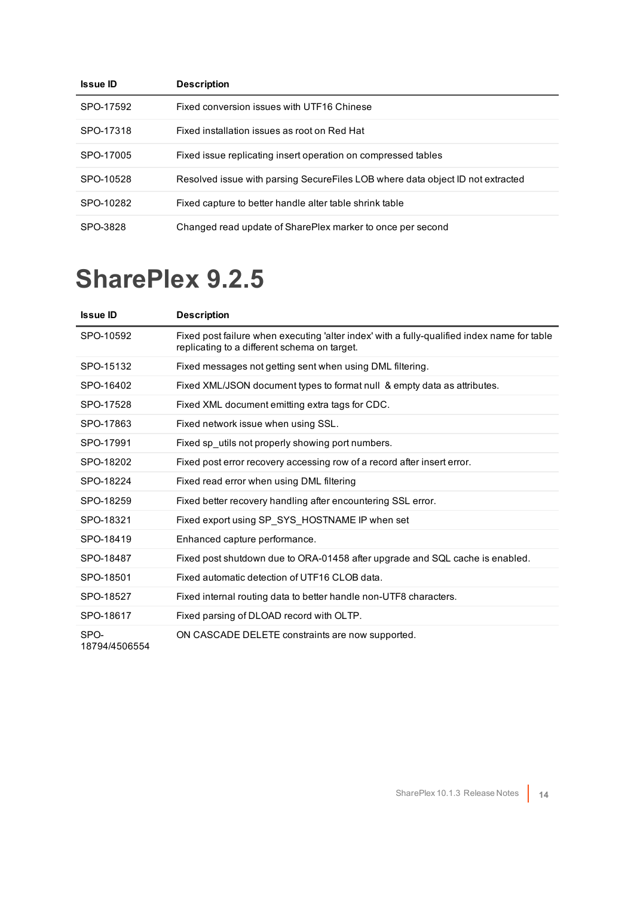| <b>Issue ID</b> | <b>Description</b>                                                             |
|-----------------|--------------------------------------------------------------------------------|
| SPO-17592       | Fixed conversion issues with UTF16 Chinese                                     |
| SPO-17318       | Fixed installation issues as root on Red Hat                                   |
| SPO-17005       | Fixed issue replicating insert operation on compressed tables                  |
| SPO-10528       | Resolved issue with parsing SecureFiles LOB where data object ID not extracted |
| SPO-10282       | Fixed capture to better handle alter table shrink table                        |
| SPO-3828        | Changed read update of SharePlex marker to once per second                     |

<span id="page-13-0"></span>

| <b>Issue ID</b>       | <b>Description</b>                                                                                                                          |
|-----------------------|---------------------------------------------------------------------------------------------------------------------------------------------|
| SPO-10592             | Fixed post failure when executing 'alter index' with a fully-qualified index name for table<br>replicating to a different schema on target. |
| SPO-15132             | Fixed messages not getting sent when using DML filtering.                                                                                   |
| SPO-16402             | Fixed XML/JSON document types to format null & empty data as attributes.                                                                    |
| SPO-17528             | Fixed XML document emitting extra tags for CDC.                                                                                             |
| SPO-17863             | Fixed network issue when using SSL.                                                                                                         |
| SPO-17991             | Fixed sp_utils not properly showing port numbers.                                                                                           |
| SPO-18202             | Fixed post error recovery accessing row of a record after insert error.                                                                     |
| SPO-18224             | Fixed read error when using DML filtering                                                                                                   |
| SPO-18259             | Fixed better recovery handling after encountering SSL error.                                                                                |
| SPO-18321             | Fixed export using SP_SYS_HOSTNAME IP when set                                                                                              |
| SPO-18419             | Enhanced capture performance.                                                                                                               |
| SPO-18487             | Fixed post shutdown due to ORA-01458 after upgrade and SQL cache is enabled.                                                                |
| SPO-18501             | Fixed automatic detection of UTF16 CLOB data.                                                                                               |
| SPO-18527             | Fixed internal routing data to better handle non-UTF8 characters.                                                                           |
| SPO-18617             | Fixed parsing of DLOAD record with OLTP.                                                                                                    |
| SPO-<br>18794/4506554 | ON CASCADE DELETE constraints are now supported.                                                                                            |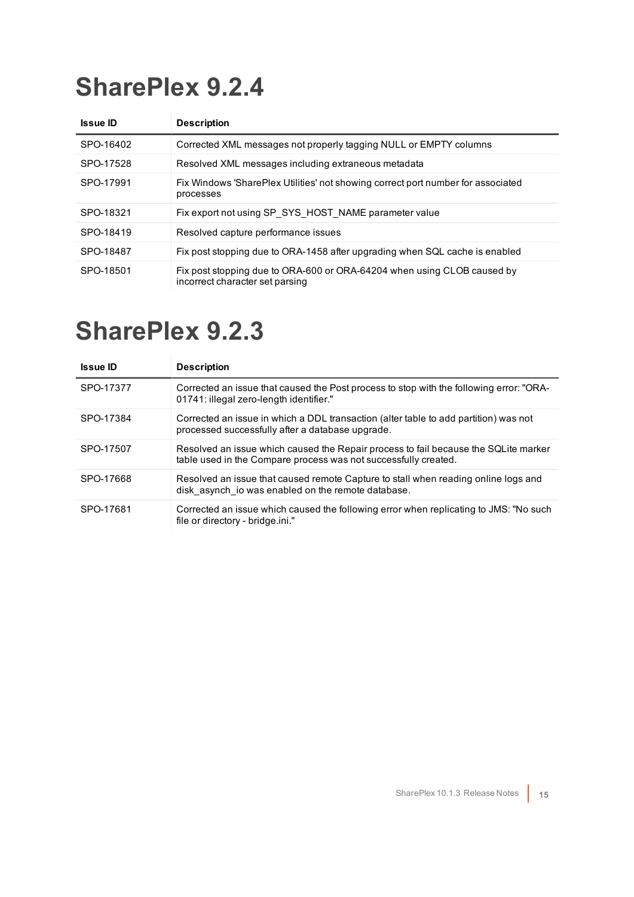<span id="page-14-0"></span>

| <b>Issue ID</b> | <b>Description</b>                                                                                         |
|-----------------|------------------------------------------------------------------------------------------------------------|
| SPO-16402       | Corrected XML messages not properly tagging NULL or EMPTY columns                                          |
| SPO-17528       | Resolved XML messages including extraneous metadata                                                        |
| SPO-17991       | Fix Windows 'SharePlex Utilities' not showing correct port number for associated<br>processes              |
| SPO-18321       | Fix export not using SP SYS HOST NAME parameter value                                                      |
| SPO-18419       | Resolved capture performance issues                                                                        |
| SPO-18487       | Fix post stopping due to ORA-1458 after upgrading when SQL cache is enabled                                |
| SPO-18501       | Fix post stopping due to ORA-600 or ORA-64204 when using CLOB caused by<br>incorrect character set parsing |

<span id="page-14-1"></span>

| <b>Issue ID</b> | <b>Description</b>                                                                                                                                     |
|-----------------|--------------------------------------------------------------------------------------------------------------------------------------------------------|
| SPO-17377       | Corrected an issue that caused the Post process to stop with the following error: "ORA-<br>01741: illegal zero-length identifier."                     |
| SPO-17384       | Corrected an issue in which a DDL transaction (alter table to add partition) was not<br>processed successfully after a database upgrade.               |
| SPO-17507       | Resolved an issue which caused the Repair process to fail because the SQLite marker<br>table used in the Compare process was not successfully created. |
| SPO-17668       | Resolved an issue that caused remote Capture to stall when reading online logs and<br>disk asynch io was enabled on the remote database.               |
| SPO-17681       | Corrected an issue which caused the following error when replicating to JMS: "No such<br>file or directory - bridge.ini."                              |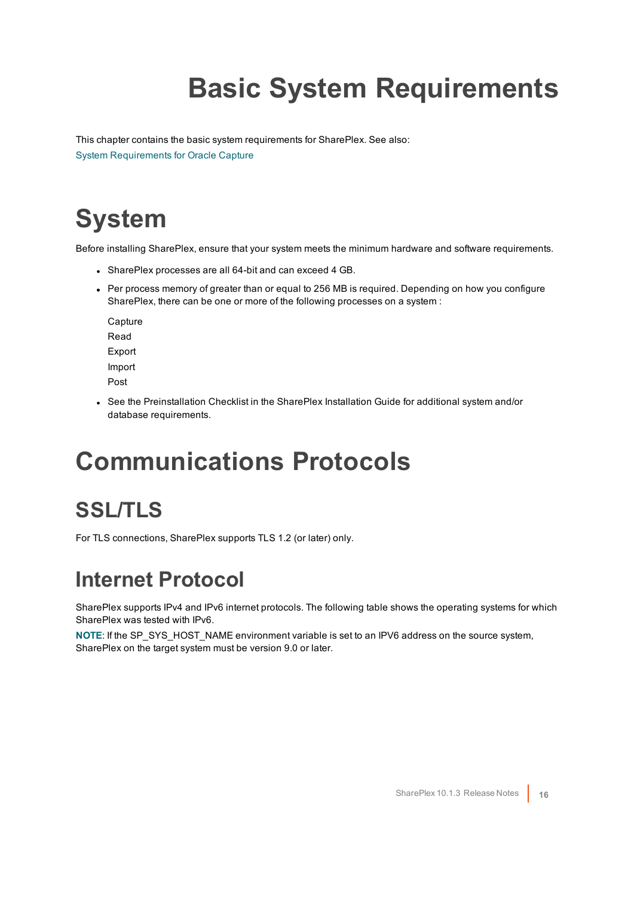# **Basic System Requirements**

<span id="page-15-0"></span>This chapter contains the basic system requirements for SharePlex. See also: System [Requirements](#page-18-0) for Oracle Capture

## <span id="page-15-1"></span>**System**

Before installing SharePlex, ensure that your system meets the minimum hardware and software requirements.

- SharePlex processes are all 64-bit and can exceed 4 GB.
- Per process memory of greater than or equal to 256 MB is required. Depending on how you configure SharePlex, there can be one or more of the following processes on a system :

**Capture** Read Export Import Post

• See the Preinstallation Checklist in the SharePlex Installation Guide for additional system and/or database requirements.

## <span id="page-15-2"></span>**Communications Protocols**

### <span id="page-15-3"></span>**SSL/TLS**

<span id="page-15-4"></span>For TLS connections, SharePlex supports TLS 1.2 (or later) only.

### **Internet Protocol**

SharePlex supports IPv4 and IPv6 internet protocols. The following table shows the operating systems for which SharePlex was tested with IPv6.

**NOTE**: If the SP\_SYS\_HOST\_NAME environment variable is set to an IPV6 address on the source system, SharePlex on the target system must be version 9.0 or later.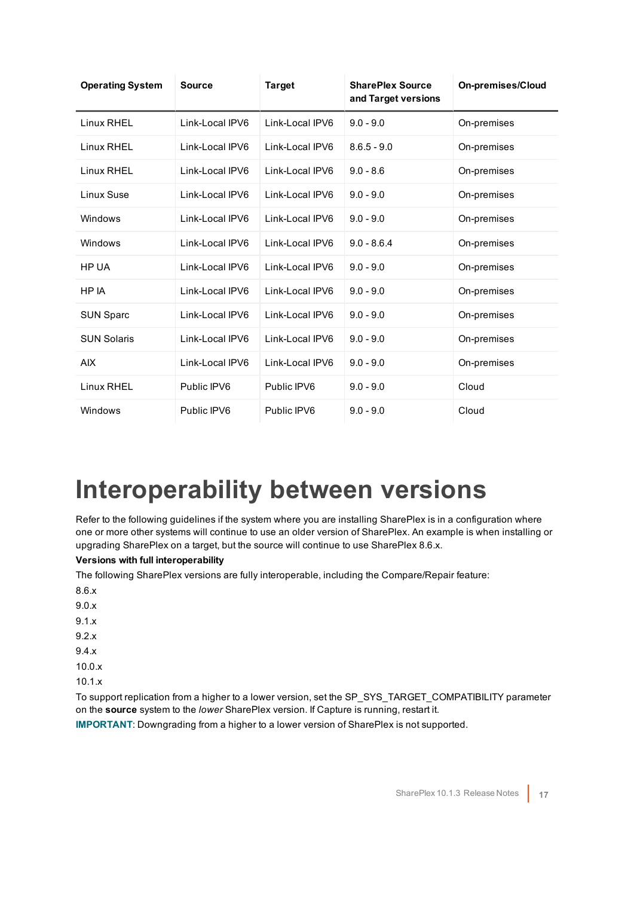| <b>Operating System</b> | <b>Source</b>   | <b>Target</b>   | <b>SharePlex Source</b><br>and Target versions | <b>On-premises/Cloud</b> |
|-------------------------|-----------------|-----------------|------------------------------------------------|--------------------------|
| Linux RHEL              | Link-Local IPV6 | Link-Local IPV6 | $9.0 - 9.0$                                    | On-premises              |
| Linux RHEL              | Link-Local IPV6 | Link-Local IPV6 | $8.6.5 - 9.0$                                  | On-premises              |
| Linux RHEL              | Link-Local IPV6 | Link-Local IPV6 | $9.0 - 8.6$                                    | On-premises              |
| Linux Suse              | Link-Local IPV6 | Link-Local IPV6 | $9.0 - 9.0$                                    | On-premises              |
| Windows                 | Link-Local IPV6 | Link-Local IPV6 | $9.0 - 9.0$                                    | On-premises              |
| Windows                 | Link-Local IPV6 | Link-Local IPV6 | $9.0 - 8.6.4$                                  | On-premises              |
| HP UA                   | Link-Local IPV6 | Link-Local IPV6 | $9.0 - 9.0$                                    | On-premises              |
| HP IA                   | Link-Local IPV6 | Link-Local IPV6 | $9.0 - 9.0$                                    | On-premises              |
| <b>SUN Sparc</b>        | Link-Local IPV6 | Link-Local IPV6 | $9.0 - 9.0$                                    | On-premises              |
| <b>SUN Solaris</b>      | Link-Local IPV6 | Link-Local IPV6 | $9.0 - 9.0$                                    | On-premises              |
| <b>AIX</b>              | Link-Local IPV6 | Link-Local IPV6 | $9.0 - 9.0$                                    | On-premises              |
| Linux RHEL              | Public IPV6     | Public IPV6     | $9.0 - 9.0$                                    | Cloud                    |
| Windows                 | Public IPV6     | Public IPV6     | $9.0 - 9.0$                                    | Cloud                    |

## <span id="page-16-0"></span>**Interoperability between versions**

Refer to the following guidelines if the system where you are installing SharePlex is in a configuration where one or more other systems will continue to use an older version of SharePlex. An example is when installing or upgrading SharePlex on a target, but the source will continue to use SharePlex 8.6.x.

#### **Versions with full interoperability**

The following SharePlex versions are fully interoperable, including the Compare/Repair feature:

- 8.6.x
- 9.0.x
- 9.1.x
- 9.2.x
- 9.4.x
- 10.0.x
- 10.1.x

To support replication from a higher to a lower version, set the SP\_SYS\_TARGET\_COMPATIBILITY parameter on the **source** system to the *lower* SharePlex version. If Capture is running, restart it.

**IMPORTANT**: Downgrading from a higher to a lower version of SharePlex is not supported.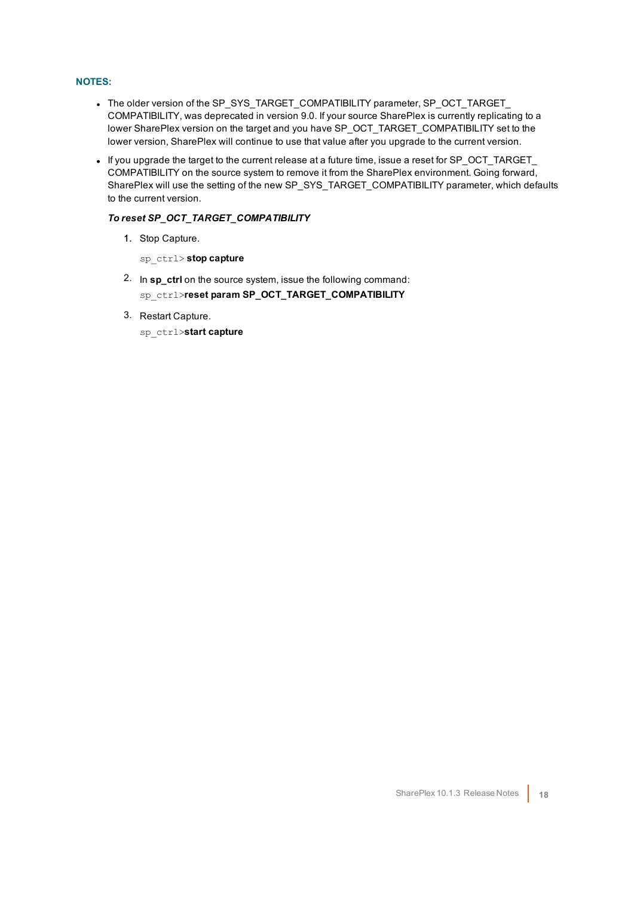#### **NOTES:**

- The older version of the SP\_SYS\_TARGET\_COMPATIBILITY parameter, SP\_OCT\_TARGET COMPATIBILITY, was deprecated in version 9.0. If your source SharePlex is currently replicating to a lower SharePlex version on the target and you have SP\_OCT\_TARGET\_COMPATIBILITY set to the lower version, SharePlex will continue to use that value after you upgrade to the current version.
- If you upgrade the target to the current release at a future time, issue a reset for SP\_OCT\_TARGET COMPATIBILITY on the source system to remove it from the SharePlex environment. Going forward, SharePlex will use the setting of the new SP\_SYS\_TARGET\_COMPATIBILITY parameter, which defaults to the current version.

#### *To reset SP\_OCT\_TARGET\_COMPATIBILITY*

- 1. Stop Capture.
	- sp\_ctrl> **stop capture**
- 2. In **sp\_ctrl** on the source system, issue the following command: sp\_ctrl>**reset param SP\_OCT\_TARGET\_COMPATIBILITY**
- 3. Restart Capture.
	- sp\_ctrl>**start capture**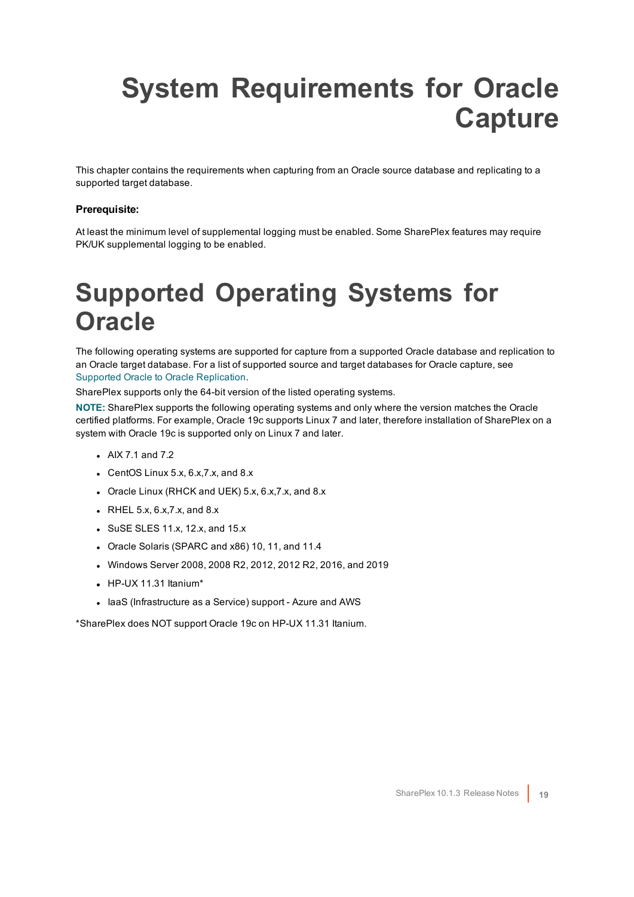## <span id="page-18-0"></span>**System Requirements for Oracle Capture**

This chapter contains the requirements when capturing from an Oracle source database and replicating to a supported target database.

#### **Prerequisite:**

<span id="page-18-1"></span>At least the minimum level of supplemental logging must be enabled. Some SharePlex features may require PK/UK supplemental logging to be enabled.

### **Supported Operating Systems for Oracle**

The following operating systems are supported for capture from a supported Oracle database and replication to an Oracle target database. For a list of supported source and target databases for Oracle capture, see Supported Oracle to Oracle [Replication](#page-20-0).

SharePlex supports only the 64-bit version of the listed operating systems.

**NOTE:** SharePlex supports the following operating systems and only where the version matches the Oracle certified platforms. For example, Oracle 19c supports Linux 7 and later, therefore installation of SharePlex on a system with Oracle 19c is supported only on Linux 7 and later.

- $\bullet$  AIX 7.1 and 7.2
- CentOS Linux  $5.x$ ,  $6.x$ ,  $7.x$ , and  $8.x$
- Oracle Linux (RHCK and UEK) 5.x, 6.x, 7.x, and 8.x
- $\bullet$  RHEL 5.x, 6.x, 7.x, and 8.x
- $\bullet$  SuSE SLES 11.x, 12.x, and 15.x
- Oracle Solaris (SPARC and x86) 10, 11, and 11.4
- $\bullet$  Windows Server 2008, 2008 R2, 2012, 2012 R2, 2016, and 2019
- $\bullet$  HP-UX 11.31 Itanium\*
- laaS (Infrastructure as a Service) support Azure and AWS

\*SharePlex does NOT support Oracle 19c on HP-UX 11.31 Itanium.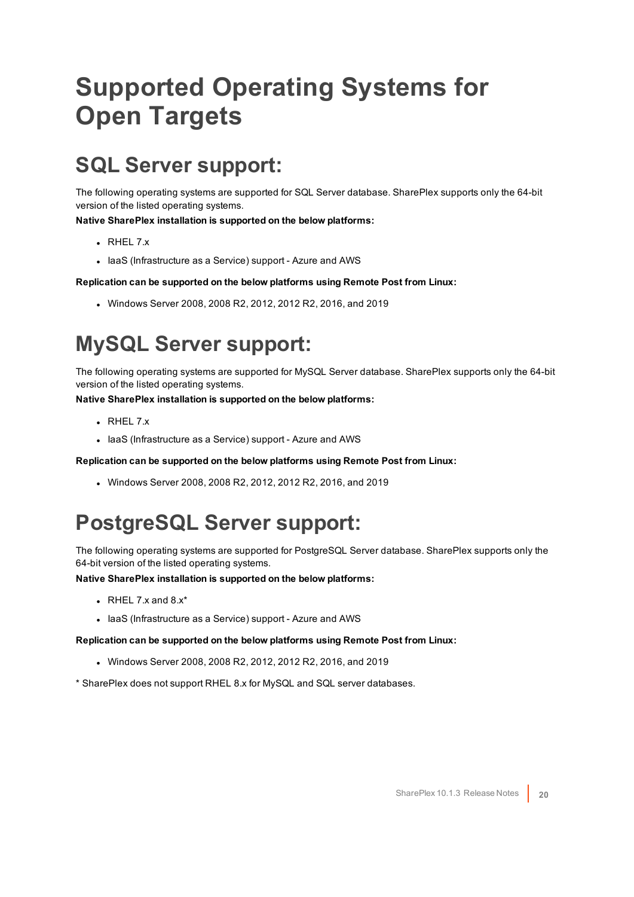## <span id="page-19-0"></span>**Supported Operating Systems for Open Targets**

### <span id="page-19-1"></span>**SQL Server support:**

The following operating systems are supported for SQL Server database. SharePlex supports only the 64-bit version of the listed operating systems.

**Native SharePlex installation is supported on the below platforms:**

- $\cdot$  RHFL 7.x
- laaS (Infrastructure as a Service) support Azure and AWS

**Replication can be supported on the below platforms using Remote Post from Linux:**

 $\bullet$  Windows Server 2008, 2008 R2, 2012, 2012 R2, 2016, and 2019

### <span id="page-19-2"></span>**MySQL Server support:**

The following operating systems are supported for MySQL Server database. SharePlex supports only the 64-bit version of the listed operating systems.

**Native SharePlex installation is supported on the below platforms:**

- $\cdot$  RHEL 7.x
- laaS (Infrastructure as a Service) support Azure and AWS

**Replication can be supported on the below platforms using Remote Post from Linux:**

 $\bullet$  Windows Server 2008, 2008 R2, 2012, 2012 R2, 2016, and 2019

### <span id="page-19-3"></span>**PostgreSQL Server support:**

The following operating systems are supported for PostgreSQL Server database. SharePlex supports only the 64-bit version of the listed operating systems.

**Native SharePlex installation is supported on the below platforms:**

- $\bullet$  RHEL 7.x and 8.x\*
- laaS (Infrastructure as a Service) support Azure and AWS

**Replication can be supported on the below platforms using Remote Post from Linux:**

- $\bullet$  Windows Server 2008, 2008 R2, 2012, 2012 R2, 2016, and 2019
- \* SharePlex does not support RHEL 8.x for MySQL and SQL server databases.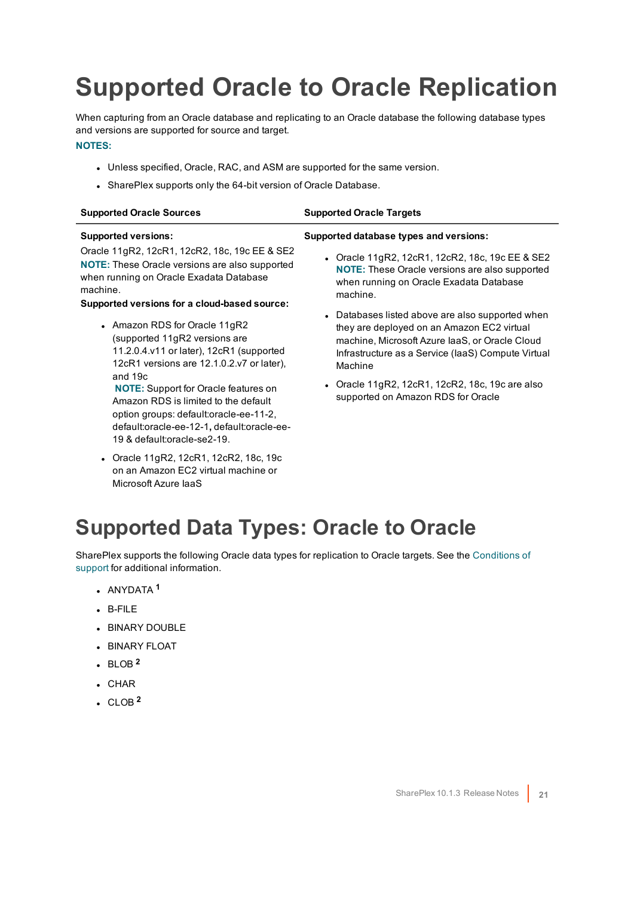## <span id="page-20-0"></span>**Supported Oracle to Oracle Replication**

When capturing from an Oracle database and replicating to an Oracle database the following database types and versions are supported for source and target.

#### **NOTES:**

- Unless specified, Oracle, RAC, and ASM are supported for the same version.
- SharePlex supports only the 64-bit version of Oracle Database.

default:oracle-ee-12-1**,** default:oracle-ee-

• Oracle 11gR2, 12cR1, 12cR2, 18c, 19c on an Amazon EC2 virtual machine or

19 & default:oracle-se2-19.

Microsoft Azure IaaS

| <b>Supported Oracle Sources</b>                                                                                                                                                                         | <b>Supported Oracle Targets</b>                                                                                                                                                                                   |
|---------------------------------------------------------------------------------------------------------------------------------------------------------------------------------------------------------|-------------------------------------------------------------------------------------------------------------------------------------------------------------------------------------------------------------------|
| <b>Supported versions:</b>                                                                                                                                                                              | Supported database types and versions:                                                                                                                                                                            |
| Oracle 11gR2, 12cR1, 12cR2, 18c, 19c EE & SE2<br>NOTE: These Oracle versions are also supported<br>when running on Oracle Exadata Database<br>machine.                                                  | • Oracle 11gR2, 12cR1, 12cR2, 18c, 19c EE & SE2<br><b>NOTE:</b> These Oracle versions are also supported<br>when running on Oracle Exadata Database<br>machine.                                                   |
| Supported versions for a cloud-based source:<br>• Amazon RDS for Oracle 11gR2<br>(supported 11gR2 versions are<br>11.2.0.4.v11 or later), 12cR1 (supported<br>12cR1 versions are 12.1.0.2.v7 or later), | • Databases listed above are also supported when<br>they are deployed on an Amazon EC2 virtual<br>machine, Microsoft Azure IaaS, or Oracle Cloud<br>Infrastructure as a Service (IaaS) Compute Virtual<br>Machine |
| and $19c$<br><b>NOTE:</b> Support for Oracle features on<br>Amazon RDS is limited to the default<br>option groups: default:oracle-ee-11-2,                                                              | • Oracle $11gR2$ , $12cR1$ , $12cR2$ , $18c$ , $19c$ are also<br>supported on Amazon RDS for Oracle                                                                                                               |

### <span id="page-20-1"></span>**Supported Data Types: Oracle to Oracle**

SharePlex supports the following Oracle data types for replication to Oracle targets. See the [Conditions](#page-21-0) of [support](#page-21-0) for additional information.

- <sup>l</sup> ANYDATA **<sup>1</sup>**
- $-B-FILE$
- **BINARY DOUBLE**
- **.** BINARY FLOAT
- $\cdot$  BLOB<sup>2</sup>
- $\cdot$  CHAR
- $\cdot$  CLOB<sup>2</sup>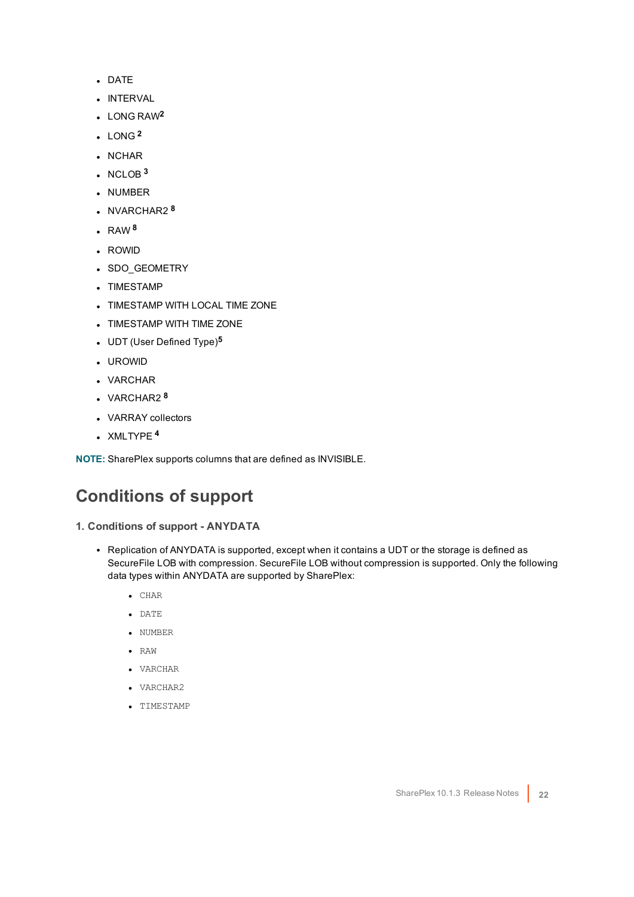- DATE
- **.** INTERVAL
- <sup>l</sup> LONG RAW**<sup>2</sup>**
- $LONG<sup>2</sup>$
- . NCHAR
- $\cdot$  NCLOB  $3$
- NUMBER
- NVARCHAR2<sup>8</sup>
- $\cdot$  RAW<sup>8</sup>
- ROWID
- SDO\_GEOMETRY
- TIMESTAMP
- TIMESTAMP WITH LOCAL TIME ZONE
- TIMESTAMP WITH TIME ZONE
- <sup>l</sup> UDT (User Defined Type)**<sup>5</sup>**
- <sup>l</sup> UROWID
- VARCHAR
- <sup>l</sup> VARCHAR2 **<sup>8</sup>**
- VARRAY collectors
- <sup>l</sup> XMLTYPE **<sup>4</sup>**

<span id="page-21-0"></span>**NOTE:** SharePlex supports columns that are defined as INVISIBLE.

### **Conditions of support**

- **1. Conditions of support - ANYDATA**
	- Replication of ANYDATA is supported, except when it contains a UDT or the storage is defined as SecureFile LOB with compression. SecureFile LOB without compression is supported. Only the following data types within ANYDATA are supported by SharePlex:
		- $\bullet$  CHAR
		- $\bullet$  DATE
		- NUMBER
		- $\bullet$  RAW
		- VARCHAR
		- VARCHAR2
		- TIMESTAMP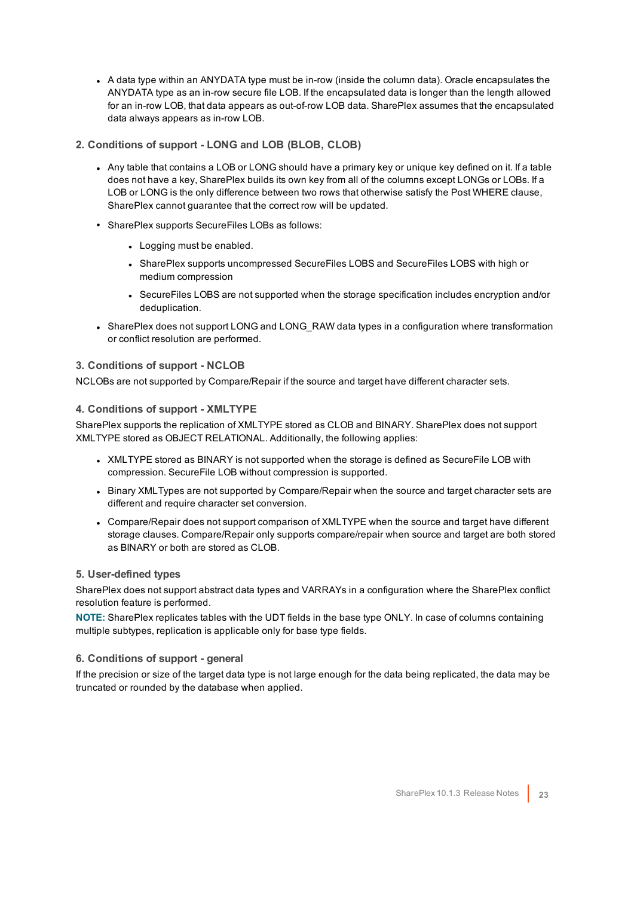- A data type within an ANYDATA type must be in-row (inside the column data). Oracle encapsulates the ANYDATA type as an in-row secure file LOB. If the encapsulated data is longer than the length allowed for an in-row LOB, that data appears as out-of-row LOB data. SharePlex assumes that the encapsulated data always appears as in-row LOB.
- **2. Conditions of support - LONG and LOB (BLOB, CLOB)**
	- Any table that contains a LOB or LONG should have a primary key or unique key defined on it. If a table does not have a key, SharePlex builds its own key from all of the columns except LONGs or LOBs. If a LOB or LONG is the only difference between two rows that otherwise satisfy the Post WHERE clause, SharePlex cannot guarantee that the correct row will be updated.
	- SharePlex supports SecureFiles LOBs as follows:
		- Logging must be enabled.
		- <sup>l</sup> SharePlex supports uncompressed SecureFiles LOBS and SecureFiles LOBS with high or medium compression
		- SecureFiles LOBS are not supported when the storage specification includes encryption and/or deduplication.
	- SharePlex does not support LONG and LONG\_RAW data types in a configuration where transformation or conflict resolution are performed.

#### **3. Conditions of support - NCLOB**

NCLOBs are not supported by Compare/Repair if the source and target have different character sets.

#### **4. Conditions of support - XMLTYPE**

SharePlex supports the replication of XMLTYPE stored as CLOB and BINARY. SharePlex does not support XMLTYPE stored as OBJECT RELATIONAL. Additionally, the following applies:

- XMLTYPE stored as BINARY is not supported when the storage is defined as SecureFile LOB with compression. SecureFile LOB without compression is supported.
- Binary XMLTypes are not supported by Compare/Repair when the source and target character sets are different and require character set conversion.
- Compare/Repair does not support comparison of XMLTYPE when the source and target have different storage clauses. Compare/Repair only supports compare/repair when source and target are both stored as BINARY or both are stored as CLOB.

#### **5. User-defined types**

SharePlex does not support abstract data types and VARRAYs in a configuration where the SharePlex conflict resolution feature is performed.

**NOTE:** SharePlex replicates tables with the UDT fields in the base type ONLY. In case of columns containing multiple subtypes, replication is applicable only for base type fields.

#### **6. Conditions of support - general**

If the precision or size of the target data type is not large enough for the data being replicated, the data may be truncated or rounded by the database when applied.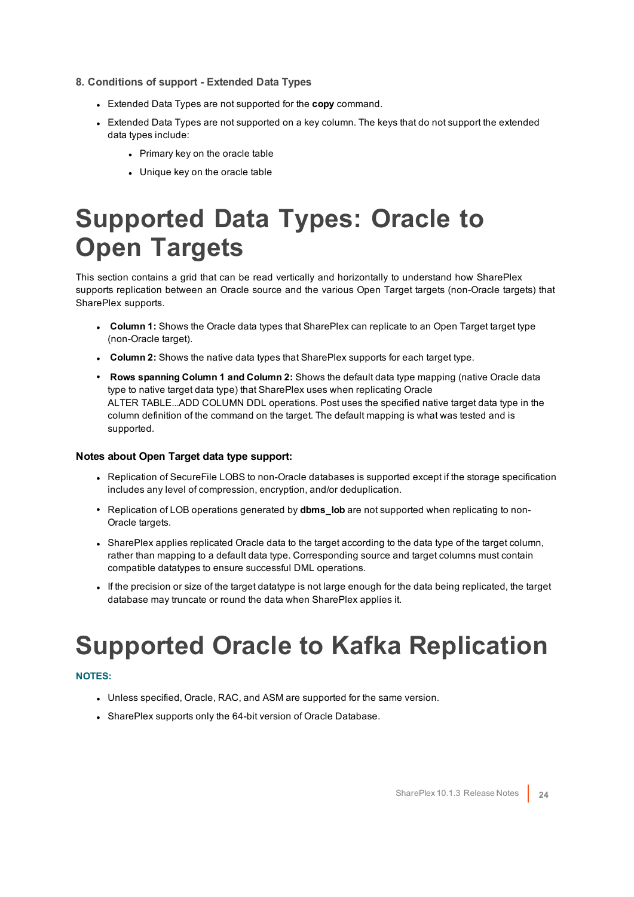- **8. Conditions of support - Extended Data Types**
	- **Extended Data Types are not supported for the copy command.**
	- Extended Data Types are not supported on a key column. The keys that do not support the extended data types include:
		- Primary key on the oracle table
		- Unique key on the oracle table

## <span id="page-23-0"></span>**Supported Data Types: Oracle to Open Targets**

This section contains a grid that can be read vertically and horizontally to understand how SharePlex supports replication between an Oracle source and the various Open Target targets (non-Oracle targets) that SharePlex supports.

- **Column 1:** Shows the Oracle data types that SharePlex can replicate to an Open Target target type (non-Oracle target).
- **Column 2:** Shows the native data types that SharePlex supports for each target type.
- <sup>l</sup> **Rows spanning Column 1 and Column 2:** Shows the default data type mapping (native Oracle data type to native target data type) that SharePlex uses when replicating Oracle ALTER TABLE...ADD COLUMN DDL operations. Post uses the specified native target data type in the column definition of the command on the target. The default mapping is what was tested and is supported.

#### **Notes about Open Target data type support:**

- Replication of SecureFile LOBS to non-Oracle databases is supported except if the storage specification includes any level of compression, encryption, and/or deduplication.
- Replication of LOB operations generated by **dbms** lob are not supported when replicating to non-Oracle targets.
- SharePlex applies replicated Oracle data to the target according to the data type of the target column, rather than mapping to a default data type. Corresponding source and target columns must contain compatible datatypes to ensure successful DML operations.
- <sup>l</sup> If the precision or size of the target datatype is not large enough for the data being replicated, the target database may truncate or round the data when SharePlex applies it.

## <span id="page-23-1"></span>**Supported Oracle to Kafka Replication**

#### **NOTES:**

- Unless specified, Oracle, RAC, and ASM are supported for the same version.
- SharePlex supports only the 64-bit version of Oracle Database.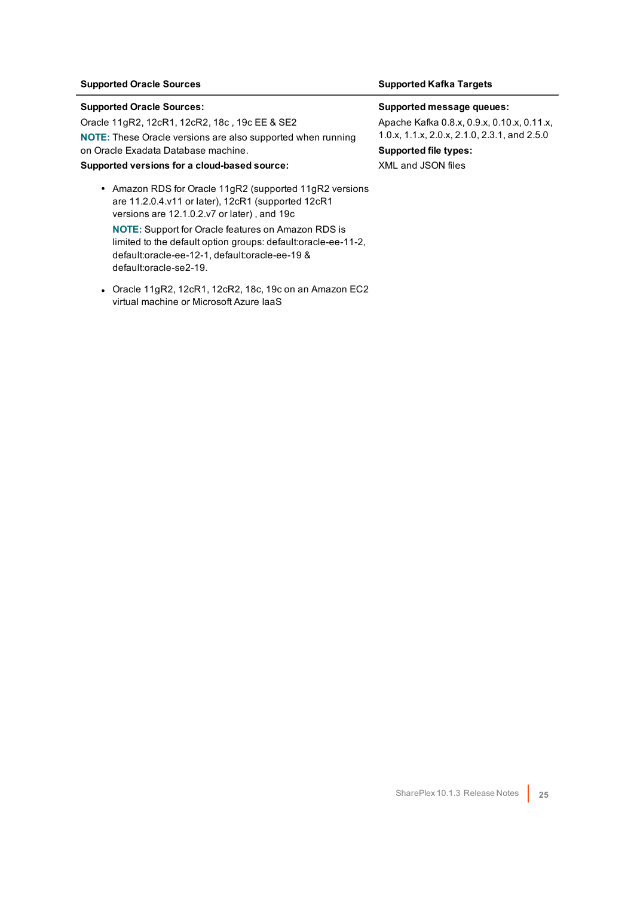#### **Supported Oracle Sources Supported Kafka Targets**

#### **Supported Oracle Sources:**

Oracle 11gR2, 12cR1, 12cR2, 18c , 19c EE & SE2 **NOTE:** These Oracle versions are also supported when running on Oracle Exadata Database machine.

#### **Supported versions for a cloud-based source:**

- Amazon RDS for Oracle 11gR2 (supported 11gR2 versions are 11.2.0.4.v11 or later), 12cR1 (supported 12cR1 versions are 12.1.0.2.v7 or later) , and 19c **NOTE:** Support for Oracle features on Amazon RDS is limited to the default option groups: default:oracle-ee-11-2, default:oracle-ee-12-1, default:oracle-ee-19 & default:oracle-se2-19.
- Oracle 11gR2, 12cR1, 12cR2, 18c, 19c on an Amazon EC2 virtual machine or Microsoft Azure IaaS

#### **Supported message queues:**

Apache Kafka 0.8.x, 0.9.x, 0.10.x, 0.11.x, 1.0.x, 1.1.x, 2.0.x, 2.1.0, 2.3.1, and 2.5.0 **Supported file types:**

XML and JSON files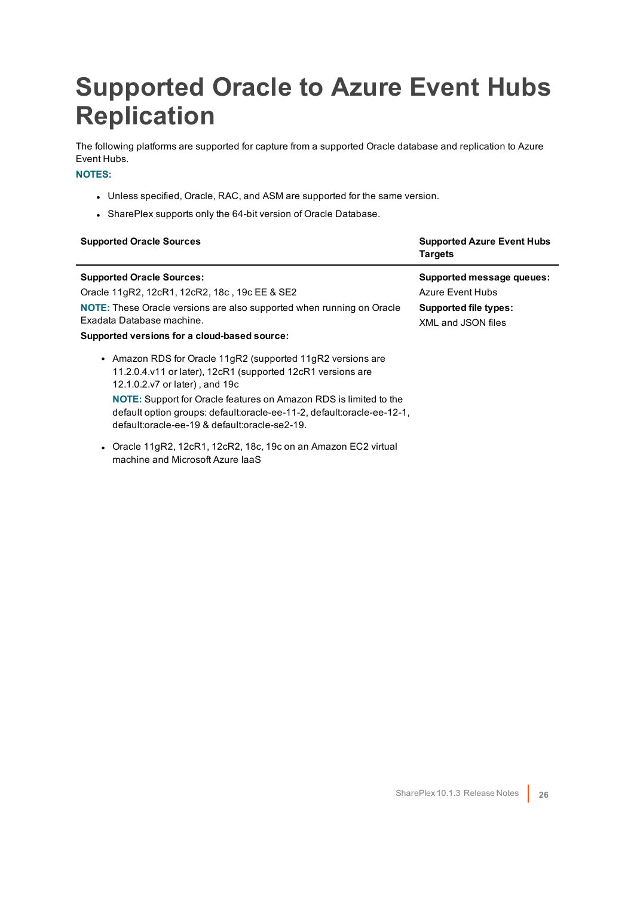## <span id="page-25-0"></span>**Supported Oracle to Azure Event Hubs Replication**

The following platforms are supported for capture from a supported Oracle database and replication to Azure Event Hubs.

#### **NOTES:**

- Unless specified, Oracle, RAC, and ASM are supported for the same version.
- SharePlex supports only the 64-bit version of Oracle Database.

| <b>Supported Oracle Sources</b>                                                                                                                                                                                                                                                                                                                                    | <b>Supported Azure Event Hubs</b><br><b>Targets</b>                                                 |
|--------------------------------------------------------------------------------------------------------------------------------------------------------------------------------------------------------------------------------------------------------------------------------------------------------------------------------------------------------------------|-----------------------------------------------------------------------------------------------------|
| <b>Supported Oracle Sources:</b><br>Oracle 11gR2, 12cR1, 12cR2, 18c, 19c EE & SE2<br>NOTE: These Oracle versions are also supported when running on Oracle<br>Exadata Database machine.<br>Supported versions for a cloud-based source:                                                                                                                            | Supported message queues:<br>Azure Event Hubs<br><b>Supported file types:</b><br>XML and JSON files |
| • Amazon RDS for Oracle 11gR2 (supported 11gR2 versions are<br>11.2.0.4.v11 or later), 12cR1 (supported 12cR1 versions are<br>12.1.0.2.v7 or later), and 19c<br><b>NOTE:</b> Support for Oracle features on Amazon RDS is limited to the<br>default option groups: default:oracle-ee-11-2, default:oracle-ee-12-1,<br>default:oracle-ee-19 & default:oracle-se2-19 |                                                                                                     |

• Oracle 11gR2, 12cR1, 12cR2, 18c, 19c on an Amazon EC2 virtual machine and Microsoft Azure IaaS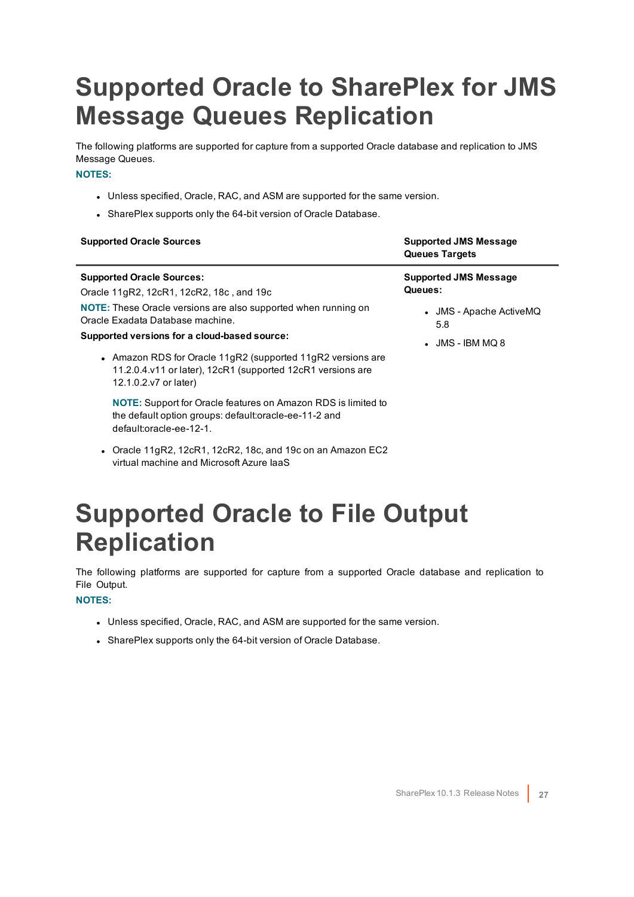## <span id="page-26-0"></span>**Supported Oracle to SharePlex for JMS Message Queues Replication**

The following platforms are supported for capture from a supported Oracle database and replication to JMS Message Queues.

#### **NOTES:**

- Unless specified, Oracle, RAC, and ASM are supported for the same version.
- SharePlex supports only the 64-bit version of Oracle Database.

| <b>Supported Oracle Sources</b>                                                                                                                                                                     | <b>Supported JMS Message</b><br><b>Queues Targets</b> |
|-----------------------------------------------------------------------------------------------------------------------------------------------------------------------------------------------------|-------------------------------------------------------|
| <b>Supported Oracle Sources:</b><br>Oracle 11gR2, 12cR1, 12cR2, 18c, and 19c                                                                                                                        | <b>Supported JMS Message</b><br>Queues:               |
| NOTE: These Oracle versions are also supported when running on<br>Oracle Exadata Database machine.                                                                                                  | • JMS - Apache ActiveMQ<br>5.8                        |
| Supported versions for a cloud-based source:<br>• Amazon RDS for Oracle 11gR2 (supported 11gR2 versions are<br>11.2.0.4.v11 or later), 12cR1 (supported 12cR1 versions are<br>12.1.0.2.v7 or later) | $\bullet$ JMS - IBM MQ 8                              |
| NOTE: Support for Oracle features on Amazon RDS is limited to<br>the default option groups: default:oracle-ee-11-2 and<br>default:oracle-ee-12-1.                                                   |                                                       |

• Oracle 11gR2, 12cR1, 12cR2, 18c, and 19c on an Amazon EC2 virtual machine and Microsoft Azure IaaS

## <span id="page-26-1"></span>**Supported Oracle to File Output Replication**

The following platforms are supported for capture from a supported Oracle database and replication to File Output.

#### **NOTES:**

- Unless specified, Oracle, RAC, and ASM are supported for the same version.
- SharePlex supports only the 64-bit version of Oracle Database.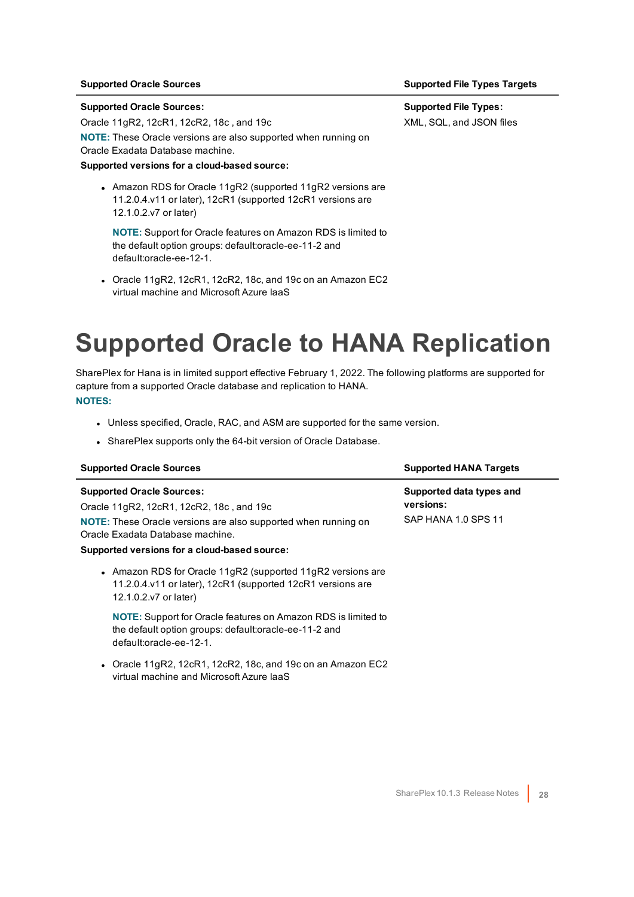#### **Supported Oracle Sources:**

Oracle 11gR2, 12cR1, 12cR2, 18c , and 19c

**NOTE:** These Oracle versions are also supported when running on Oracle Exadata Database machine.

#### **Supported versions for a cloud-based source:**

• Amazon RDS for Oracle 11gR2 (supported 11gR2 versions are 11.2.0.4.v11 or later), 12cR1 (supported 12cR1 versions are 12.1.0.2.v7 or later)

**NOTE:** Support for Oracle features on Amazon RDS is limited to the default option groups: default:oracle-ee-11-2 and default:oracle-ee-12-1.

• Oracle 11gR2, 12cR1, 12cR2, 18c, and 19c on an Amazon EC2 virtual machine and Microsoft Azure IaaS

### <span id="page-27-0"></span>**Supported Oracle to HANA Replication**

SharePlex for Hana is in limited support effective February 1, 2022. The following platforms are supported for capture from a supported Oracle database and replication to HANA. **NOTES:**

- Unless specified, Oracle, RAC, and ASM are supported for the same version.
- SharePlex supports only the 64-bit version of Oracle Database.

| <b>Supported Oracle Sources</b>                                                                                                                                                                                                           | <b>Supported HANA Targets</b>                                |
|-------------------------------------------------------------------------------------------------------------------------------------------------------------------------------------------------------------------------------------------|--------------------------------------------------------------|
| <b>Supported Oracle Sources:</b><br>Oracle 11gR2, 12cR1, 12cR2, 18c, and 19c<br><b>NOTE:</b> These Oracle versions are also supported when running on<br>Oracle Exadata Database machine.<br>Supported versions for a cloud-based source: | Supported data types and<br>versions:<br>SAP HANA 1.0 SPS 11 |
| • Amazon RDS for Oracle 11gR2 (supported 11gR2 versions are<br>11.2.0.4.v11 or later), 12cR1 (supported 12cR1 versions are<br>12.1.0.2.v7 or later)                                                                                       |                                                              |
| <b>NOTE:</b> Support for Oracle features on Amazon RDS is limited to<br>the default option groups: default:oracle-ee-11-2 and<br>default:oracle-ee-12-1.                                                                                  |                                                              |
| • Oracle 11gR2, 12cR1, 12cR2, 18c, and 19c on an Amazon EC2<br>virtual machine and Microsoft Azure laaS                                                                                                                                   |                                                              |

#### **Supported Oracle Sources Supported File Types Targets**

**Supported File Types:** XML, SQL, and JSON files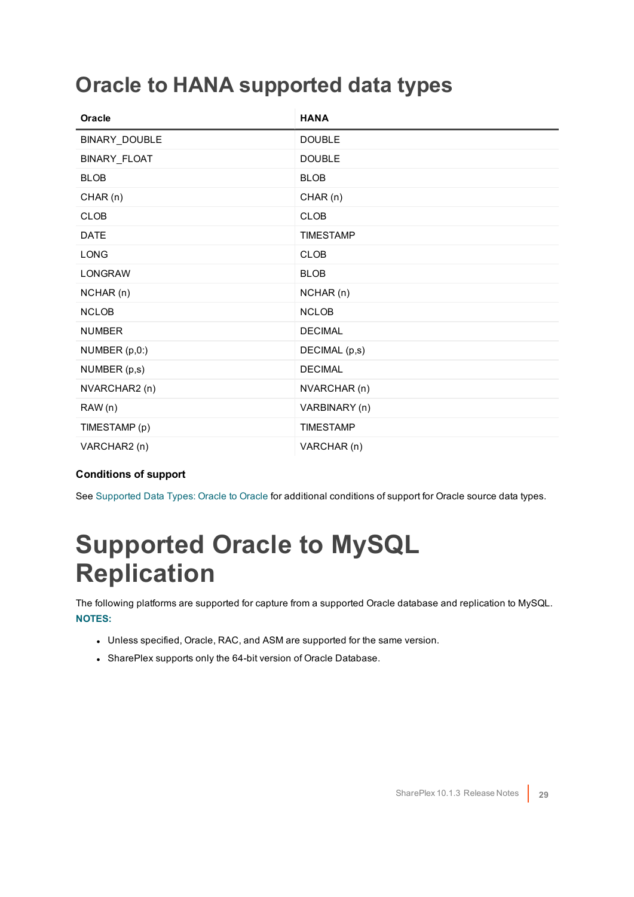### <span id="page-28-0"></span>**Oracle to HANA supported data types**

| Oracle         | <b>HANA</b>      |
|----------------|------------------|
| BINARY_DOUBLE  | <b>DOUBLE</b>    |
| BINARY_FLOAT   | <b>DOUBLE</b>    |
| <b>BLOB</b>    | <b>BLOB</b>      |
| CHAR (n)       | CHAR (n)         |
| <b>CLOB</b>    | <b>CLOB</b>      |
| <b>DATE</b>    | <b>TIMESTAMP</b> |
| <b>LONG</b>    | <b>CLOB</b>      |
| <b>LONGRAW</b> | <b>BLOB</b>      |
| NCHAR (n)      | NCHAR (n)        |
| <b>NCLOB</b>   | <b>NCLOB</b>     |
| <b>NUMBER</b>  | <b>DECIMAL</b>   |
| NUMBER (p,0:)  | DECIMAL (p,s)    |
| NUMBER (p,s)   | <b>DECIMAL</b>   |
| NVARCHAR2 (n)  | NVARCHAR (n)     |
| RAW(n)         | VARBINARY (n)    |
| TIMESTAMP (p)  | <b>TIMESTAMP</b> |
| VARCHAR2 (n)   | VARCHAR (n)      |

#### **Conditions of support**

<span id="page-28-1"></span>See [Supported](#page-20-1) Data Types: Oracle to Oracle for additional conditions of support for Oracle source data types.

### **Supported Oracle to MySQL Replication**

The following platforms are supported for capture from a supported Oracle database and replication to MySQL. **NOTES:**

- Unless specified, Oracle, RAC, and ASM are supported for the same version.
- SharePlex supports only the 64-bit version of Oracle Database.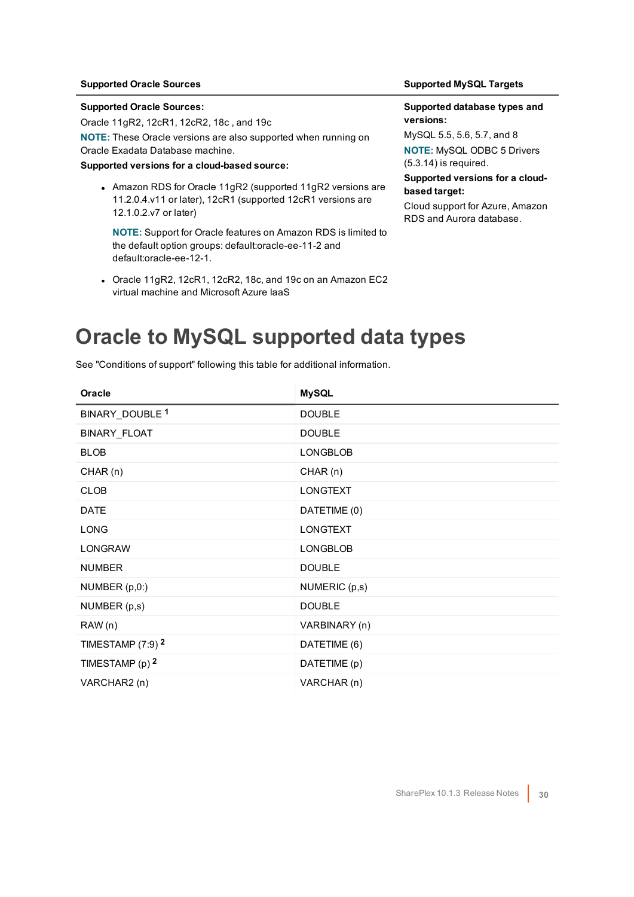#### **Supported Oracle Sources:**

Oracle 11gR2, 12cR1, 12cR2, 18c , and 19c

**NOTE:** These Oracle versions are also supported when running on Oracle Exadata Database machine.

#### **Supported versions for a cloud-based source:**

• Amazon RDS for Oracle 11gR2 (supported 11gR2 versions are 11.2.0.4.v11 or later), 12cR1 (supported 12cR1 versions are 12.1.0.2.v7 or later)

**NOTE:** Support for Oracle features on Amazon RDS is limited to the default option groups: default:oracle-ee-11-2 and default:oracle-ee-12-1.

• Oracle 11gR2, 12cR1, 12cR2, 18c, and 19c on an Amazon EC2 virtual machine and Microsoft Azure IaaS

#### **Supported Oracle Sources Supported MySQL Targets**

#### **Supported database types and versions:**

MySQL 5.5, 5.6, 5.7, and 8 **NOTE:** MySQL ODBC 5 Drivers (5.3.14) is required.

#### **Supported versions for a cloudbased target:**

Cloud support for Azure, Amazon RDS and Aurora database.

### <span id="page-29-0"></span>**Oracle to MySQL supported data types**

| Oracle                         | <b>MySQL</b>    |
|--------------------------------|-----------------|
| BINARY_DOUBLE <sup>1</sup>     | <b>DOUBLE</b>   |
| BINARY_FLOAT                   | <b>DOUBLE</b>   |
| <b>BLOB</b>                    | <b>LONGBLOB</b> |
| CHAR(n)                        | CHAR(n)         |
| <b>CLOB</b>                    | <b>LONGTEXT</b> |
| <b>DATE</b>                    | DATETIME (0)    |
| <b>LONG</b>                    | <b>LONGTEXT</b> |
| <b>LONGRAW</b>                 | <b>LONGBLOB</b> |
| <b>NUMBER</b>                  | <b>DOUBLE</b>   |
| NUMBER (p,0:)                  | NUMERIC (p,s)   |
| NUMBER (p,s)                   | <b>DOUBLE</b>   |
| RAW (n)                        | VARBINARY (n)   |
| TIMESTAMP $(7:9)$ <sup>2</sup> | DATETIME (6)    |
| TIMESTAMP (p) 2                | DATETIME (p)    |
| VARCHAR2 (n)                   | VARCHAR (n)     |

See "Conditions of support" following this table for additional information.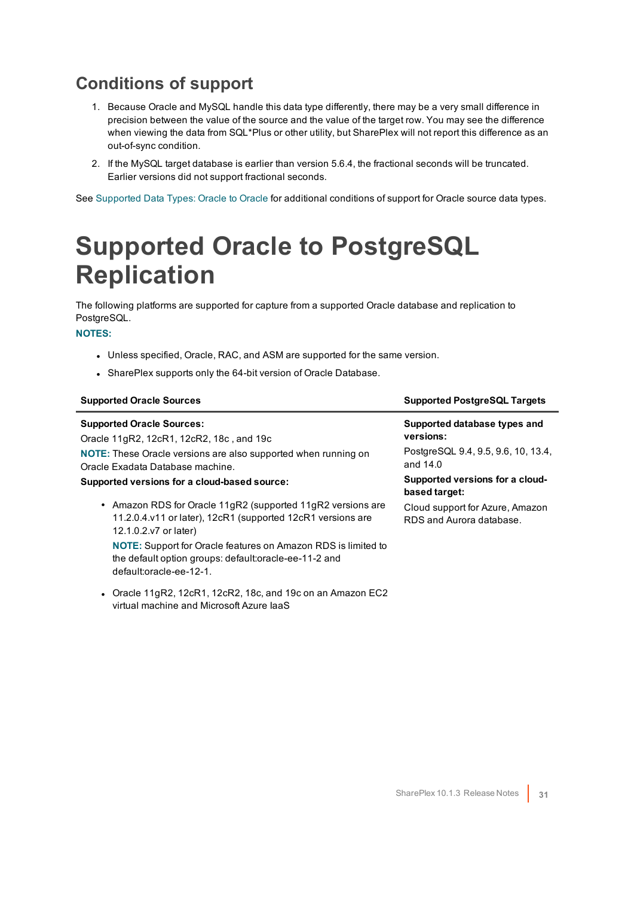- <span id="page-30-0"></span>1. Because Oracle and MySQL handle this data type differently, there may be a very small difference in precision between the value of the source and the value of the target row. You may see the difference when viewing the data from SQL\*Plus or other utility, but SharePlex will not report this difference as an out-of-sync condition.
- 2. If the MySQL target database is earlier than version 5.6.4, the fractional seconds will be truncated. Earlier versions did not support fractional seconds.

<span id="page-30-1"></span>See [Supported](#page-20-1) Data Types: Oracle to Oracle for additional conditions of support for Oracle source data types.

### **Supported Oracle to PostgreSQL Replication**

The following platforms are supported for capture from a supported Oracle database and replication to PostgreSQL.

#### **NOTES:**

- Unless specified, Oracle, RAC, and ASM are supported for the same version.
- SharePlex supports only the 64-bit version of Oracle Database.

virtual machine and Microsoft Azure IaaS

| <b>Supported Oracle Sources</b>                                                                                                                          | <b>Supported PostgreSQL Targets</b>                         |
|----------------------------------------------------------------------------------------------------------------------------------------------------------|-------------------------------------------------------------|
| <b>Supported Oracle Sources:</b>                                                                                                                         | Supported database types and<br>versions:                   |
| Oracle 11gR2, 12cR1, 12cR2, 18c, and 19c                                                                                                                 |                                                             |
| <b>NOTE:</b> These Oracle versions are also supported when running on<br>Oracle Exadata Database machine.                                                | PostgreSQL 9.4, 9.5, 9.6, 10, 13.4,<br>and 14.0             |
| Supported versions for a cloud-based source:                                                                                                             | Supported versions for a cloud-<br>based target:            |
| • Amazon RDS for Oracle 11gR2 (supported 11gR2 versions are<br>11.2.0.4.v11 or later), 12cR1 (supported 12cR1 versions are<br>12.1.0.2.v7 or later)      | Cloud support for Azure, Amazon<br>RDS and Aurora database. |
| <b>NOTE:</b> Support for Oracle features on Amazon RDS is limited to<br>the default option groups: default:oracle-ee-11-2 and<br>default:oracle-ee-12-1. |                                                             |
| • Oracle 11gR2, 12cR1, 12cR2, 18c, and 19c on an Amazon EC2                                                                                              |                                                             |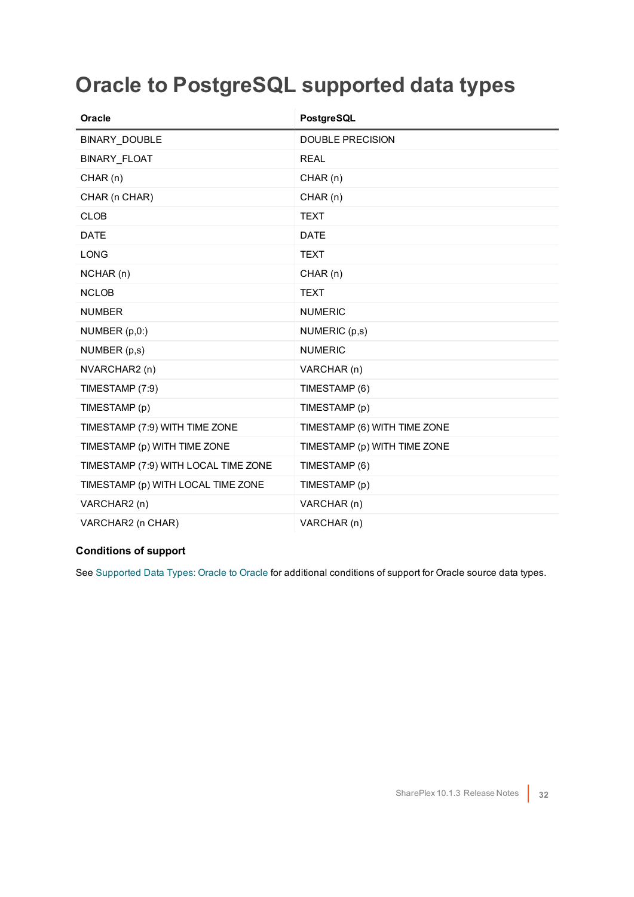### <span id="page-31-0"></span>**Oracle to PostgreSQL supported data types**

| Oracle                               | PostgreSQL                   |
|--------------------------------------|------------------------------|
| BINARY_DOUBLE                        | <b>DOUBLE PRECISION</b>      |
| <b>BINARY FLOAT</b>                  | <b>REAL</b>                  |
| CHAR(n)                              | CHAR(n)                      |
| CHAR (n CHAR)                        | CHAR(n)                      |
| <b>CLOB</b>                          | <b>TEXT</b>                  |
| <b>DATE</b>                          | <b>DATE</b>                  |
| <b>LONG</b>                          | <b>TEXT</b>                  |
| NCHAR (n)                            | CHAR(n)                      |
| <b>NCLOB</b>                         | <b>TEXT</b>                  |
| <b>NUMBER</b>                        | <b>NUMERIC</b>               |
| NUMBER (p,0:)                        | NUMERIC (p,s)                |
| NUMBER (p,s)                         | <b>NUMERIC</b>               |
| NVARCHAR2 (n)                        | VARCHAR (n)                  |
| TIMESTAMP (7:9)                      | TIMESTAMP (6)                |
| TIMESTAMP (p)                        | TIMESTAMP (p)                |
| TIMESTAMP (7:9) WITH TIME ZONE       | TIMESTAMP (6) WITH TIME ZONE |
| TIMESTAMP (p) WITH TIME ZONE         | TIMESTAMP (p) WITH TIME ZONE |
| TIMESTAMP (7:9) WITH LOCAL TIME ZONE | TIMESTAMP (6)                |
| TIMESTAMP (p) WITH LOCAL TIME ZONE   | TIMESTAMP (p)                |
| VARCHAR2 (n)                         | VARCHAR (n)                  |
| VARCHAR2 (n CHAR)                    | VARCHAR (n)                  |

#### **Conditions of support**

See [Supported](#page-20-1) Data Types: Oracle to Oracle for additional conditions of support for Oracle source data types.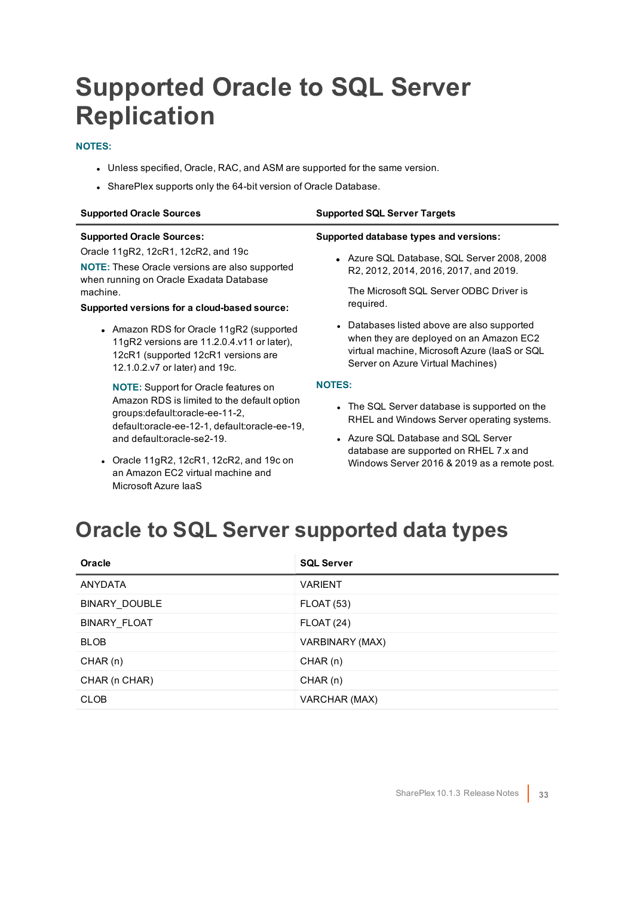## <span id="page-32-0"></span>**Supported Oracle to SQL Server Replication**

#### **NOTES:**

- Unless specified, Oracle, RAC, and ASM are supported for the same version.
- SharePlex supports only the 64-bit version of Oracle Database.

| <b>Supported Oracle Sources</b>                                                                                                                                 | <b>Supported SQL Server Targets</b>                                                                                                                                          |
|-----------------------------------------------------------------------------------------------------------------------------------------------------------------|------------------------------------------------------------------------------------------------------------------------------------------------------------------------------|
| <b>Supported Oracle Sources:</b>                                                                                                                                | Supported database types and versions:                                                                                                                                       |
| Oracle 11gR2, 12cR1, 12cR2, and 19c<br><b>NOTE:</b> These Oracle versions are also supported<br>when running on Oracle Exadata Database                         | • Azure SQL Database, SQL Server 2008, 2008<br>R2, 2012, 2014, 2016, 2017, and 2019.                                                                                         |
| machine.<br>Supported versions for a cloud-based source:                                                                                                        | The Microsoft SQL Server ODBC Driver is<br>required.                                                                                                                         |
| • Amazon RDS for Oracle 11gR2 (supported<br>11gR2 versions are 11.2.0.4.v11 or later),<br>12cR1 (supported 12cR1 versions are<br>12.1.0.2.v7 or later) and 19c. | • Databases listed above are also supported<br>when they are deployed on an Amazon EC2<br>virtual machine, Microsoft Azure (laaS or SQL<br>Server on Azure Virtual Machines) |
| <b>NOTE:</b> Support for Oracle features on                                                                                                                     | <b>NOTES:</b>                                                                                                                                                                |
| Amazon RDS is limited to the default option<br>groups: default: oracle-ee-11-2,<br>default:oracle-ee-12-1, default:oracle-ee-19,                                | • The SQL Server database is supported on the<br>RHEL and Windows Server operating systems.                                                                                  |
| and default:oracle-se2-19.                                                                                                                                      | • Azure SQL Database and SQL Server<br>database are supported on RHEL 7.x and                                                                                                |
|                                                                                                                                                                 |                                                                                                                                                                              |

- Oracle 11gR2, 12cR1, 12cR2, and 19c on an Amazon EC2 virtual machine and Microsoft Azure IaaS
- Windows Server 2016 & 2019 as a remote post.

### <span id="page-32-1"></span>**Oracle to SQL Server supported data types**

| <b>Oracle</b>  | <b>SQL Server</b> |
|----------------|-------------------|
| <b>ANYDATA</b> | <b>VARIENT</b>    |
| BINARY_DOUBLE  | <b>FLOAT (53)</b> |
| BINARY FLOAT   | <b>FLOAT (24)</b> |
| <b>BLOB</b>    | VARBINARY (MAX)   |
| CHAR(n)        | CHAR(n)           |
| CHAR (n CHAR)  | CHAR(n)           |
| <b>CLOB</b>    | VARCHAR (MAX)     |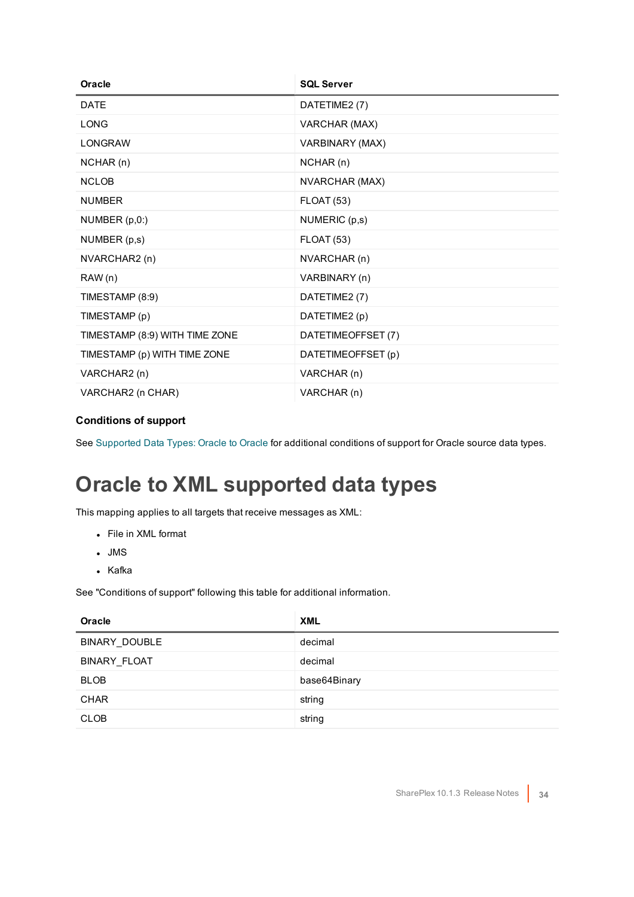| Oracle                         | <b>SQL Server</b>  |
|--------------------------------|--------------------|
| <b>DATE</b>                    | DATETIME2 (7)      |
| <b>LONG</b>                    | VARCHAR (MAX)      |
| <b>LONGRAW</b>                 | VARBINARY (MAX)    |
| NCHAR(n)                       | NCHAR(n)           |
| <b>NCLOB</b>                   | NVARCHAR (MAX)     |
| <b>NUMBER</b>                  | <b>FLOAT (53)</b>  |
| NUMBER (p,0:)                  | NUMERIC (p,s)      |
| NUMBER (p,s)                   | <b>FLOAT (53)</b>  |
| NVARCHAR2 (n)                  | NVARCHAR (n)       |
| RAW(n)                         | VARBINARY (n)      |
| TIMESTAMP (8:9)                | DATETIME2 (7)      |
| TIMESTAMP (p)                  | DATETIME2 (p)      |
| TIMESTAMP (8:9) WITH TIME ZONE | DATETIMEOFFSET (7) |
| TIMESTAMP (p) WITH TIME ZONE   | DATETIMEOFFSET (p) |
| VARCHAR2 (n)                   | VARCHAR (n)        |
| VARCHAR2 (n CHAR)              | VARCHAR (n)        |

<span id="page-33-0"></span>See [Supported](#page-20-1) Data Types: Oracle to Oracle for additional conditions of support for Oracle source data types.

### **Oracle to XML supported data types**

This mapping applies to all targets that receive messages as XML:

- File in XML format
- $\blacksquare$  JMS
- Kafka

See "Conditions of support" following this table for additional information.

| Oracle              | <b>XML</b>   |
|---------------------|--------------|
| BINARY DOUBLE       | decimal      |
| <b>BINARY FLOAT</b> | decimal      |
| <b>BLOB</b>         | base64Binary |
| <b>CHAR</b>         | string       |
| <b>CLOB</b>         | string       |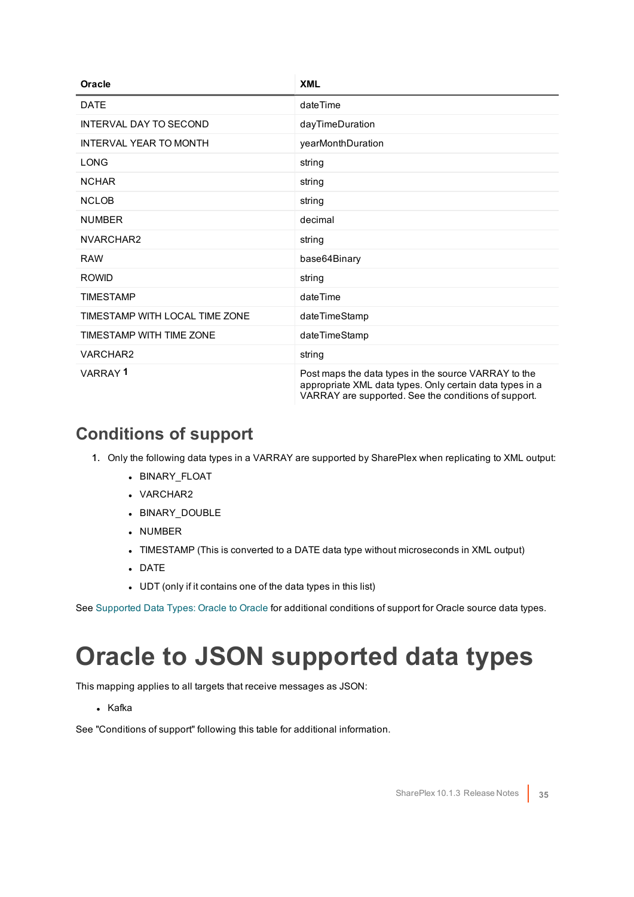| Oracle                         | <b>XML</b>                                                                                                                                                               |
|--------------------------------|--------------------------------------------------------------------------------------------------------------------------------------------------------------------------|
| <b>DATE</b>                    | dateTime                                                                                                                                                                 |
| <b>INTERVAL DAY TO SECOND</b>  | dayTimeDuration                                                                                                                                                          |
| <b>INTERVAL YEAR TO MONTH</b>  | yearMonthDuration                                                                                                                                                        |
| LONG                           | string                                                                                                                                                                   |
| <b>NCHAR</b>                   | string                                                                                                                                                                   |
| <b>NCLOB</b>                   | string                                                                                                                                                                   |
| <b>NUMBER</b>                  | decimal                                                                                                                                                                  |
| NVARCHAR2                      | string                                                                                                                                                                   |
| <b>RAW</b>                     | base64Binary                                                                                                                                                             |
| <b>ROWID</b>                   | string                                                                                                                                                                   |
| <b>TIMESTAMP</b>               | dateTime                                                                                                                                                                 |
| TIMESTAMP WITH LOCAL TIME ZONE | dateTimeStamp                                                                                                                                                            |
| TIMESTAMP WITH TIME ZONE       | dateTimeStamp                                                                                                                                                            |
| VARCHAR2                       | string                                                                                                                                                                   |
| VARRAY <sup>1</sup>            | Post maps the data types in the source VARRAY to the<br>appropriate XML data types. Only certain data types in a<br>VARRAY are supported. See the conditions of support. |

- <span id="page-34-0"></span>1. Only the following data types in a VARRAY are supported by SharePlex when replicating to XML output:
	- BINARY\_FLOAT
	- VARCHAR2
	- BINARY\_DOUBLE
	- NUMBER
	- TIMESTAMP (This is converted to a DATE data type without microseconds in XML output)
	- <sup>l</sup> DATE
	- UDT (only if it contains one of the data types in this list)

<span id="page-34-1"></span>See [Supported](#page-20-1) Data Types: Oracle to Oracle for additional conditions of support for Oracle source data types.

## **Oracle to JSON supported data types**

This mapping applies to all targets that receive messages as JSON:

• Kafka

See "Conditions of support" following this table for additional information.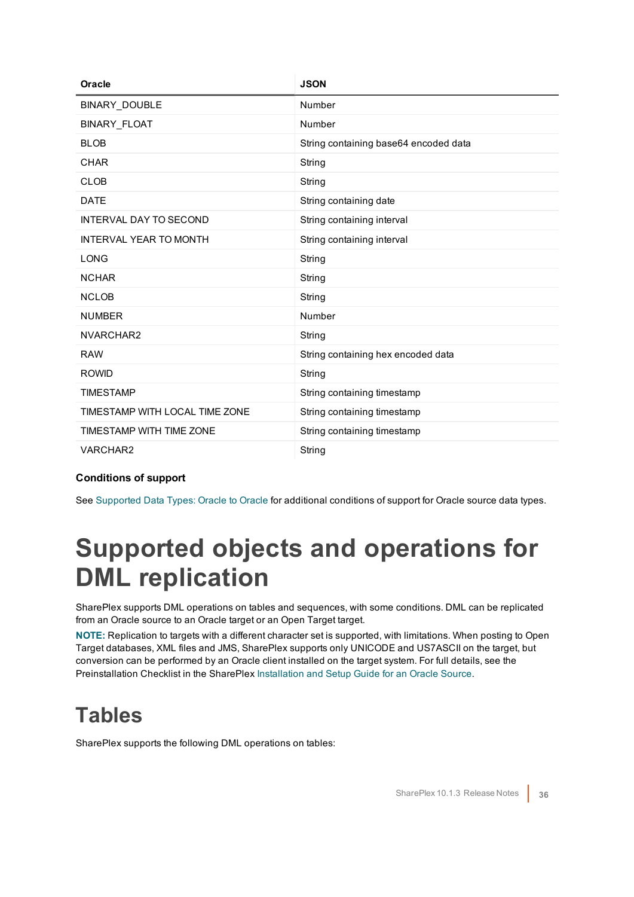| Oracle                         | <b>JSON</b>                           |
|--------------------------------|---------------------------------------|
| BINARY_DOUBLE                  | Number                                |
| <b>BINARY FLOAT</b>            | Number                                |
| <b>BLOB</b>                    | String containing base64 encoded data |
| <b>CHAR</b>                    | String                                |
| <b>CLOB</b>                    | String                                |
| <b>DATE</b>                    | String containing date                |
| <b>INTERVAL DAY TO SECOND</b>  | String containing interval            |
| <b>INTERVAL YEAR TO MONTH</b>  | String containing interval            |
| <b>LONG</b>                    | String                                |
| <b>NCHAR</b>                   | String                                |
| <b>NCLOB</b>                   | String                                |
| <b>NUMBER</b>                  | Number                                |
| NVARCHAR2                      | String                                |
| <b>RAW</b>                     | String containing hex encoded data    |
| <b>ROWID</b>                   | String                                |
| <b>TIMESTAMP</b>               | String containing timestamp           |
| TIMESTAMP WITH LOCAL TIME ZONE | String containing timestamp           |
| TIMESTAMP WITH TIME ZONE       | String containing timestamp           |
| VARCHAR2                       | String                                |

<span id="page-35-0"></span>See [Supported](#page-20-1) Data Types: Oracle to Oracle for additional conditions of support for Oracle source data types.

### **Supported objects and operations for DML replication**

SharePlex supports DML operations on tables and sequences, with some conditions. DML can be replicated from an Oracle source to an Oracle target or an Open Target target.

**NOTE:** Replication to targets with a different character set is supported, with limitations. When posting to Open Target databases, XML files and JMS, SharePlex supports only UNICODE and US7ASCII on the target, but conversion can be performed by an Oracle client installed on the target system. For full details, see the Preinstallation Checklist in the SharePlex [Installation](https://support.quest.com/shareplex) and Setup Guide for an Oracle Source.

### <span id="page-35-1"></span>**Tables**

SharePlex supports the following DML operations on tables: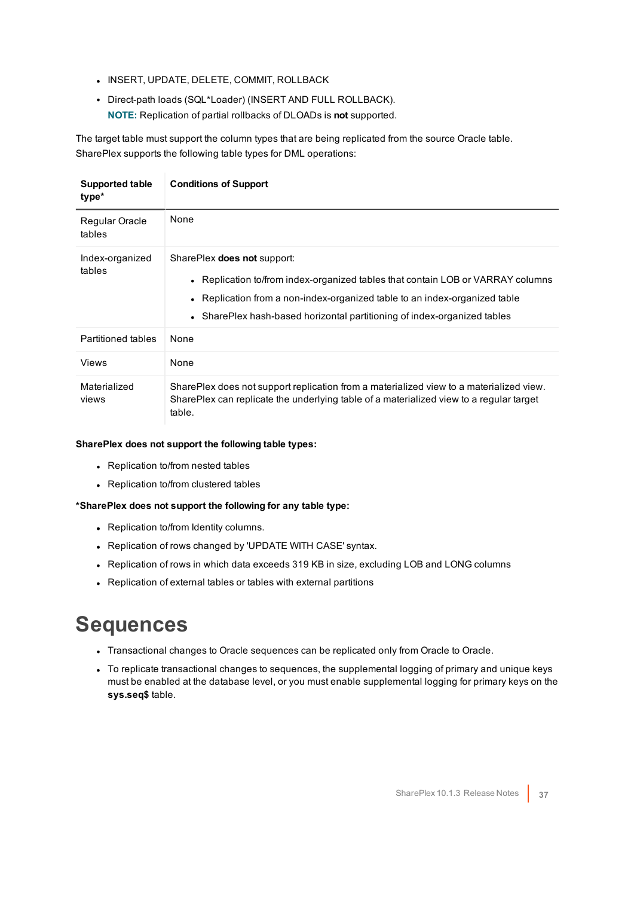- **.** INSERT, UPDATE, DELETE, COMMIT, ROLLBACK
- Direct-path loads (SQL\*Loader) (INSERT AND FULL ROLLBACK). **NOTE:** Replication of partial rollbacks of DLOADs is **not** supported.

The target table must support the column types that are being replicated from the source Oracle table. SharePlex supports the following table types for DML operations:

| Supported table<br>type*  | <b>Conditions of Support</b>                                                                                                                                                                                                                                                    |
|---------------------------|---------------------------------------------------------------------------------------------------------------------------------------------------------------------------------------------------------------------------------------------------------------------------------|
| Regular Oracle<br>tables  | None                                                                                                                                                                                                                                                                            |
| Index-organized<br>tables | SharePlex <b>does not</b> support:<br>• Replication to/from index-organized tables that contain LOB or VARRAY columns<br>• Replication from a non-index-organized table to an index-organized table<br>• SharePlex hash-based horizontal partitioning of index-organized tables |
| <b>Partitioned tables</b> | None                                                                                                                                                                                                                                                                            |
| Views                     | None                                                                                                                                                                                                                                                                            |
| Materialized<br>views     | SharePlex does not support replication from a materialized view to a materialized view.<br>SharePlex can replicate the underlying table of a materialized view to a regular target<br>table.                                                                                    |

#### **SharePlex does not support the following table types:**

- Replication to/from nested tables
- Replication to/from clustered tables

#### **\*SharePlex does not support the following for any table type:**

- Replication to/from Identity columns.
- Replication of rows changed by 'UPDATE WITH CASE' syntax.
- Replication of rows in which data exceeds 319 KB in size, excluding LOB and LONG columns
- <span id="page-36-0"></span>• Replication of external tables or tables with external partitions

### **Sequences**

- Transactional changes to Oracle sequences can be replicated only from Oracle to Oracle.
- To replicate transactional changes to sequences, the supplemental logging of primary and unique keys must be enabled at the database level, or you must enable supplemental logging for primary keys on the **sys.seq\$** table.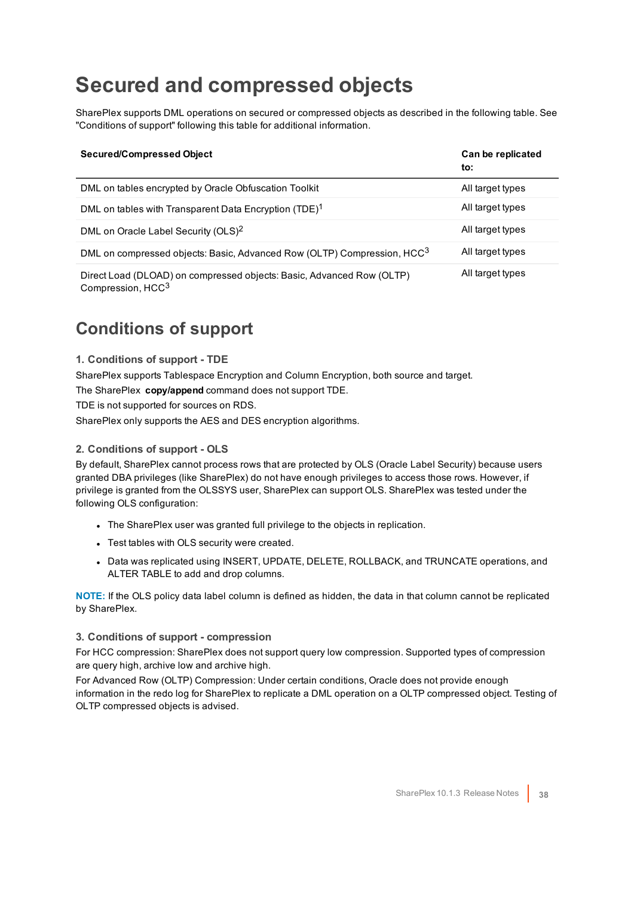### <span id="page-37-0"></span>**Secured and compressed objects**

SharePlex supports DML operations on secured or compressed objects as described in the following table. See "Conditions of support" following this table for additional information.

| <b>Secured/Compressed Object</b>                                                                       | Can be replicated<br>to: |
|--------------------------------------------------------------------------------------------------------|--------------------------|
| DML on tables encrypted by Oracle Obfuscation Toolkit                                                  | All target types         |
| DML on tables with Transparent Data Encryption (TDE) <sup>1</sup>                                      | All target types         |
| DML on Oracle Label Security (OLS) <sup>2</sup>                                                        | All target types         |
| DML on compressed objects: Basic, Advanced Row (OLTP) Compression, HCC <sup>3</sup>                    | All target types         |
| Direct Load (DLOAD) on compressed objects: Basic, Advanced Row (OLTP)<br>Compression, HCC <sup>3</sup> | All target types         |

### <span id="page-37-1"></span>**Conditions of support**

#### **1. Conditions of support - TDE**

SharePlex supports Tablespace Encryption and Column Encryption, both source and target.

The SharePlex **copy/append** command does not support TDE.

TDE is not supported for sources on RDS.

SharePlex only supports the AES and DES encryption algorithms.

#### **2. Conditions of support - OLS**

By default, SharePlex cannot process rows that are protected by OLS (Oracle Label Security) because users granted DBA privileges (like SharePlex) do not have enough privileges to access those rows. However, if privilege is granted from the OLSSYS user, SharePlex can support OLS. SharePlex was tested under the following OLS configuration:

- The SharePlex user was granted full privilege to the objects in replication.
- Test tables with OLS security were created.
- Data was replicated using INSERT, UPDATE, DELETE, ROLLBACK, and TRUNCATE operations, and ALTER TABLE to add and drop columns.

**NOTE:** If the OLS policy data label column is defined as hidden, the data in that column cannot be replicated by SharePlex.

#### **3. Conditions of support - compression**

For HCC compression: SharePlex does not support query low compression. Supported types of compression are query high, archive low and archive high.

For Advanced Row (OLTP) Compression: Under certain conditions, Oracle does not provide enough information in the redo log for SharePlex to replicate a DML operation on a OLTP compressed object. Testing of OLTP compressed objects is advised.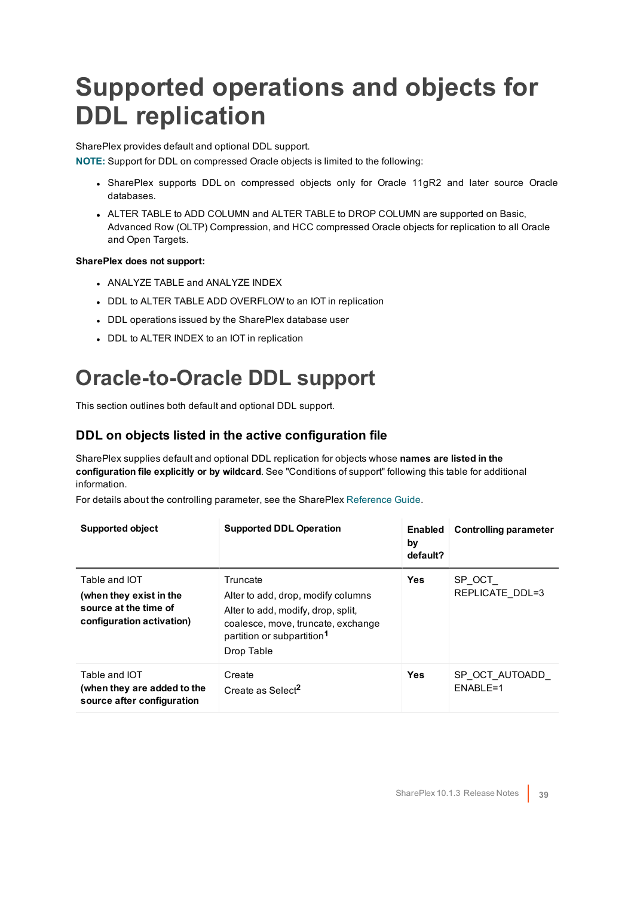## <span id="page-38-0"></span>**Supported operations and objects for DDL replication**

SharePlex provides default and optional DDL support.

**NOTE:** Support for DDL on compressed Oracle objects is limited to the following:

- SharePlex supports DDL on compressed objects only for Oracle 11gR2 and later source Oracle databases.
- ALTER TABLE to ADD COLUMN and ALTER TABLE to DROP COLUMN are supported on Basic, Advanced Row (OLTP) Compression, and HCC compressed Oracle objects for replication to all Oracle and Open Targets.

#### **SharePlex does not support:**

- ANALYZE TABLE and ANALYZE INDEX
- DDL to ALTER TABLE ADD OVERFLOW to an IOT in replication
- DDL operations issued by the SharePlex database user
- DDL to ALTER INDEX to an IOT in replication

### <span id="page-38-1"></span>**Oracle-to-Oracle DDL support**

This section outlines both default and optional DDL support.

#### **DDL on objects listed in the active configuration file**

SharePlex supplies default and optional DDL replication for objects whose **names are listed in the configuration file explicitly or by wildcard**. See "Conditions of support" following this table for additional information.

For details about the controlling parameter, see the SharePlex [Reference](https://support.quest.com/shareplex) Guide.

| <b>Supported object</b>                                                                        | <b>Supported DDL Operation</b>                                                                                                                                                     | <b>Enabled</b><br>by<br>default? | Controlling parameter      |
|------------------------------------------------------------------------------------------------|------------------------------------------------------------------------------------------------------------------------------------------------------------------------------------|----------------------------------|----------------------------|
| Table and IOT<br>(when they exist in the<br>source at the time of<br>configuration activation) | Truncate<br>Alter to add, drop, modify columns<br>Alter to add, modify, drop, split,<br>coalesce, move, truncate, exchange<br>partition or subpartition <sup>1</sup><br>Drop Table | <b>Yes</b>                       | SP OCT<br>REPLICATE DDL=3  |
| Table and IOT<br>(when they are added to the<br>source after configuration                     | Create<br>Create as Select <sup>2</sup>                                                                                                                                            | <b>Yes</b>                       | SP OCT AUTOADD<br>ENABLE=1 |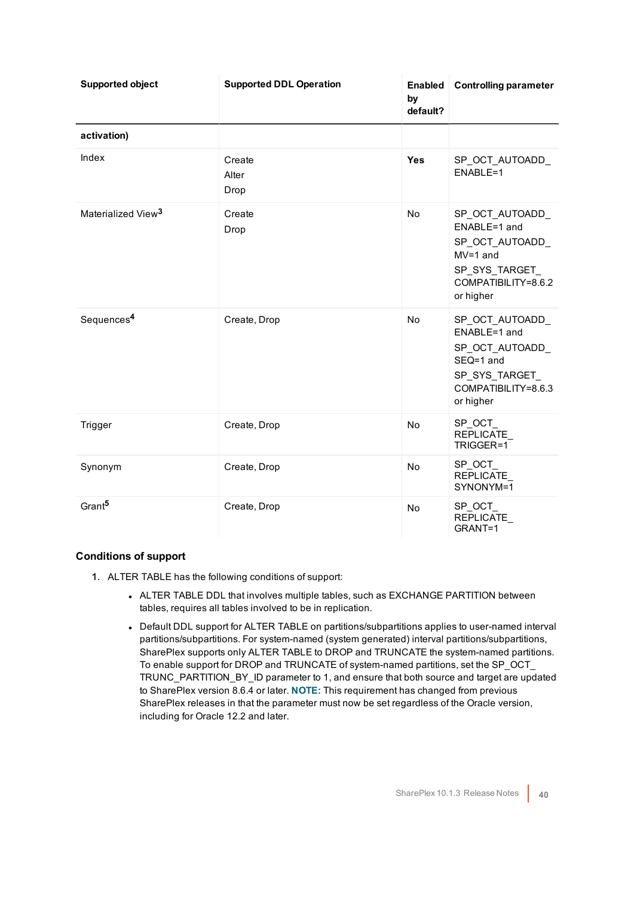| <b>Supported object</b>        | <b>Supported DDL Operation</b> | <b>Enabled</b><br>by<br>default? | <b>Controlling parameter</b>                                                                                         |
|--------------------------------|--------------------------------|----------------------------------|----------------------------------------------------------------------------------------------------------------------|
| activation)                    |                                |                                  |                                                                                                                      |
| Index                          | Create<br>Alter<br>Drop        | <b>Yes</b>                       | SP OCT AUTOADD<br>ENABLE=1                                                                                           |
| Materialized View <sup>3</sup> | Create<br>Drop                 | No                               | SP_OCT_AUTOADD_<br>ENABLE=1 and<br>SP OCT AUTOADD<br>$MV=1$ and<br>SP SYS TARGET<br>COMPATIBILITY=8.6.2<br>or higher |
| Sequences <sup>4</sup>         | Create, Drop                   | No                               | SP_OCT_AUTOADD_<br>ENABLE=1 and<br>SP_OCT_AUTOADD_<br>SEQ=1 and<br>SP SYS TARGET<br>COMPATIBILITY=8.6.3<br>or higher |
| Trigger                        | Create, Drop                   | No                               | SP_OCT_<br>REPLICATE<br>TRIGGER=1                                                                                    |
| Synonym                        | Create, Drop                   | No                               | SP OCT<br>REPLICATE<br>SYNONYM=1                                                                                     |
| Grant <sup>5</sup>             | Create, Drop                   | No                               | SP_OCT_<br>REPLICATE<br>GRANT=1                                                                                      |

- 1. ALTER TABLE has the following conditions of support:
	- ALTER TABLE DDL that involves multiple tables, such as EXCHANGE PARTITION between tables, requires all tables involved to be in replication.
	- Default DDL support for ALTER TABLE on partitions/subpartitions applies to user-named interval partitions/subpartitions. For system-named (system generated) interval partitions/subpartitions, SharePlex supports only ALTER TABLE to DROP and TRUNCATE the system-named partitions. To enable support for DROP and TRUNCATE of system-named partitions, set the SP\_OCT\_ TRUNC\_PARTITION\_BY\_ID parameter to 1, and ensure that both source and target are updated to SharePlex version 8.6.4 or later. **NOTE:** This requirement has changed from previous SharePlex releases in that the parameter must now be set regardless of the Oracle version, including for Oracle 12.2 and later.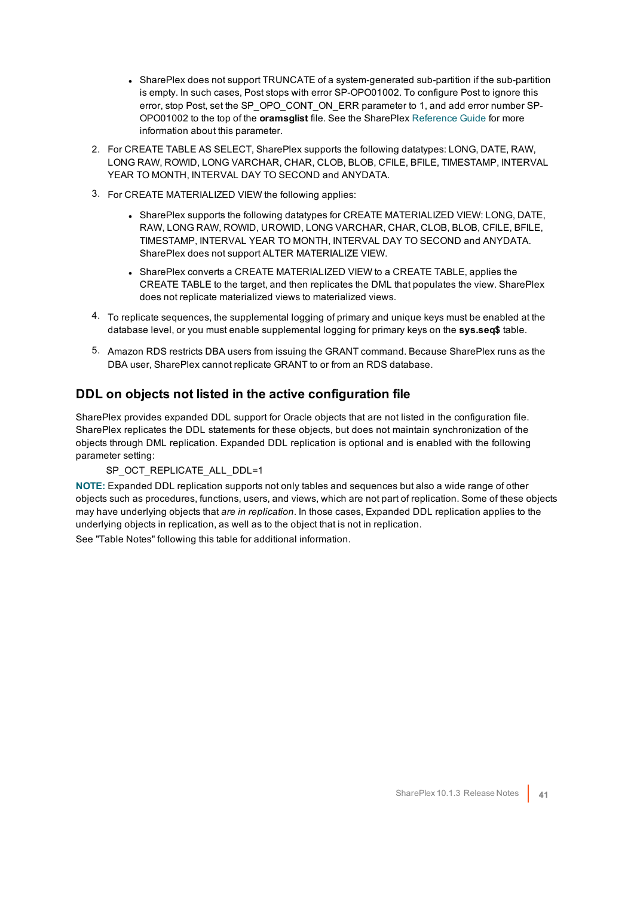- SharePlex does not support TRUNCATE of a system-generated sub-partition if the sub-partition is empty. In such cases, Post stops with error SP-OPO01002. To configure Post to ignore this error, stop Post, set the SP\_OPO\_CONT\_ON\_ERR parameter to 1, and add error number SP-OPO01002 to the top of the **oramsglist** file. See the SharePlex [Reference](https://support.quest.com/shareplex) Guide for more information about this parameter.
- 2. For CREATE TABLE AS SELECT, SharePlex supports the following datatypes: LONG, DATE, RAW, LONG RAW, ROWID, LONG VARCHAR, CHAR, CLOB, BLOB, CFILE, BFILE, TIMESTAMP, INTERVAL YEAR TO MONTH, INTERVAL DAY TO SECOND and ANYDATA.
- 3. For CREATE MATERIALIZED VIEW the following applies:
	- SharePlex supports the following datatypes for CREATE MATERIALIZED VIEW: LONG, DATE, RAW, LONG RAW, ROWID, UROWID, LONG VARCHAR, CHAR, CLOB, BLOB, CFILE, BFILE, TIMESTAMP, INTERVAL YEAR TO MONTH, INTERVAL DAY TO SECOND and ANYDATA. SharePlex does not support ALTER MATERIALIZE VIEW.
	- SharePlex converts a CREATE MATERIALIZED VIEW to a CREATE TABLE, applies the CREATE TABLE to the target, and then replicates the DML that populates the view. SharePlex does not replicate materialized views to materialized views.
- 4. To replicate sequences, the supplemental logging of primary and unique keys must be enabled at the database level, or you must enable supplemental logging for primary keys on the **sys.seq\$** table.
- 5. Amazon RDS restricts DBA users from issuing the GRANT command. Because SharePlex runs as the DBA user, SharePlex cannot replicate GRANT to or from an RDS database.

### **DDL on objects not listed in the active configuration file**

SharePlex provides expanded DDL support for Oracle objects that are not listed in the configuration file. SharePlex replicates the DDL statements for these objects, but does not maintain synchronization of the objects through DML replication. Expanded DDL replication is optional and is enabled with the following parameter setting:

#### SP\_OCT\_REPLICATE\_ALL\_DDL=1

**NOTE:** Expanded DDL replication supports not only tables and sequences but also a wide range of other objects such as procedures, functions, users, and views, which are not part of replication. Some of these objects may have underlying objects that *are in replication*. In those cases, Expanded DDL replication applies to the underlying objects in replication, as well as to the object that is not in replication.

See "Table Notes" following this table for additional information.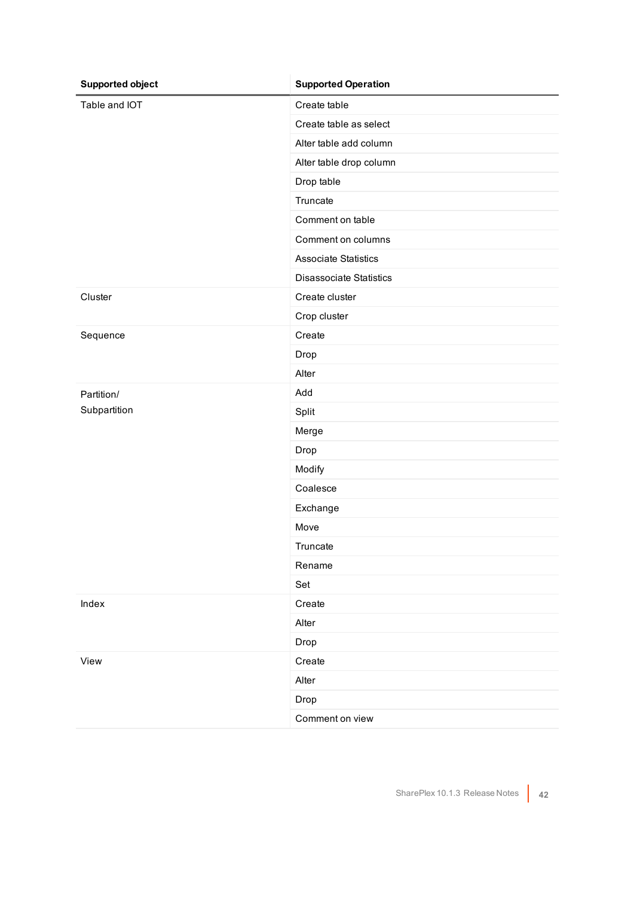| <b>Supported object</b> | <b>Supported Operation</b>     |
|-------------------------|--------------------------------|
| Table and IOT           | Create table                   |
|                         | Create table as select         |
|                         | Alter table add column         |
|                         | Alter table drop column        |
|                         | Drop table                     |
|                         | Truncate                       |
|                         | Comment on table               |
|                         | Comment on columns             |
|                         | <b>Associate Statistics</b>    |
|                         | <b>Disassociate Statistics</b> |
| Cluster                 | Create cluster                 |
|                         | Crop cluster                   |
| Sequence                | Create                         |
|                         | Drop                           |
|                         | Alter                          |
| Partition/              | Add                            |
| Subpartition            | Split                          |
|                         | Merge                          |
|                         | Drop                           |
|                         | Modify                         |
|                         | Coalesce                       |
|                         | Exchange                       |
|                         | Move                           |
|                         | Truncate                       |
|                         | Rename                         |
|                         | Set                            |
| Index                   | Create                         |
|                         | Alter                          |
|                         | Drop                           |
| View                    | Create                         |
|                         | Alter                          |
|                         | Drop                           |
|                         | Comment on view                |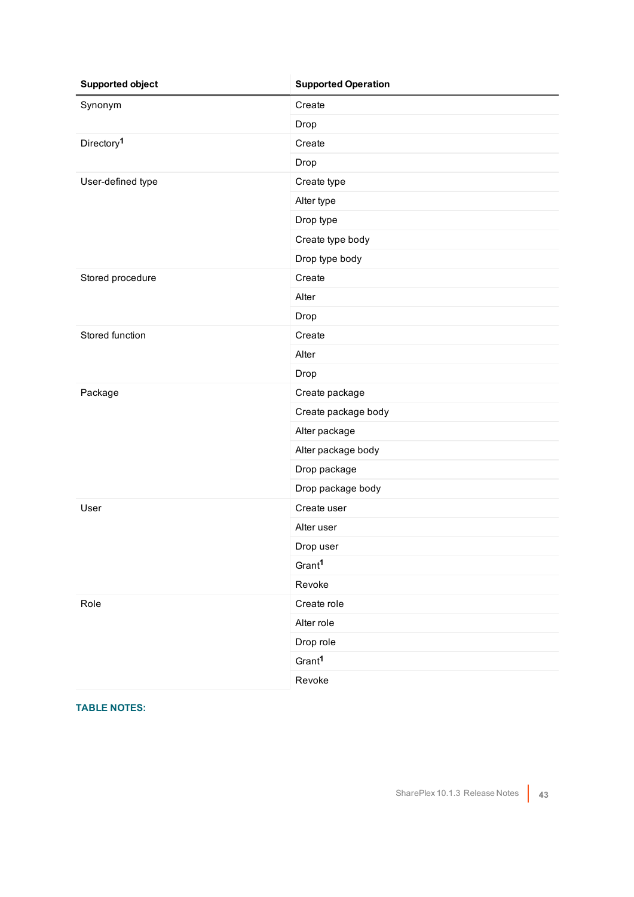| <b>Supported object</b> | <b>Supported Operation</b> |
|-------------------------|----------------------------|
| Synonym                 | Create                     |
|                         | Drop                       |
| Directory <sup>1</sup>  | Create                     |
|                         | Drop                       |
| User-defined type       | Create type                |
|                         | Alter type                 |
|                         | Drop type                  |
|                         | Create type body           |
|                         | Drop type body             |
| Stored procedure        | Create                     |
|                         | Alter                      |
|                         | Drop                       |
| Stored function         | Create                     |
|                         | Alter                      |
|                         | Drop                       |
| Package                 | Create package             |
|                         | Create package body        |
|                         | Alter package              |
|                         | Alter package body         |
|                         | Drop package               |
|                         | Drop package body          |
| User                    | Create user                |
|                         | Alter user                 |
|                         | Drop user                  |
|                         | Gran <sup>1</sup>          |
|                         | Revoke                     |
| Role                    | Create role                |
|                         | Alter role                 |
|                         | Drop role                  |
|                         | Grant <sup>1</sup>         |
|                         | Revoke                     |

**TABLE NOTES:**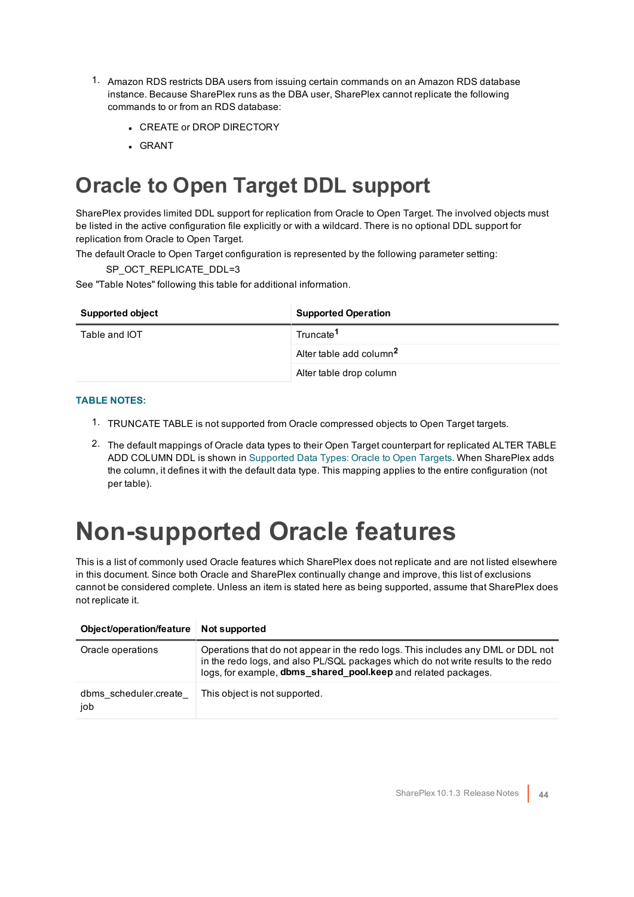- 1. Amazon RDS restricts DBA users from issuing certain commands on an Amazon RDS database instance. Because SharePlex runs as the DBA user, SharePlex cannot replicate the following commands to or from an RDS database:
	- **CREATE or DROP DIRECTORY**
	- . GRANT

### <span id="page-43-0"></span>**Oracle to Open Target DDL support**

SharePlex provides limited DDL support for replication from Oracle to Open Target. The involved objects must be listed in the active configuration file explicitly or with a wildcard. There is no optional DDL support for replication from Oracle to Open Target.

The default Oracle to Open Target configuration is represented by the following parameter setting:

SP\_OCT\_REPLICATE\_DDL=3

See "Table Notes" following this table for additional information.

| <b>Supported object</b> | <b>Supported Operation</b>          |
|-------------------------|-------------------------------------|
| Table and IOT           | Truncate <sup>1</sup>               |
|                         | Alter table add column <sup>2</sup> |
|                         | Alter table drop column             |

#### **TABLE NOTES:**

- 1. TRUNCATE TABLE is not supported from Oracle compressed objects to Open Target targets.
- 2. The default mappings of Oracle data types to their Open Target counterpart for replicated ALTER TABLE ADD COLUMN DDL is shown in [Supported](#page-23-0) Data Types: Oracle to Open Targets. When SharePlex adds the column, it defines it with the default data type. This mapping applies to the entire configuration (not per table).

### <span id="page-43-1"></span>**Non-supported Oracle features**

This is a list of commonly used Oracle features which SharePlex does not replicate and are not listed elsewhere in this document. Since both Oracle and SharePlex continually change and improve, this list of exclusions cannot be considered complete. Unless an item is stated here as being supported, assume that SharePlex does not replicate it.

| Object/operation/feature     | Not supported                                                                                                                                                                                                                           |
|------------------------------|-----------------------------------------------------------------------------------------------------------------------------------------------------------------------------------------------------------------------------------------|
| Oracle operations            | Operations that do not appear in the redo logs. This includes any DML or DDL not<br>in the redo logs, and also PL/SQL packages which do not write results to the redo<br>logs, for example, dbms_shared_pool.keep and related packages. |
| dbms scheduler.create<br>iob | This object is not supported.                                                                                                                                                                                                           |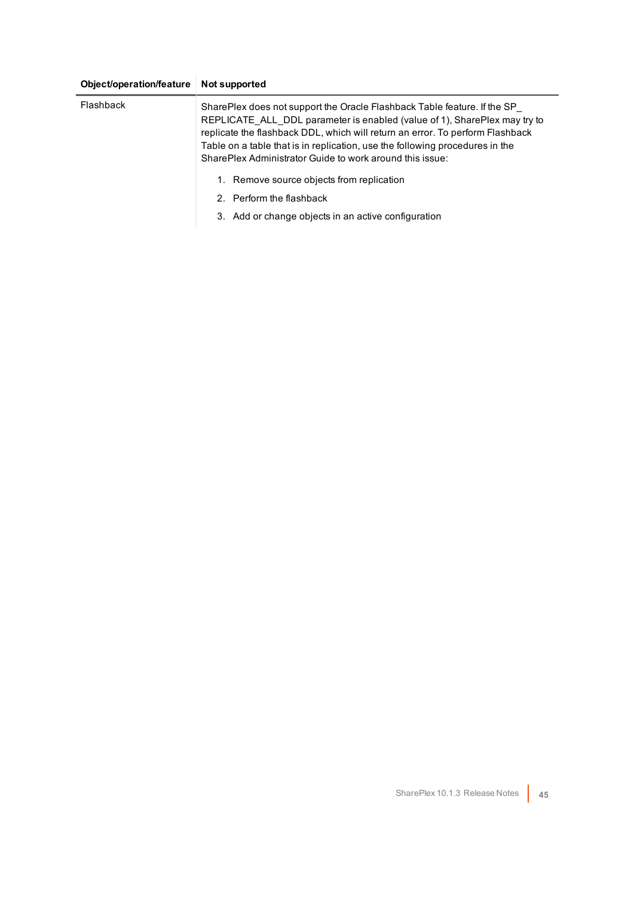#### **Object/operation/feature Not supported**

| Flashback | SharePlex does not support the Oracle Flashback Table feature. If the SP<br>REPLICATE ALL DDL parameter is enabled (value of 1), SharePlex may try to<br>replicate the flashback DDL, which will return an error. To perform Flashback<br>Table on a table that is in replication, use the following procedures in the<br>SharePlex Administrator Guide to work around this issue: |
|-----------|------------------------------------------------------------------------------------------------------------------------------------------------------------------------------------------------------------------------------------------------------------------------------------------------------------------------------------------------------------------------------------|
|           | 1. Remove source objects from replication                                                                                                                                                                                                                                                                                                                                          |
|           | 2. Perform the flashback                                                                                                                                                                                                                                                                                                                                                           |
|           | 3. Add or change objects in an active configuration                                                                                                                                                                                                                                                                                                                                |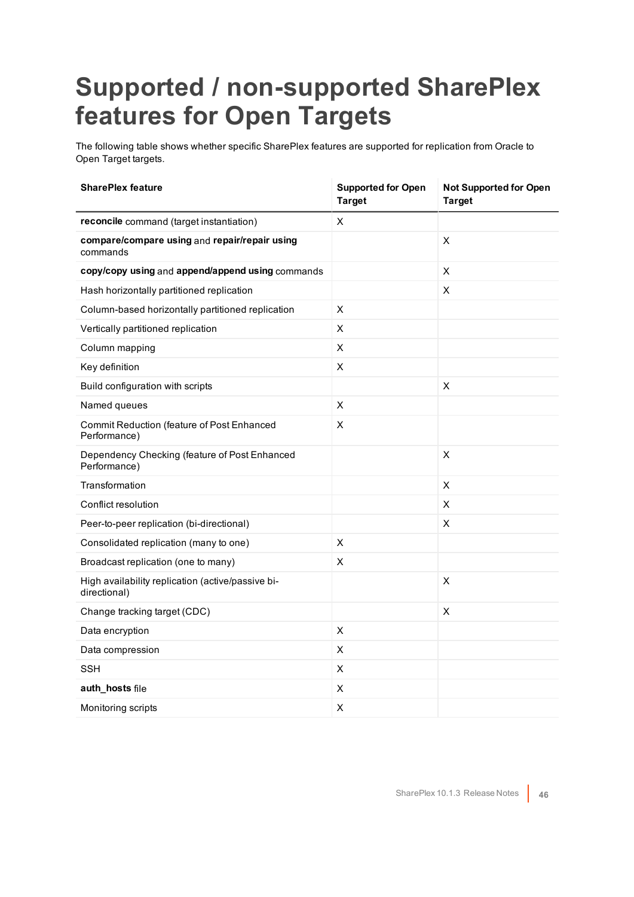## <span id="page-45-0"></span>**Supported / non-supported SharePlex features for Open Targets**

The following table shows whether specific SharePlex features are supported for replication from Oracle to Open Target targets.

| <b>SharePlex feature</b>                                          | <b>Supported for Open</b><br><b>Target</b> | <b>Not Supported for Open</b><br><b>Target</b> |
|-------------------------------------------------------------------|--------------------------------------------|------------------------------------------------|
| reconcile command (target instantiation)                          | X.                                         |                                                |
| compare/compare using and repair/repair using<br>commands         |                                            | $\mathsf X$                                    |
| copy/copy using and append/append using commands                  |                                            | $\pmb{\times}$                                 |
| Hash horizontally partitioned replication                         |                                            | X                                              |
| Column-based horizontally partitioned replication                 | X                                          |                                                |
| Vertically partitioned replication                                | $\pmb{\times}$                             |                                                |
| Column mapping                                                    | X                                          |                                                |
| Key definition                                                    | X                                          |                                                |
| Build configuration with scripts                                  |                                            | $\pmb{\times}$                                 |
| Named queues                                                      | X                                          |                                                |
| Commit Reduction (feature of Post Enhanced<br>Performance)        | X                                          |                                                |
| Dependency Checking (feature of Post Enhanced<br>Performance)     |                                            | X                                              |
| Transformation                                                    |                                            | X                                              |
| Conflict resolution                                               |                                            | X                                              |
| Peer-to-peer replication (bi-directional)                         |                                            | X                                              |
| Consolidated replication (many to one)                            | X                                          |                                                |
| Broadcast replication (one to many)                               | X                                          |                                                |
| High availability replication (active/passive bi-<br>directional) |                                            | X                                              |
| Change tracking target (CDC)                                      |                                            | X                                              |
| Data encryption                                                   | $\pmb{\times}$                             |                                                |
| Data compression                                                  | X                                          |                                                |
| <b>SSH</b>                                                        | X                                          |                                                |
| auth_hosts file                                                   | X                                          |                                                |
| Monitoring scripts                                                | $\pmb{\times}$                             |                                                |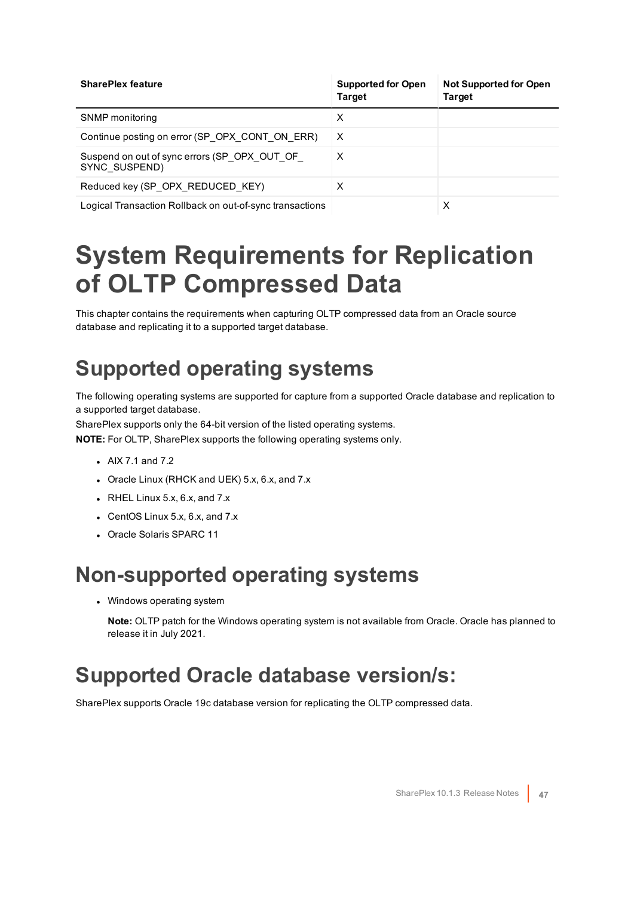| <b>SharePlex feature</b>                                      | <b>Supported for Open</b><br><b>Target</b> | <b>Not Supported for Open</b><br><b>Target</b> |
|---------------------------------------------------------------|--------------------------------------------|------------------------------------------------|
| SNMP monitoring                                               | х                                          |                                                |
| Continue posting on error (SP OPX CONT ON ERR)                | X                                          |                                                |
| Suspend on out of sync errors (SP OPX OUT OF<br>SYNC SUSPEND) | X                                          |                                                |
| Reduced key (SP OPX REDUCED KEY)                              | х                                          |                                                |
| Logical Transaction Rollback on out-of-sync transactions      |                                            | х                                              |

### <span id="page-46-0"></span>**System Requirements for Replication of OLTP Compressed Data**

This chapter contains the requirements when capturing OLTP compressed data from an Oracle source database and replicating it to a supported target database.

### <span id="page-46-1"></span>**Supported operating systems**

The following operating systems are supported for capture from a supported Oracle database and replication to a supported target database.

SharePlex supports only the 64-bit version of the listed operating systems.

**NOTE:** For OLTP, SharePlex supports the following operating systems only.

- $\bullet$  AIX 7.1 and 7.2
- Oracle Linux (RHCK and UEK) 5.x, 6.x, and 7.x
- $\bullet$  RHEL Linux 5.x, 6.x, and 7.x
- $\bullet$  CentOS Linux 5.x, 6.x, and 7.x
- <span id="page-46-2"></span>• Oracle Solaris SPARC 11

### **Non-supported operating systems**

• Windows operating system

**Note:** OLTP patch for the Windows operating system is not available from Oracle. Oracle has planned to release it in July 2021.

### <span id="page-46-3"></span>**Supported Oracle database version/s:**

SharePlex supports Oracle 19c database version for replicating the OLTP compressed data.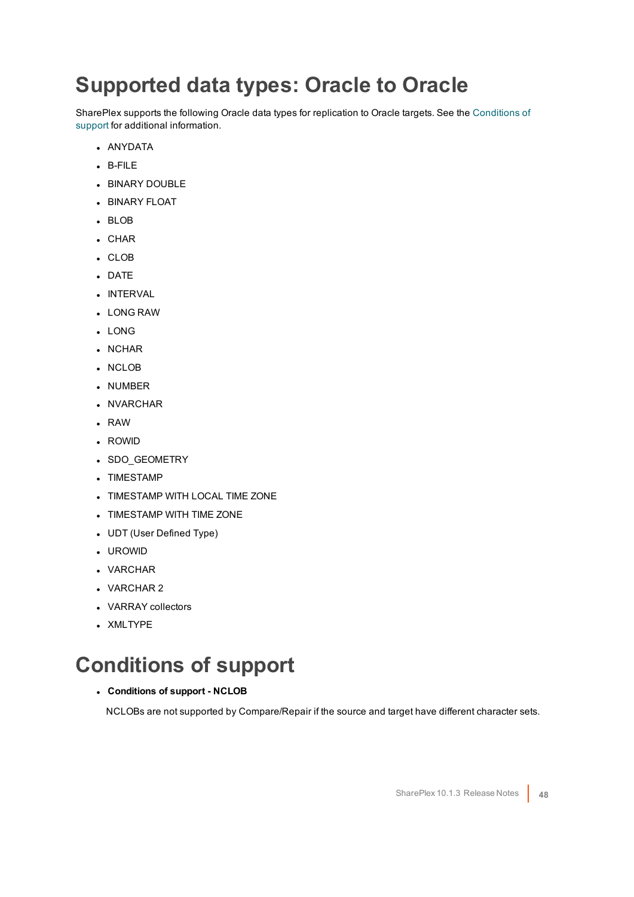### <span id="page-47-0"></span>**Supported data types: Oracle to Oracle**

SharePlex supports the following Oracle data types for replication to Oracle targets. See the [Conditions](#page-47-1) of [support](#page-47-1) for additional information.

- ANYDATA
- $B-FIIF$
- **BINARY DOUBLE**
- **BINARY FLOAT**
- BLOB
- $\cdot$  CHAR
- . CLOB
- DATE
- **.** INTERVAL
- <sup>l</sup> LONG RAW
- . LONG
- NCHAR
- NCLOB
- NUMBER
- NVARCHAR
- $\cdot$  RAW
- ROWID
- SDO\_GEOMETRY
- TIMESTAMP
- **.** TIMESTAMP WITH LOCAL TIME ZONE
- TIMESTAMP WITH TIME ZONE
- UDT (User Defined Type)
- <sup>l</sup> UROWID
- VARCHAR
- VARCHAR 2
- VARRAY collectors
- XMLTYPE

### <span id="page-47-1"></span>**Conditions of support**

#### <sup>l</sup> **Conditions of support - NCLOB**

NCLOBs are not supported by Compare/Repair if the source and target have different character sets.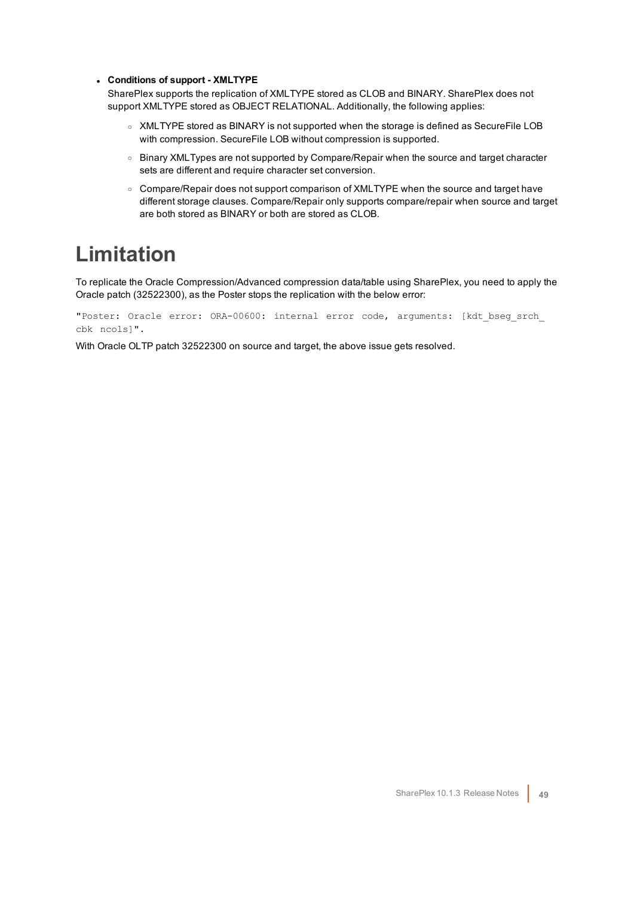#### <sup>l</sup> **Conditions of support - XMLTYPE**

SharePlex supports the replication of XMLTYPE stored as CLOB and BINARY. SharePlex does not support XMLTYPE stored as OBJECT RELATIONAL. Additionally, the following applies:

- XMLTYPE stored as BINARY is not supported when the storage is defined as SecureFile LOB with compression. SecureFile LOB without compression is supported.
- o Binary XMLTypes are not supported by Compare/Repair when the source and target character sets are different and require character set conversion.
- $\circ$  Compare/Repair does not support comparison of XMLTYPE when the source and target have different storage clauses. Compare/Repair only supports compare/repair when source and target are both stored as BINARY or both are stored as CLOB.

### <span id="page-48-0"></span>**Limitation**

To replicate the Oracle Compression/Advanced compression data/table using SharePlex, you need to apply the Oracle patch (32522300), as the Poster stops the replication with the below error:

"Poster: Oracle error: ORA-00600: internal error code, arguments: [kdt\_bseg\_srch\_ cbk ncols]".

With Oracle OLTP patch 32522300 on source and target, the above issue gets resolved.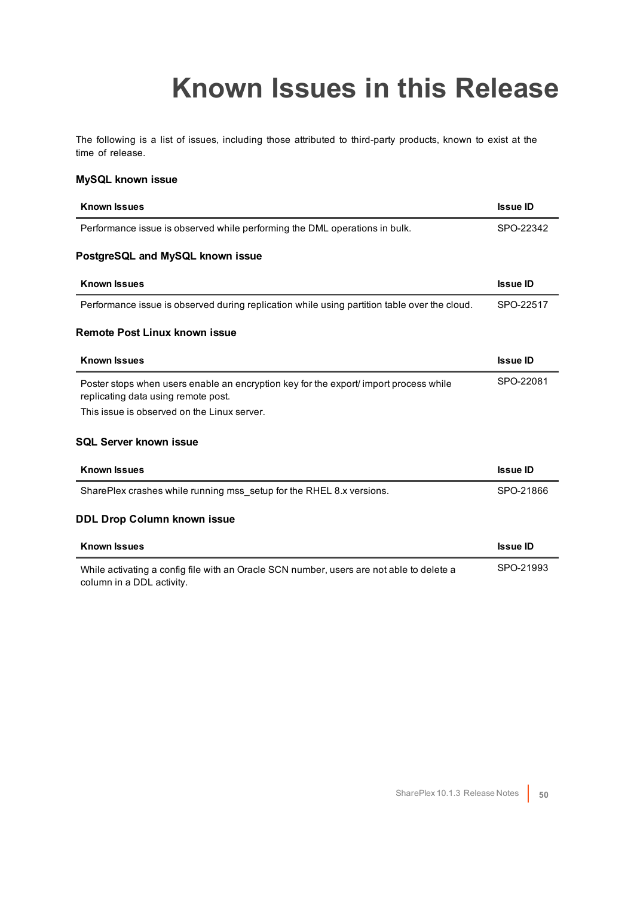## **Known Issues in this Release**

<span id="page-49-0"></span>The following is a list of issues, including those attributed to third-party products, known to exist at the time of release.

#### **MySQL known issue**

| <b>Known Issues</b>                                                                                                          | <b>Issue ID</b> |
|------------------------------------------------------------------------------------------------------------------------------|-----------------|
| Performance issue is observed while performing the DML operations in bulk.                                                   | SPO-22342       |
| PostgreSQL and MySQL known issue                                                                                             |                 |
| <b>Known Issues</b>                                                                                                          | <b>Issue ID</b> |
| Performance issue is observed during replication while using partition table over the cloud.                                 | SPO-22517       |
| Remote Post Linux known issue                                                                                                |                 |
| <b>Known Issues</b>                                                                                                          | <b>Issue ID</b> |
| Poster stops when users enable an encryption key for the export/ import process while<br>replicating data using remote post. | SPO-22081       |
| This issue is observed on the Linux server.                                                                                  |                 |
| <b>SQL Server known issue</b>                                                                                                |                 |
| <b>Known Issues</b>                                                                                                          | <b>Issue ID</b> |
| SharePlex crashes while running mss setup for the RHEL 8.x versions.                                                         | SPO-21866       |
| <b>DDL Drop Column known issue</b>                                                                                           |                 |
| <b>Known Issues</b>                                                                                                          | <b>Issue ID</b> |
| While activating a config file with an Oracle SCN number, users are not able to delete a<br>column in a DDL activity.        | SPO-21993       |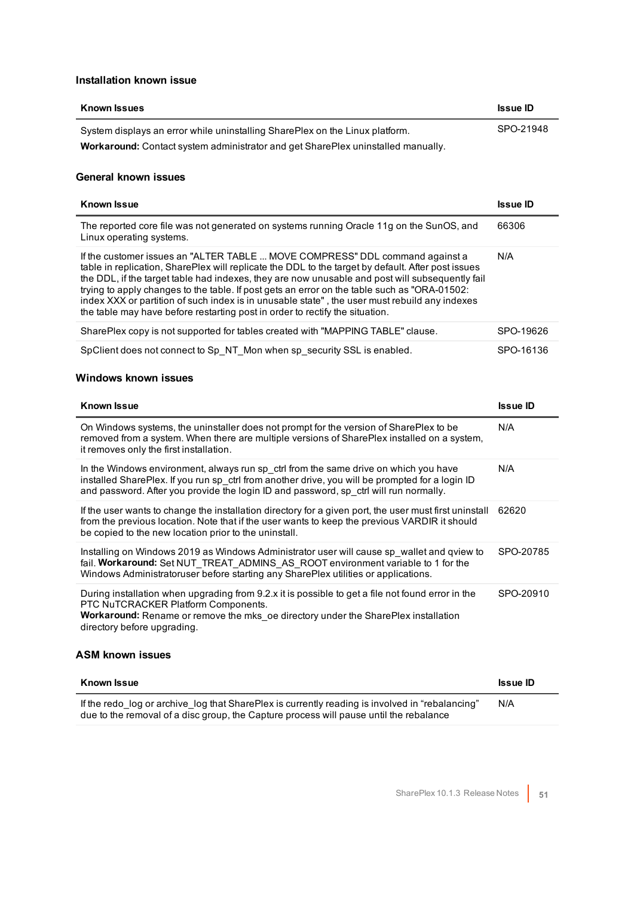#### **Installation known issue**

| <b>Known Issues</b>                                                              | <b>Issue ID</b> |
|----------------------------------------------------------------------------------|-----------------|
| System displays an error while uninstalling SharePlex on the Linux platform.     | SPO-21948       |
| Workaround: Contact system administrator and get SharePlex uninstalled manually. |                 |

#### **General known issues**

| <b>Known Issue</b>                                                                                                                                                                                                                                                                                                                                                                                                                                                                                                                                                     | <b>Issue ID</b> |
|------------------------------------------------------------------------------------------------------------------------------------------------------------------------------------------------------------------------------------------------------------------------------------------------------------------------------------------------------------------------------------------------------------------------------------------------------------------------------------------------------------------------------------------------------------------------|-----------------|
| The reported core file was not generated on systems running Oracle 11g on the SunOS, and<br>Linux operating systems.                                                                                                                                                                                                                                                                                                                                                                                                                                                   | 66306           |
| If the customer issues an "ALTER TABLE  MOVE COMPRESS" DDL command against a<br>table in replication, SharePlex will replicate the DDL to the target by default. After post issues<br>the DDL, if the target table had indexes, they are now unusable and post will subsequently fail<br>trying to apply changes to the table. If post gets an error on the table such as "ORA-01502:<br>index XXX or partition of such index is in unusable state", the user must rebuild any indexes<br>the table may have before restarting post in order to rectify the situation. | N/A             |
| SharePlex copy is not supported for tables created with "MAPPING TABLE" clause.                                                                                                                                                                                                                                                                                                                                                                                                                                                                                        | SPO-19626       |
| SpClient does not connect to Sp_NT_Mon when sp_security SSL is enabled.                                                                                                                                                                                                                                                                                                                                                                                                                                                                                                | SPO-16136       |

#### **Windows known issues**

| <b>Known Issue</b>                                                                                                                                                                                                                                                               | <b>Issue ID</b> |
|----------------------------------------------------------------------------------------------------------------------------------------------------------------------------------------------------------------------------------------------------------------------------------|-----------------|
| On Windows systems, the uninstaller does not prompt for the version of SharePlex to be<br>removed from a system. When there are multiple versions of SharePlex installed on a system,<br>it removes only the first installation.                                                 | N/A             |
| In the Windows environment, always run sp ctrl from the same drive on which you have<br>installed SharePlex. If you run sp ctrl from another drive, you will be prompted for a login ID<br>and password. After you provide the login ID and password, sp ctrl will run normally. | N/A             |
| If the user wants to change the installation directory for a given port, the user must first uninstall<br>from the previous location. Note that if the user wants to keep the previous VARDIR it should<br>be copied to the new location prior to the uninstall.                 | 62620           |
| Installing on Windows 2019 as Windows Administrator user will cause sp wallet and qview to<br>fail. Workaround: Set NUT TREAT ADMINS AS ROOT environment variable to 1 for the<br>Windows Administratoruser before starting any SharePlex utilities or applications.             | SPO-20785       |
| During installation when upgrading from 9.2.x it is possible to get a file not found error in the<br>PTC NuTCRACKER Platform Components.<br><b>Workaround:</b> Rename or remove the mks oe directory under the SharePlex installation<br>directory before upgrading.             | SPO-20910       |
| <b>ASM known issues</b>                                                                                                                                                                                                                                                          |                 |

| Known Issue                                                                                                                                                                               | <b>Issue ID</b> |
|-------------------------------------------------------------------------------------------------------------------------------------------------------------------------------------------|-----------------|
| If the redo log or archive log that SharePlex is currently reading is involved in "rebalancing"<br>due to the removal of a disc group, the Capture process will pause until the rebalance | N/A             |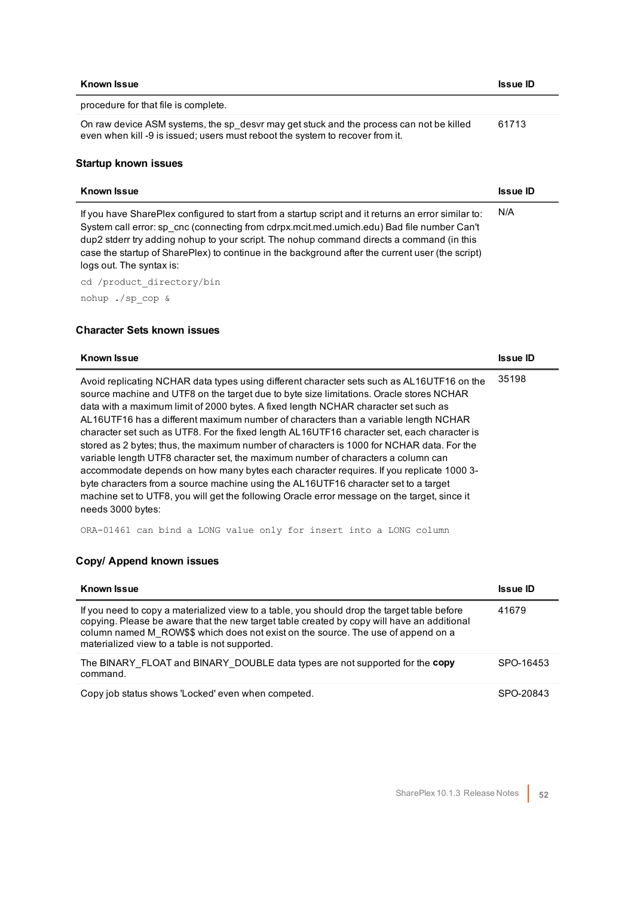| <b>Known Issue</b>                                                                                                                                                                                                                                                                                                                                                                                                             | <b>Issue ID</b> |
|--------------------------------------------------------------------------------------------------------------------------------------------------------------------------------------------------------------------------------------------------------------------------------------------------------------------------------------------------------------------------------------------------------------------------------|-----------------|
| procedure for that file is complete.                                                                                                                                                                                                                                                                                                                                                                                           |                 |
| On raw device ASM systems, the sp desvr may get stuck and the process can not be killed<br>even when kill -9 is issued; users must reboot the system to recover from it.                                                                                                                                                                                                                                                       | 61713           |
| <b>Startup known issues</b>                                                                                                                                                                                                                                                                                                                                                                                                    |                 |
| <b>Known Issue</b>                                                                                                                                                                                                                                                                                                                                                                                                             | <b>Issue ID</b> |
| If you have SharePlex configured to start from a startup script and it returns an error similar to:<br>System call error: sp cnc (connecting from cdrpx.mcit.med.umich.edu) Bad file number Can't<br>dup2 stderr try adding nohup to your script. The nohup command directs a command (in this<br>case the startup of SharePlex) to continue in the background after the current user (the script)<br>logs out. The syntax is: | N/A             |
|                                                                                                                                                                                                                                                                                                                                                                                                                                |                 |

nohup ./sp\_cop &

#### **Character Sets known issues**

| <b>Known Issue</b>                                                                                                                                                                                                                                                                                                                                                                                                                                                                                                                                                                                                                                                                                                                                                                                                                                                                                                                                          | <b>Issue ID</b> |
|-------------------------------------------------------------------------------------------------------------------------------------------------------------------------------------------------------------------------------------------------------------------------------------------------------------------------------------------------------------------------------------------------------------------------------------------------------------------------------------------------------------------------------------------------------------------------------------------------------------------------------------------------------------------------------------------------------------------------------------------------------------------------------------------------------------------------------------------------------------------------------------------------------------------------------------------------------------|-----------------|
| Avoid replicating NCHAR data types using different character sets such as AL16UTF16 on the<br>source machine and UTF8 on the target due to byte size limitations. Oracle stores NCHAR<br>data with a maximum limit of 2000 bytes. A fixed length NCHAR character set such as<br>AL16UTF16 has a different maximum number of characters than a variable length NCHAR<br>character set such as UTF8. For the fixed length AL16UTF16 character set, each character is<br>stored as 2 bytes; thus, the maximum number of characters is 1000 for NCHAR data. For the<br>variable length UTF8 character set, the maximum number of characters a column can<br>accommodate depends on how many bytes each character requires. If you replicate 1000 3-<br>byte characters from a source machine using the AL16UTF16 character set to a target<br>machine set to UTF8, you will get the following Oracle error message on the target, since it<br>needs 3000 bytes: | 35198           |
|                                                                                                                                                                                                                                                                                                                                                                                                                                                                                                                                                                                                                                                                                                                                                                                                                                                                                                                                                             |                 |

ORA-01461 can bind a LONG value only for insert into a LONG column

### **Copy/ Append known issues**

| <b>Known Issue</b>                                                                                                                                                                                                                                                                                                               | <b>Issue ID</b> |
|----------------------------------------------------------------------------------------------------------------------------------------------------------------------------------------------------------------------------------------------------------------------------------------------------------------------------------|-----------------|
| If you need to copy a materialized view to a table, you should drop the target table before<br>copying. Please be aware that the new target table created by copy will have an additional<br>column named M ROW\$\$ which does not exist on the source. The use of append on a<br>materialized view to a table is not supported. | 41679           |
| The BINARY FLOAT and BINARY DOUBLE data types are not supported for the copy<br>command.                                                                                                                                                                                                                                         | SPO-16453       |
| Copy job status shows 'Locked' even when competed.                                                                                                                                                                                                                                                                               | SPO-20843       |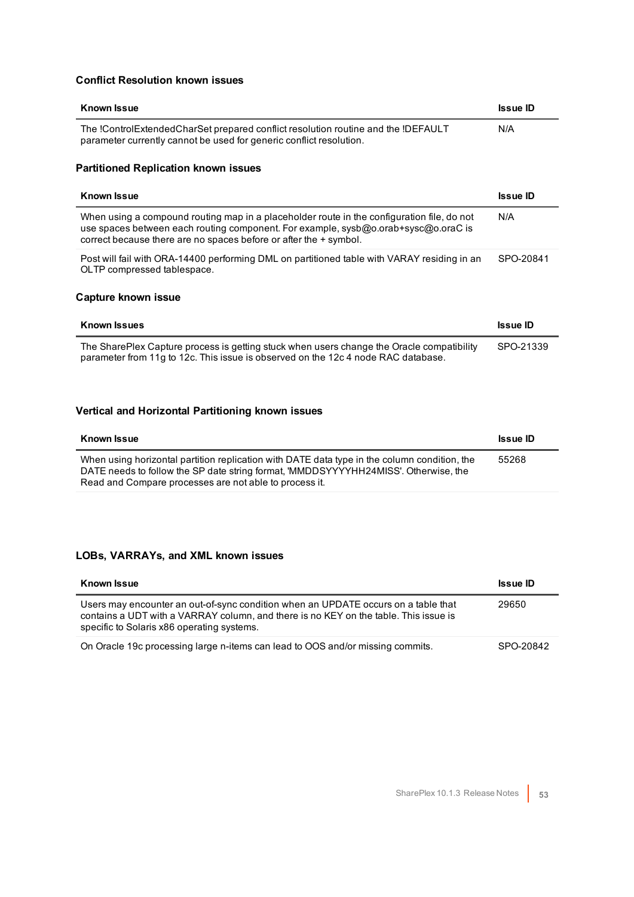#### **Conflict Resolution known issues**

| <b>Known Issue</b>                                                                                                                                                                                                                                    | <b>Issue ID</b> |
|-------------------------------------------------------------------------------------------------------------------------------------------------------------------------------------------------------------------------------------------------------|-----------------|
| The !ControlExtendedCharSet prepared conflict resolution routine and the !DEFAULT<br>parameter currently cannot be used for generic conflict resolution.                                                                                              | N/A             |
| <b>Partitioned Replication known issues</b>                                                                                                                                                                                                           |                 |
| <b>Known Issue</b>                                                                                                                                                                                                                                    | <b>Issue ID</b> |
| When using a compound routing map in a placeholder route in the configuration file, do not<br>use spaces between each routing component. For example, sysb@o.orab+sysc@o.oraC is<br>correct because there are no spaces before or after the + symbol. | N/A             |
| Post will fail with ORA-14400 performing DML on partitioned table with VARAY residing in an<br>OLTP compressed tablespace.                                                                                                                            | SPO-20841       |
| <b>Capture known issue</b>                                                                                                                                                                                                                            |                 |
| <b>Known Issues</b>                                                                                                                                                                                                                                   | <b>Issue ID</b> |
| The SharePlex Capture process is getting stuck when users change the Oracle compatibility<br>parameter from 11g to 12c. This issue is observed on the 12c4 node RAC database.                                                                         | SPO-21339       |

### **Vertical and Horizontal Partitioning known issues**

| <b>Known Issue</b>                                                                                                                                                                                                                            | <b>Issue ID</b> |
|-----------------------------------------------------------------------------------------------------------------------------------------------------------------------------------------------------------------------------------------------|-----------------|
| When using horizontal partition replication with DATE data type in the column condition, the<br>DATE needs to follow the SP date string format, 'MMDDSYYYYHH24MISS'. Otherwise, the<br>Read and Compare processes are not able to process it. | 55268           |

### **LOBs, VARRAYs, and XML known issues**

| <b>Known Issue</b>                                                                                                                                                                                                       | <b>Issue ID</b> |
|--------------------------------------------------------------------------------------------------------------------------------------------------------------------------------------------------------------------------|-----------------|
| Users may encounter an out-of-sync condition when an UPDATE occurs on a table that<br>contains a UDT with a VARRAY column, and there is no KEY on the table. This issue is<br>specific to Solaris x86 operating systems. | 29650           |
| On Oracle 19c processing large n-items can lead to OOS and/or missing commits.                                                                                                                                           | SPO-20842       |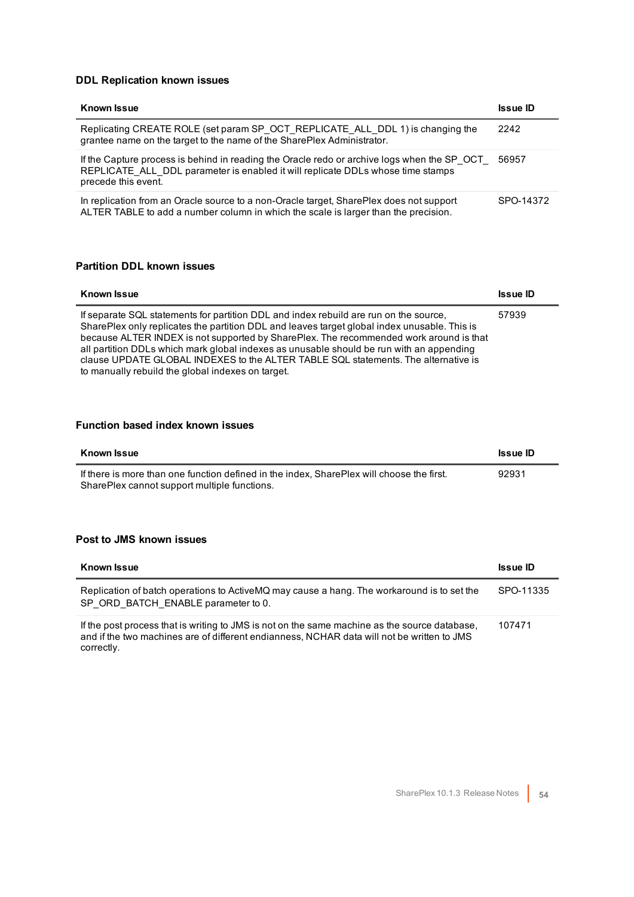#### **DDL Replication known issues**

| <b>Known Issue</b>                                                                                                                                                                                    | <b>Issue ID</b> |
|-------------------------------------------------------------------------------------------------------------------------------------------------------------------------------------------------------|-----------------|
| Replicating CREATE ROLE (set param SP OCT REPLICATE ALL DDL 1) is changing the<br>grantee name on the target to the name of the SharePlex Administrator.                                              | 2242            |
| If the Capture process is behind in reading the Oracle redo or archive logs when the SP OCT<br>REPLICATE ALL DDL parameter is enabled it will replicate DDLs whose time stamps<br>precede this event. | 56957           |
| In replication from an Oracle source to a non-Oracle target, SharePlex does not support<br>ALTER TABLE to add a number column in which the scale is larger than the precision.                        | SPO-14372       |

#### **Partition DDL known issues**

| <b>Known Issue</b>                                                                                                                                                                                                                                                                                                                                                                                                                                                                                                     | <b>Issue ID</b> |
|------------------------------------------------------------------------------------------------------------------------------------------------------------------------------------------------------------------------------------------------------------------------------------------------------------------------------------------------------------------------------------------------------------------------------------------------------------------------------------------------------------------------|-----------------|
| If separate SQL statements for partition DDL and index rebuild are run on the source,<br>SharePlex only replicates the partition DDL and leaves target global index unusable. This is<br>because ALTER INDEX is not supported by SharePlex. The recommended work around is that<br>all partition DDLs which mark global indexes as unusable should be run with an appending<br>clause UPDATE GLOBAL INDEXES to the ALTER TABLE SQL statements. The alternative is<br>to manually rebuild the global indexes on target. | 57939           |

#### **Function based index known issues**

| Known Issue                                                                                                                               | <b>Issue ID</b> |
|-------------------------------------------------------------------------------------------------------------------------------------------|-----------------|
| If there is more than one function defined in the index. SharePlex will choose the first.<br>SharePlex cannot support multiple functions. | 92931           |

#### **Post to JMS known issues**

| <b>Known Issue</b>                                                                                                                                                                                        | <b>Issue ID</b> |
|-----------------------------------------------------------------------------------------------------------------------------------------------------------------------------------------------------------|-----------------|
| Replication of batch operations to ActiveMQ may cause a hang. The workaround is to set the<br>SP ORD BATCH ENABLE parameter to 0.                                                                         | SPO-11335       |
| If the post process that is writing to JMS is not on the same machine as the source database.<br>and if the two machines are of different endianness, NCHAR data will not be written to JMS<br>correctly. | 107471          |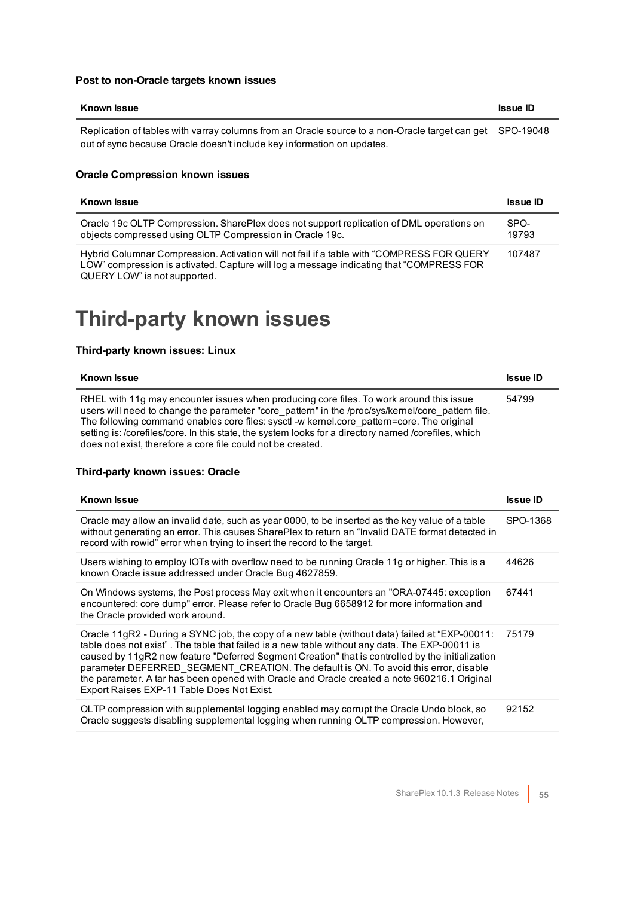#### **Post to non-Oracle targets known issues**

| Known Issue                                                                                                                                                                        | <b>Issue ID</b> |
|------------------------------------------------------------------------------------------------------------------------------------------------------------------------------------|-----------------|
| Replication of tables with varray columns from an Oracle source to a non-Oracle target can get SPO-19048<br>out of sync because Oracle doesn't include key information on updates. |                 |

#### **Oracle Compression known issues**

| <b>Known Issue</b>                                                                                                                                                                                                   | <b>Issue ID</b> |
|----------------------------------------------------------------------------------------------------------------------------------------------------------------------------------------------------------------------|-----------------|
| Oracle 19c OLTP Compression. SharePlex does not support replication of DML operations on<br>objects compressed using OLTP Compression in Oracle 19c.                                                                 | SPO-<br>19793   |
| Hybrid Columnar Compression. Activation will not fail if a table with "COMPRESS FOR QUERY<br>LOW" compression is activated. Capture will log a message indicating that "COMPRESS FOR<br>QUERY LOW" is not supported. | 107487          |

### <span id="page-54-0"></span>**Third-party known issues**

#### **Third-party known issues: Linux**

| <b>Known Issue</b>                                                                                                                                                                                                                                                                                                                                                                                                                                               | <b>Issue ID</b> |
|------------------------------------------------------------------------------------------------------------------------------------------------------------------------------------------------------------------------------------------------------------------------------------------------------------------------------------------------------------------------------------------------------------------------------------------------------------------|-----------------|
| RHEL with 11g may encounter issues when producing core files. To work around this issue<br>users will need to change the parameter "core pattern" in the /proc/sys/kernel/core pattern file.<br>The following command enables core files: sysct -w kernel.core pattern=core. The original<br>setting is: /corefiles/core. In this state, the system looks for a directory named /corefiles, which<br>does not exist, therefore a core file could not be created. | 54799           |

#### **Third-party known issues: Oracle**

| <b>Known Issue</b>                                                                                                                                                                                                                                                                                                                                                                                                                                                                                                                         | <b>Issue ID</b> |
|--------------------------------------------------------------------------------------------------------------------------------------------------------------------------------------------------------------------------------------------------------------------------------------------------------------------------------------------------------------------------------------------------------------------------------------------------------------------------------------------------------------------------------------------|-----------------|
| Oracle may allow an invalid date, such as year 0000, to be inserted as the key value of a table<br>without generating an error. This causes SharePlex to return an "Invalid DATE format detected in<br>record with rowid" error when trying to insert the record to the target.                                                                                                                                                                                                                                                            | SPO-1368        |
| Users wishing to employ IOTs with overflow need to be running Oracle 11g or higher. This is a<br>known Oracle issue addressed under Oracle Bug 4627859.                                                                                                                                                                                                                                                                                                                                                                                    | 44626           |
| On Windows systems, the Post process May exit when it encounters an "ORA-07445: exception<br>encountered: core dump" error. Please refer to Oracle Bug 6658912 for more information and<br>the Oracle provided work around.                                                                                                                                                                                                                                                                                                                | 67441           |
| Oracle 11gR2 - During a SYNC job, the copy of a new table (without data) failed at "EXP-00011:<br>table does not exist". The table that failed is a new table without any data. The EXP-00011 is<br>caused by 11gR2 new feature "Deferred Segment Creation" that is controlled by the initialization<br>parameter DEFERRED SEGMENT CREATION. The default is ON. To avoid this error, disable<br>the parameter. A tar has been opened with Oracle and Oracle created a note 960216.1 Original<br>Export Raises EXP-11 Table Does Not Exist. | 75179           |
| OLTP compression with supplemental logging enabled may corrupt the Oracle Undo block, so<br>Oracle suggests disabling supplemental logging when running OLTP compression. However,                                                                                                                                                                                                                                                                                                                                                         | 92152           |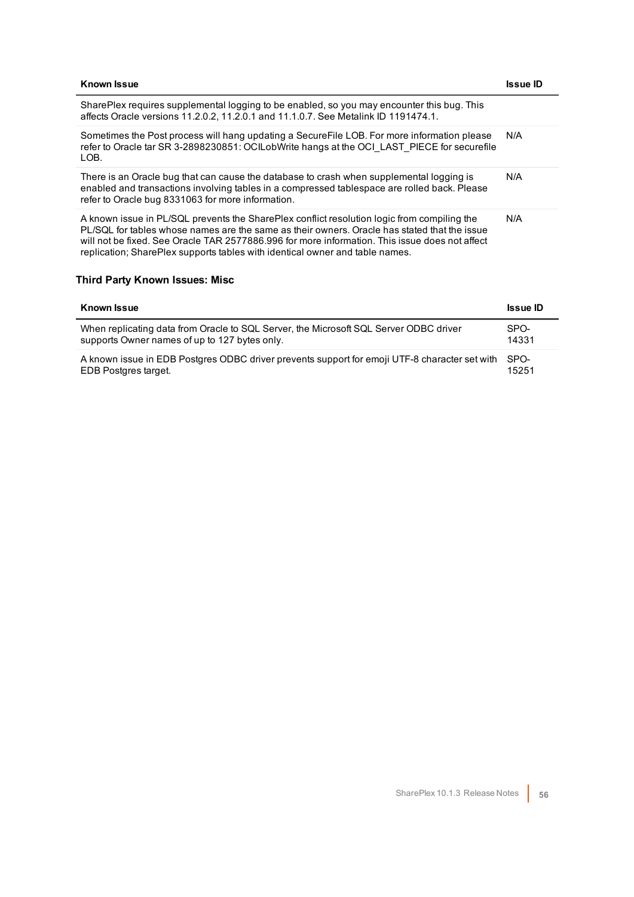| <b>Known Issue</b>                                                                                                                                                                                                                                                                                                                                                            | Issue ID |
|-------------------------------------------------------------------------------------------------------------------------------------------------------------------------------------------------------------------------------------------------------------------------------------------------------------------------------------------------------------------------------|----------|
| SharePlex requires supplemental logging to be enabled, so you may encounter this bug. This<br>affects Oracle versions 11.2.0.2, 11.2.0.1 and 11.1.0.7. See Metalink ID 1191474.1.                                                                                                                                                                                             |          |
| Sometimes the Post process will hang updating a SecureFile LOB. For more information please<br>refer to Oracle tar SR 3-2898230851: OCILobWrite hangs at the OCI LAST PIECE for securefile<br>LOB.                                                                                                                                                                            | N/A      |
| There is an Oracle bug that can cause the database to crash when supplemental logging is<br>enabled and transactions involving tables in a compressed tablespace are rolled back. Please<br>refer to Oracle bug 8331063 for more information.                                                                                                                                 | N/A      |
| A known issue in PL/SQL prevents the SharePlex conflict resolution logic from compiling the<br>PL/SQL for tables whose names are the same as their owners. Oracle has stated that the issue<br>will not be fixed. See Oracle TAR 2577886.996 for more information. This issue does not affect<br>replication; SharePlex supports tables with identical owner and table names. | N/A      |

#### **Third Party Known Issues: Misc**

| <b>Known Issue</b>                                                                            | <b>Issue ID</b> |
|-----------------------------------------------------------------------------------------------|-----------------|
| When replicating data from Oracle to SQL Server, the Microsoft SQL Server ODBC driver         | SPO-            |
| supports Owner names of up to 127 bytes only.                                                 | 14331           |
| A known issue in EDB Postgres ODBC driver prevents support for emoji UTF-8 character set with | SPO-            |
| EDB Postgres target.                                                                          | 15251           |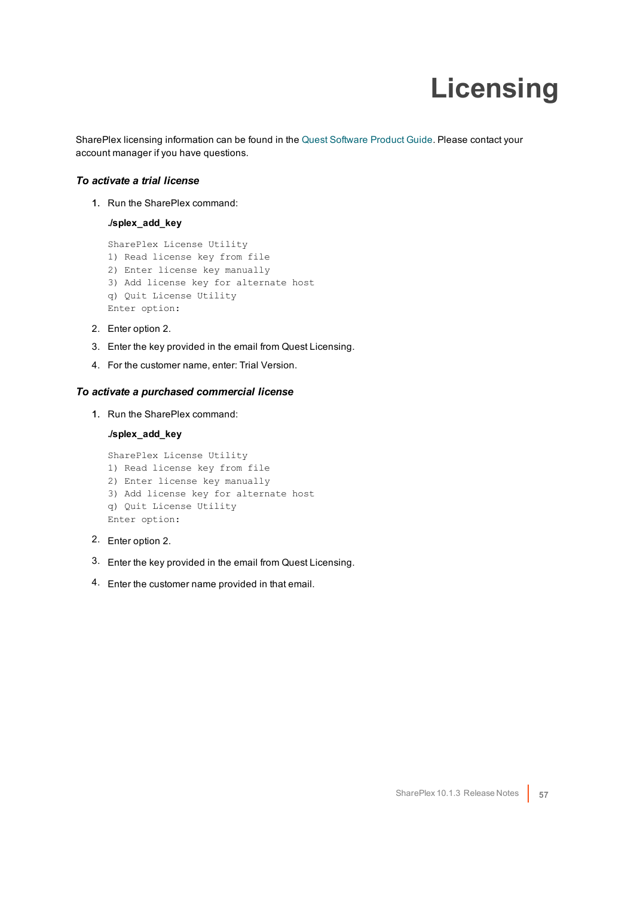# **Licensing**

<span id="page-56-0"></span>SharePlex licensing information can be found in the Quest [Software](http://www.quest.com/productguide) Product Guide. Please contact your account manager if you have questions.

#### *To activate a trial license*

1. Run the SharePlex command:

**./splex\_add\_key**

SharePlex License Utility 1) Read license key from file 2) Enter license key manually 3) Add license key for alternate host q) Quit License Utility Enter option:

- 2. Enter option 2.
- 3. Enter the key provided in the email from Quest Licensing.
- 4. For the customer name, enter: Trial Version.

#### *To activate a purchased commercial license*

1. Run the SharePlex command:

#### **./splex\_add\_key**

SharePlex License Utility 1) Read license key from file 2) Enter license key manually 3) Add license key for alternate host q) Quit License Utility Enter option:

- 2. Enter option 2.
- 3. Enter the key provided in the email from Quest Licensing.
- 4. Enter the customer name provided in that email.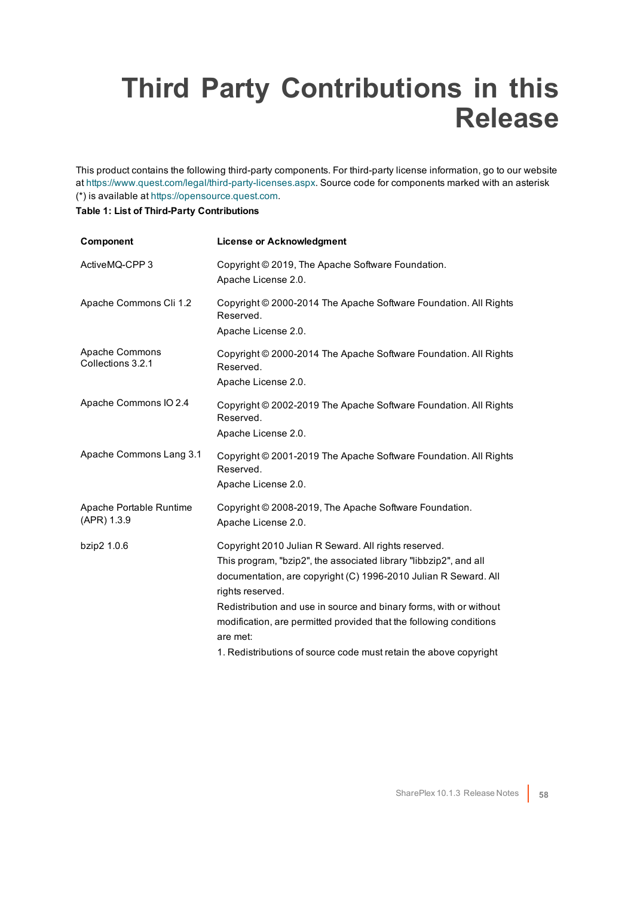## <span id="page-57-0"></span>**Third Party Contributions in this Release**

This product contains the following third-party components. For third-party license information, go to our website at <https://www.quest.com/legal/third-party-licenses.aspx>. Source code for components marked with an asterisk (\*) is available at [https://opensource.quest.com](https://opensource.quest.com/).

#### **Table 1: List of Third-Party Contributions**

| Component                              | <b>License or Acknowledgment</b>                                                                                                                                                                                                                                                                                                                                                                                                              |
|----------------------------------------|-----------------------------------------------------------------------------------------------------------------------------------------------------------------------------------------------------------------------------------------------------------------------------------------------------------------------------------------------------------------------------------------------------------------------------------------------|
| ActiveMQ-CPP 3                         | Copyright © 2019, The Apache Software Foundation.<br>Apache License 2.0.                                                                                                                                                                                                                                                                                                                                                                      |
| Apache Commons Cli 1.2                 | Copyright © 2000-2014 The Apache Software Foundation. All Rights<br>Reserved.<br>Apache License 2.0.                                                                                                                                                                                                                                                                                                                                          |
| Apache Commons<br>Collections 3.2.1    | Copyright © 2000-2014 The Apache Software Foundation. All Rights<br>Reserved.<br>Apache License 2.0.                                                                                                                                                                                                                                                                                                                                          |
| Apache Commons IO 2.4                  | Copyright © 2002-2019 The Apache Software Foundation. All Rights<br>Reserved.<br>Apache License 2.0.                                                                                                                                                                                                                                                                                                                                          |
| Apache Commons Lang 3.1                | Copyright © 2001-2019 The Apache Software Foundation. All Rights<br>Reserved.<br>Apache License 2.0.                                                                                                                                                                                                                                                                                                                                          |
| Apache Portable Runtime<br>(APR) 1.3.9 | Copyright © 2008-2019, The Apache Software Foundation.<br>Apache License 2.0.                                                                                                                                                                                                                                                                                                                                                                 |
| bzip2 1.0.6                            | Copyright 2010 Julian R Seward. All rights reserved.<br>This program, "bzip2", the associated library "libbzip2", and all<br>documentation, are copyright (C) 1996-2010 Julian R Seward. All<br>rights reserved.<br>Redistribution and use in source and binary forms, with or without<br>modification, are permitted provided that the following conditions<br>are met:<br>1. Redistributions of source code must retain the above copyright |
|                                        |                                                                                                                                                                                                                                                                                                                                                                                                                                               |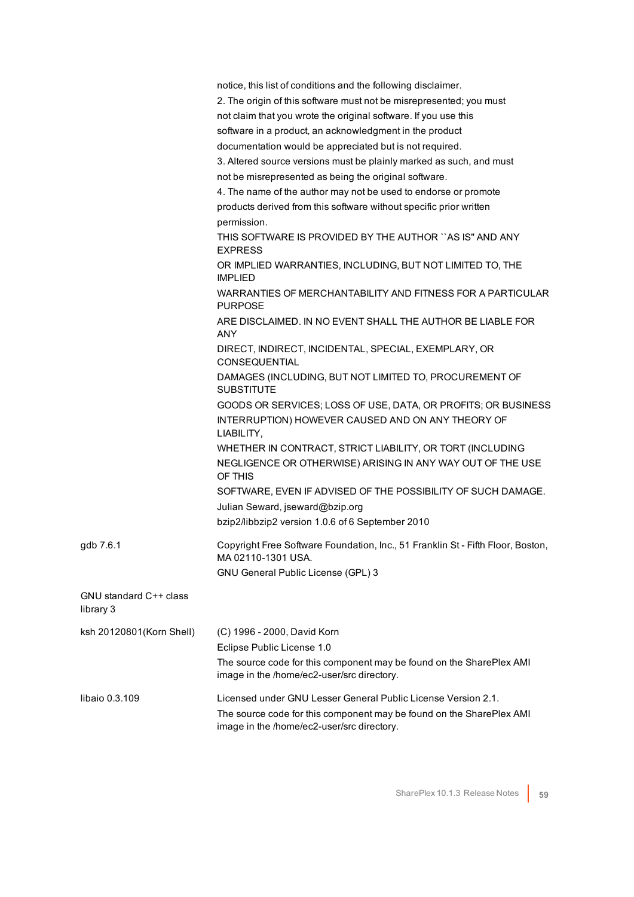|                                     | notice, this list of conditions and the following disclaimer.                                                      |
|-------------------------------------|--------------------------------------------------------------------------------------------------------------------|
|                                     | 2. The origin of this software must not be misrepresented; you must                                                |
|                                     | not claim that you wrote the original software. If you use this                                                    |
|                                     | software in a product, an acknowledgment in the product                                                            |
|                                     | documentation would be appreciated but is not required.                                                            |
|                                     | 3. Altered source versions must be plainly marked as such, and must                                                |
|                                     | not be misrepresented as being the original software.                                                              |
|                                     | 4. The name of the author may not be used to endorse or promote                                                    |
|                                     | products derived from this software without specific prior written                                                 |
|                                     | permission.                                                                                                        |
|                                     | THIS SOFTWARE IS PROVIDED BY THE AUTHOR "AS IS" AND ANY<br><b>EXPRESS</b>                                          |
|                                     | OR IMPLIED WARRANTIES, INCLUDING, BUT NOT LIMITED TO, THE<br><b>IMPLIED</b>                                        |
|                                     | WARRANTIES OF MERCHANTABILITY AND FITNESS FOR A PARTICULAR<br><b>PURPOSE</b>                                       |
|                                     | ARE DISCLAIMED. IN NO EVENT SHALL THE AUTHOR BE LIABLE FOR<br><b>ANY</b>                                           |
|                                     | DIRECT, INDIRECT, INCIDENTAL, SPECIAL, EXEMPLARY, OR<br><b>CONSEQUENTIAL</b>                                       |
|                                     | DAMAGES (INCLUDING, BUT NOT LIMITED TO, PROCUREMENT OF<br><b>SUBSTITUTE</b>                                        |
|                                     | GOODS OR SERVICES; LOSS OF USE, DATA, OR PROFITS; OR BUSINESS                                                      |
|                                     | INTERRUPTION) HOWEVER CAUSED AND ON ANY THEORY OF<br>LIABILITY,                                                    |
|                                     | WHETHER IN CONTRACT, STRICT LIABILITY, OR TORT (INCLUDING                                                          |
|                                     | NEGLIGENCE OR OTHERWISE) ARISING IN ANY WAY OUT OF THE USE<br>OF THIS                                              |
|                                     | SOFTWARE, EVEN IF ADVISED OF THE POSSIBILITY OF SUCH DAMAGE.                                                       |
|                                     | Julian Seward, jseward@bzip.org                                                                                    |
|                                     | bzip2/libbzip2 version 1.0.6 of 6 September 2010                                                                   |
| gdb 7.6.1                           | Copyright Free Software Foundation, Inc., 51 Franklin St - Fifth Floor, Boston,<br>MA 02110-1301 USA.              |
|                                     | GNU General Public License (GPL) 3                                                                                 |
| GNU standard C++ class<br>library 3 |                                                                                                                    |
| ksh 20120801(Korn Shell)            | (C) 1996 - 2000, David Korn                                                                                        |
|                                     | Eclipse Public License 1.0                                                                                         |
|                                     | The source code for this component may be found on the SharePlex AMI                                               |
|                                     | image in the /home/ec2-user/src directory.                                                                         |
| libaio 0.3.109                      | Licensed under GNU Lesser General Public License Version 2.1.                                                      |
|                                     | The source code for this component may be found on the SharePlex AMI<br>image in the /home/ec2-user/src directory. |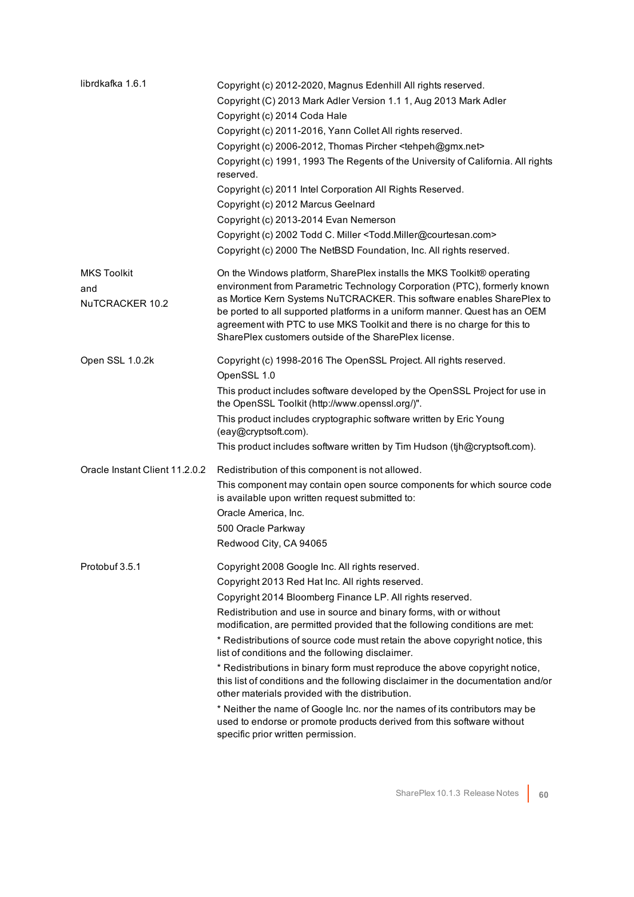| librdkafka 1.6.1                             | Copyright (c) 2012-2020, Magnus Edenhill All rights reserved.<br>Copyright (C) 2013 Mark Adler Version 1.1 1, Aug 2013 Mark Adler<br>Copyright (c) 2014 Coda Hale<br>Copyright (c) 2011-2016, Yann Collet All rights reserved.<br>Copyright (c) 2006-2012, Thomas Pircher <tehpeh@gmx.net><br/>Copyright (c) 1991, 1993 The Regents of the University of California. All rights<br/>reserved.<br/>Copyright (c) 2011 Intel Corporation All Rights Reserved.<br/>Copyright (c) 2012 Marcus Geelnard<br/>Copyright (c) 2013-2014 Evan Nemerson<br/>Copyright (c) 2002 Todd C. Miller <todd.miller@courtesan.com><br/>Copyright (c) 2000 The NetBSD Foundation, Inc. All rights reserved.</todd.miller@courtesan.com></tehpeh@gmx.net>                                                                                                                                            |
|----------------------------------------------|--------------------------------------------------------------------------------------------------------------------------------------------------------------------------------------------------------------------------------------------------------------------------------------------------------------------------------------------------------------------------------------------------------------------------------------------------------------------------------------------------------------------------------------------------------------------------------------------------------------------------------------------------------------------------------------------------------------------------------------------------------------------------------------------------------------------------------------------------------------------------------|
| <b>MKS Toolkit</b><br>and<br>NuTCRACKER 10.2 | On the Windows platform, SharePlex installs the MKS Toolkit® operating<br>environment from Parametric Technology Corporation (PTC), formerly known<br>as Mortice Kern Systems NuTCRACKER. This software enables SharePlex to<br>be ported to all supported platforms in a uniform manner. Quest has an OEM<br>agreement with PTC to use MKS Toolkit and there is no charge for this to<br>SharePlex customers outside of the SharePlex license.                                                                                                                                                                                                                                                                                                                                                                                                                                |
| Open SSL 1.0.2k                              | Copyright (c) 1998-2016 The OpenSSL Project. All rights reserved.<br>OpenSSL 1.0<br>This product includes software developed by the OpenSSL Project for use in<br>the OpenSSL Toolkit (http://www.openssl.org/)".<br>This product includes cryptographic software written by Eric Young<br>(eay@cryptsoft.com).<br>This product includes software written by Tim Hudson (tjh@cryptsoft.com).                                                                                                                                                                                                                                                                                                                                                                                                                                                                                   |
| Oracle Instant Client 11.2.0.2               | Redistribution of this component is not allowed.<br>This component may contain open source components for which source code<br>is available upon written request submitted to:<br>Oracle America, Inc.<br>500 Oracle Parkway<br>Redwood City, CA 94065                                                                                                                                                                                                                                                                                                                                                                                                                                                                                                                                                                                                                         |
| Protobuf 3.5.1                               | Copyright 2008 Google Inc. All rights reserved.<br>Copyright 2013 Red Hat Inc. All rights reserved.<br>Copyright 2014 Bloomberg Finance LP. All rights reserved.<br>Redistribution and use in source and binary forms, with or without<br>modification, are permitted provided that the following conditions are met:<br>* Redistributions of source code must retain the above copyright notice, this<br>list of conditions and the following disclaimer.<br>* Redistributions in binary form must reproduce the above copyright notice,<br>this list of conditions and the following disclaimer in the documentation and/or<br>other materials provided with the distribution.<br>* Neither the name of Google Inc. nor the names of its contributors may be<br>used to endorse or promote products derived from this software without<br>specific prior written permission. |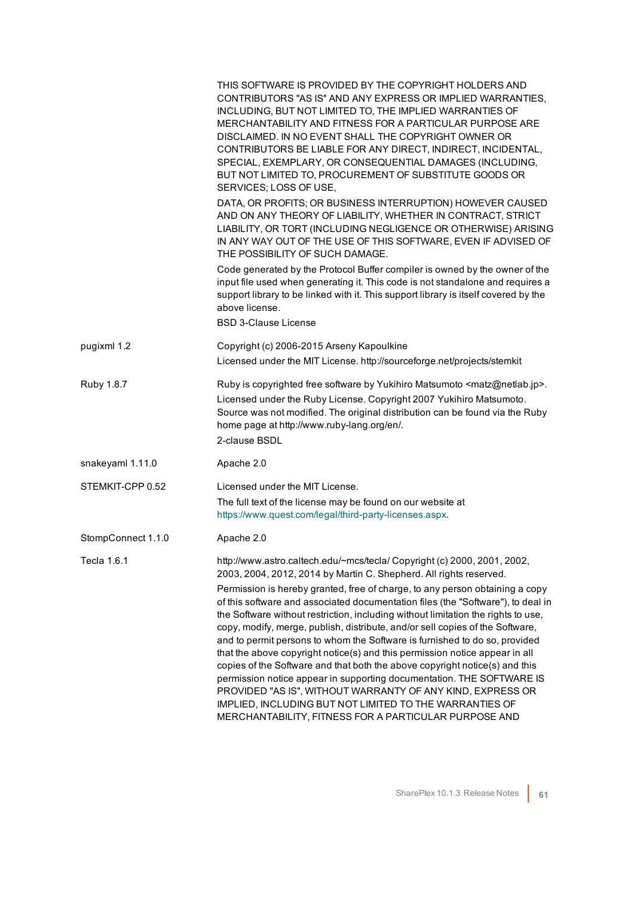|                    | THIS SOFTWARE IS PROVIDED BY THE COPYRIGHT HOLDERS AND<br>CONTRIBUTORS "AS IS" AND ANY EXPRESS OR IMPLIED WARRANTIES,<br>INCLUDING, BUT NOT LIMITED TO, THE IMPLIED WARRANTIES OF<br>MERCHANTABILITY AND FITNESS FOR A PARTICULAR PURPOSE ARE<br>DISCLAIMED. IN NO EVENT SHALL THE COPYRIGHT OWNER OR<br>CONTRIBUTORS BE LIABLE FOR ANY DIRECT, INDIRECT, INCIDENTAL,<br>SPECIAL, EXEMPLARY, OR CONSEQUENTIAL DAMAGES (INCLUDING,<br>BUT NOT LIMITED TO, PROCUREMENT OF SUBSTITUTE GOODS OR<br>SERVICES; LOSS OF USE,                                                                                                                                                     |
|--------------------|---------------------------------------------------------------------------------------------------------------------------------------------------------------------------------------------------------------------------------------------------------------------------------------------------------------------------------------------------------------------------------------------------------------------------------------------------------------------------------------------------------------------------------------------------------------------------------------------------------------------------------------------------------------------------|
|                    | DATA, OR PROFITS; OR BUSINESS INTERRUPTION) HOWEVER CAUSED<br>AND ON ANY THEORY OF LIABILITY, WHETHER IN CONTRACT, STRICT<br>LIABILITY, OR TORT (INCLUDING NEGLIGENCE OR OTHERWISE) ARISING<br>IN ANY WAY OUT OF THE USE OF THIS SOFTWARE, EVEN IF ADVISED OF<br>THE POSSIBILITY OF SUCH DAMAGE.                                                                                                                                                                                                                                                                                                                                                                          |
|                    | Code generated by the Protocol Buffer compiler is owned by the owner of the<br>input file used when generating it. This code is not standalone and requires a<br>support library to be linked with it. This support library is itself covered by the<br>above license.<br><b>BSD 3-Clause License</b>                                                                                                                                                                                                                                                                                                                                                                     |
| pugixml 1.2        | Copyright (c) 2006-2015 Arseny Kapoulkine<br>Licensed under the MIT License. http://sourceforge.net/projects/stemkit                                                                                                                                                                                                                                                                                                                                                                                                                                                                                                                                                      |
| Ruby 1.8.7         | Ruby is copyrighted free software by Yukihiro Matsumoto <matz@netlab.jp>.<br/>Licensed under the Ruby License. Copyright 2007 Yukihiro Matsumoto.<br/>Source was not modified. The original distribution can be found via the Ruby<br/>home page at http://www.ruby-lang.org/en/.<br/>2-clause BSDL</matz@netlab.jp>                                                                                                                                                                                                                                                                                                                                                      |
| snakeyaml 1.11.0   | Apache 2.0                                                                                                                                                                                                                                                                                                                                                                                                                                                                                                                                                                                                                                                                |
| STEMKIT-CPP 0.52   | Licensed under the MIT License.<br>The full text of the license may be found on our website at<br>https://www.quest.com/legal/third-party-licenses.aspx.                                                                                                                                                                                                                                                                                                                                                                                                                                                                                                                  |
| StompConnect 1.1.0 | Apache 2.0                                                                                                                                                                                                                                                                                                                                                                                                                                                                                                                                                                                                                                                                |
| Tecla 1.6.1        | http://www.astro.caltech.edu/~mcs/tecla/ Copyright (c) 2000, 2001, 2002,<br>2003, 2004, 2012, 2014 by Martin C. Shepherd. All rights reserved.<br>Permission is hereby granted, free of charge, to any person obtaining a copy<br>of this software and associated documentation files (the "Software"), to deal in                                                                                                                                                                                                                                                                                                                                                        |
|                    | the Software without restriction, including without limitation the rights to use,<br>copy, modify, merge, publish, distribute, and/or sell copies of the Software,<br>and to permit persons to whom the Software is furnished to do so, provided<br>that the above copyright notice(s) and this permission notice appear in all<br>copies of the Software and that both the above copyright notice(s) and this<br>permission notice appear in supporting documentation. THE SOFTWARE IS<br>PROVIDED "AS IS", WITHOUT WARRANTY OF ANY KIND, EXPRESS OR<br>IMPLIED, INCLUDING BUT NOT LIMITED TO THE WARRANTIES OF<br>MERCHANTABILITY, FITNESS FOR A PARTICULAR PURPOSE AND |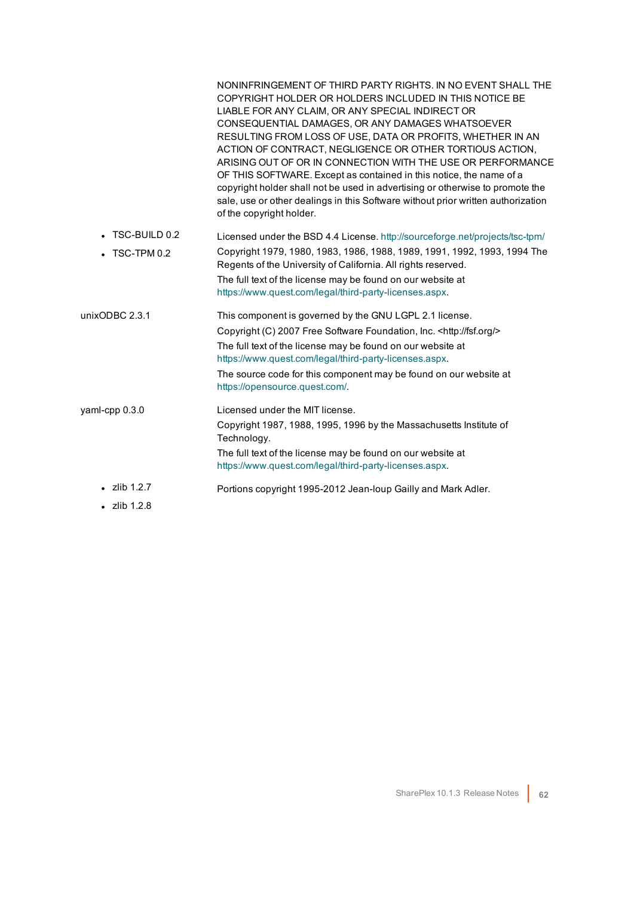|                       | NONINFRINGEMENT OF THIRD PARTY RIGHTS. IN NO EVENT SHALL THE<br>COPYRIGHT HOLDER OR HOLDERS INCLUDED IN THIS NOTICE BE<br>LIABLE FOR ANY CLAIM, OR ANY SPECIAL INDIRECT OR<br>CONSEQUENTIAL DAMAGES, OR ANY DAMAGES WHATSOEVER<br>RESULTING FROM LOSS OF USE, DATA OR PROFITS, WHETHER IN AN<br>ACTION OF CONTRACT, NEGLIGENCE OR OTHER TORTIOUS ACTION,<br>ARISING OUT OF OR IN CONNECTION WITH THE USE OR PERFORMANCE<br>OF THIS SOFTWARE. Except as contained in this notice, the name of a<br>copyright holder shall not be used in advertising or otherwise to promote the<br>sale, use or other dealings in this Software without prior written authorization<br>of the copyright holder. |
|-----------------------|-------------------------------------------------------------------------------------------------------------------------------------------------------------------------------------------------------------------------------------------------------------------------------------------------------------------------------------------------------------------------------------------------------------------------------------------------------------------------------------------------------------------------------------------------------------------------------------------------------------------------------------------------------------------------------------------------|
| $\cdot$ TSC-BUILD 0.2 | Licensed under the BSD 4.4 License. http://sourceforge.net/projects/tsc-tpm/                                                                                                                                                                                                                                                                                                                                                                                                                                                                                                                                                                                                                    |
| TSC-TPM 0.2           | Copyright 1979, 1980, 1983, 1986, 1988, 1989, 1991, 1992, 1993, 1994 The<br>Regents of the University of California. All rights reserved.                                                                                                                                                                                                                                                                                                                                                                                                                                                                                                                                                       |
|                       | The full text of the license may be found on our website at<br>https://www.quest.com/legal/third-party-licenses.aspx.                                                                                                                                                                                                                                                                                                                                                                                                                                                                                                                                                                           |
| unixODBC 2.3.1        | This component is governed by the GNU LGPL 2.1 license.                                                                                                                                                                                                                                                                                                                                                                                                                                                                                                                                                                                                                                         |
|                       | Copyright (C) 2007 Free Software Foundation, Inc. < http://fsf.org/>                                                                                                                                                                                                                                                                                                                                                                                                                                                                                                                                                                                                                            |
|                       | The full text of the license may be found on our website at<br>https://www.quest.com/legal/third-party-licenses.aspx.                                                                                                                                                                                                                                                                                                                                                                                                                                                                                                                                                                           |
|                       | The source code for this component may be found on our website at<br>https://opensource.quest.com/.                                                                                                                                                                                                                                                                                                                                                                                                                                                                                                                                                                                             |
| yaml-cpp 0.3.0        | Licensed under the MIT license.                                                                                                                                                                                                                                                                                                                                                                                                                                                                                                                                                                                                                                                                 |
|                       | Copyright 1987, 1988, 1995, 1996 by the Massachusetts Institute of<br>Technology.                                                                                                                                                                                                                                                                                                                                                                                                                                                                                                                                                                                                               |
|                       | The full text of the license may be found on our website at<br>https://www.quest.com/legal/third-party-licenses.aspx.                                                                                                                                                                                                                                                                                                                                                                                                                                                                                                                                                                           |
| $\cdot$ zlib 1.2.7    | Portions copyright 1995-2012 Jean-loup Gailly and Mark Adler.                                                                                                                                                                                                                                                                                                                                                                                                                                                                                                                                                                                                                                   |
| $\cdot$ zlib 1.2.8    |                                                                                                                                                                                                                                                                                                                                                                                                                                                                                                                                                                                                                                                                                                 |
|                       |                                                                                                                                                                                                                                                                                                                                                                                                                                                                                                                                                                                                                                                                                                 |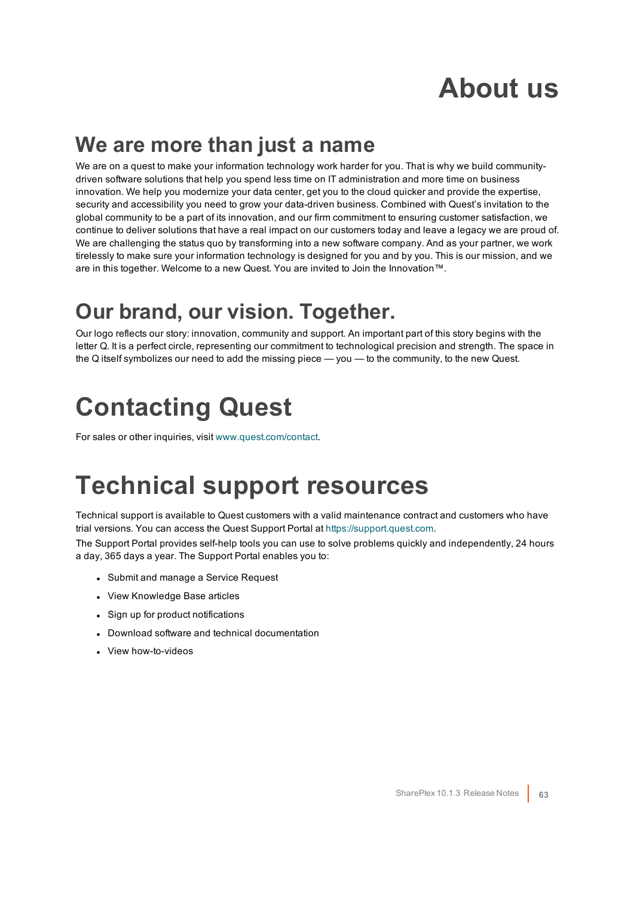## **About us**

### <span id="page-62-0"></span>**We are more than just a name**

We are on a quest to make your information technology work harder for you. That is why we build communitydriven software solutions that help you spend less time on IT administration and more time on business innovation. We help you modernize your data center, get you to the cloud quicker and provide the expertise, security and accessibility you need to grow your data-driven business. Combined with Quest's invitation to the global community to be a part of its innovation, and our firm commitment to ensuring customer satisfaction, we continue to deliver solutions that have a real impact on our customers today and leave a legacy we are proud of. We are challenging the status quo by transforming into a new software company. And as your partner, we work tirelessly to make sure your information technology is designed for you and by you. This is our mission, and we are in this together. Welcome to a new Quest. You are invited to Join the Innovation™.

### **Our brand, our vision. Together.**

Our logo reflects our story: innovation, community and support. An important part of this story begins with the letter Q. It is a perfect circle, representing our commitment to technological precision and strength. The space in the Q itself symbolizes our need to add the missing piece — you — to the community, to the new Quest.

## <span id="page-62-1"></span>**Contacting Quest**

<span id="page-62-2"></span>For sales or other inquiries, visit [www.quest.com/contact](https://www.quest.com/contact).

## **Technical support resources**

Technical support is available to Quest customers with a valid maintenance contract and customers who have trial versions. You can access the Quest Support Portal at [https://support.quest.com](https://support.quest.com/).

The Support Portal provides self-help tools you can use to solve problems quickly and independently, 24 hours a day, 365 days a year. The Support Portal enables you to:

- Submit and manage a Service Request
- View Knowledge Base articles
- Sign up for product notifications
- Download software and technical documentation
- View how-to-videos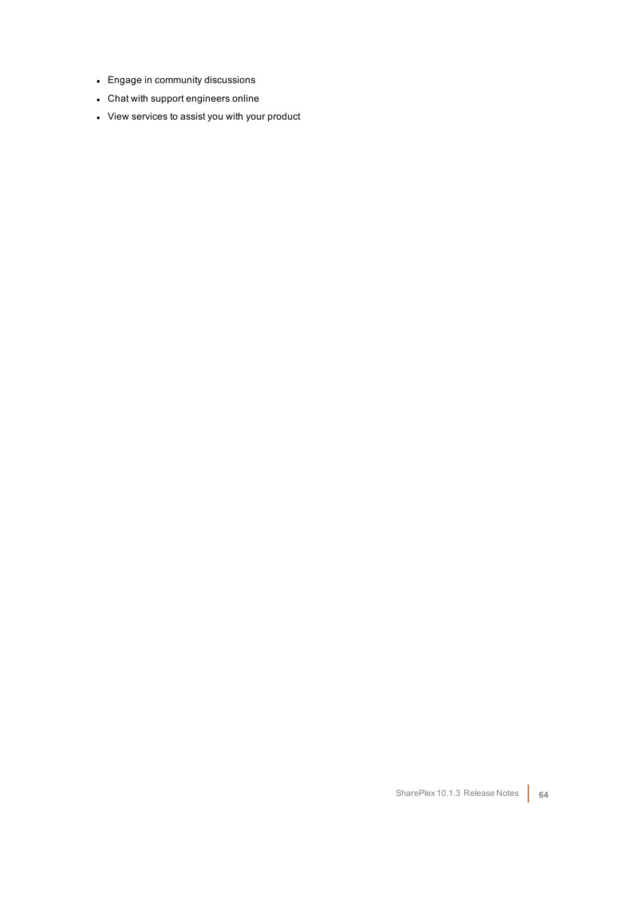- Engage in community discussions
- Chat with support engineers online
- View services to assist you with your product